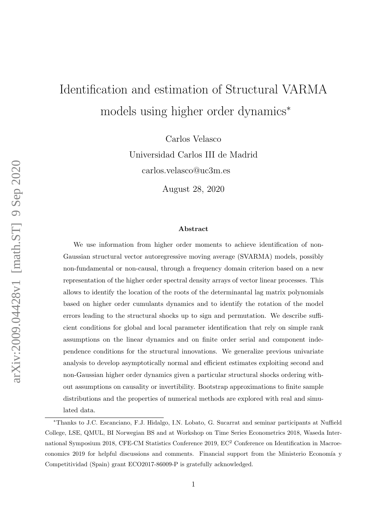# Identification and estimation of Structural VARMA models using higher order dynamics<sup>∗</sup>

Carlos Velasco Universidad Carlos III de Madrid carlos.velasco@uc3m.es

August 28, 2020

#### Abstract

We use information from higher order moments to achieve identification of non-Gaussian structural vector autoregressive moving average (SVARMA) models, possibly non-fundamental or non-causal, through a frequency domain criterion based on a new representation of the higher order spectral density arrays of vector linear processes. This allows to identify the location of the roots of the determinantal lag matrix polynomials based on higher order cumulants dynamics and to identify the rotation of the model errors leading to the structural shocks up to sign and permutation. We describe sufficient conditions for global and local parameter identification that rely on simple rank assumptions on the linear dynamics and on finite order serial and component independence conditions for the structural innovations. We generalize previous univariate analysis to develop asymptotically normal and efficient estimates exploiting second and non-Gaussian higher order dynamics given a particular structural shocks ordering without assumptions on causality or invertibility. Bootstrap approximations to finite sample distributions and the properties of numerical methods are explored with real and simulated data.

<sup>∗</sup>Thanks to J.C. Escanciano, F.J. Hidalgo, I.N. Lobato, G. Sucarrat and seminar participants at Nuffield College, LSE, QMUL, BI Norwegian BS and at Workshop on Time Series Econometrics 2018, Waseda International Symposium 2018, CFE-CM Statistics Conference 2019, EC<sup>2</sup> Conference on Identification in Macroeconomics 2019 for helpful discussions and comments. Financial support from the Ministerio Economía y Competitividad (Spain) grant ECO2017-86009-P is gratefully acknowledged.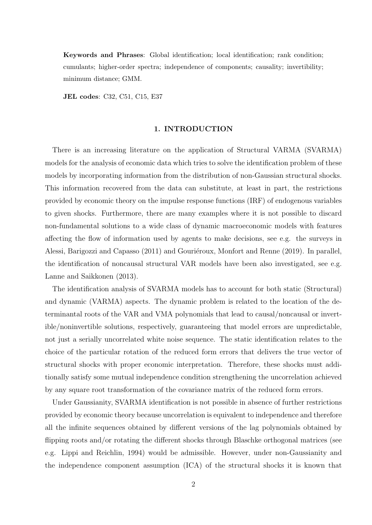Keywords and Phrases: Global identification; local identification; rank condition; cumulants; higher-order spectra; independence of components; causality; invertibility; minimum distance; GMM.

JEL codes: C32, C51, C15, E37

#### 1. INTRODUCTION

There is an increasing literature on the application of Structural VARMA (SVARMA) models for the analysis of economic data which tries to solve the identification problem of these models by incorporating information from the distribution of non-Gaussian structural shocks. This information recovered from the data can substitute, at least in part, the restrictions provided by economic theory on the impulse response functions (IRF) of endogenous variables to given shocks. Furthermore, there are many examples where it is not possible to discard non-fundamental solutions to a wide class of dynamic macroeconomic models with features affecting the flow of information used by agents to make decisions, see e.g. the surveys in Alessi, Barigozzi and Capasso (2011) and Gouriéroux, Monfort and Renne (2019). In parallel, the identification of noncausal structural VAR models have been also investigated, see e.g. Lanne and Saikkonen (2013).

The identification analysis of SVARMA models has to account for both static (Structural) and dynamic (VARMA) aspects. The dynamic problem is related to the location of the determinantal roots of the VAR and VMA polynomials that lead to causal/noncausal or invertible/noninvertible solutions, respectively, guaranteeing that model errors are unpredictable, not just a serially uncorrelated white noise sequence. The static identification relates to the choice of the particular rotation of the reduced form errors that delivers the true vector of structural shocks with proper economic interpretation. Therefore, these shocks must additionally satisfy some mutual independence condition strengthening the uncorrelation achieved by any square root transformation of the covariance matrix of the reduced form errors.

Under Gaussianity, SVARMA identification is not possible in absence of further restrictions provided by economic theory because uncorrelation is equivalent to independence and therefore all the infinite sequences obtained by different versions of the lag polynomials obtained by flipping roots and/or rotating the different shocks through Blaschke orthogonal matrices (see e.g. Lippi and Reichlin, 1994) would be admissible. However, under non-Gaussianity and the independence component assumption (ICA) of the structural shocks it is known that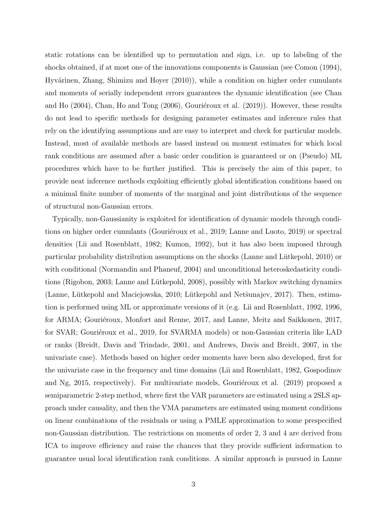static rotations can be identified up to permutation and sign, i.e. up to labeling of the shocks obtained, if at most one of the innovations components is Gaussian (see Comon (1994), Hyvärinen, Zhang, Shimizu and Hoyer (2010)), while a condition on higher order cumulants and moments of serially independent errors guarantees the dynamic identification (see Chan and Ho  $(2004)$ , Chan, Ho and Tong  $(2006)$ , Gouriéroux et al.  $(2019)$ ). However, these results do not lead to specific methods for designing parameter estimates and inference rules that rely on the identifying assumptions and are easy to interpret and check for particular models. Instead, most of available methods are based instead on moment estimates for which local rank conditions are assumed after a basic order condition is guaranteed or on (Pseudo) ML procedures which have to be further justified. This is precisely the aim of this paper, to provide neat inference methods exploiting efficiently global identification conditions based on a minimal finite number of moments of the marginal and joint distributions of the sequence of structural non-Gaussian errors.

Typically, non-Gaussianity is exploited for identification of dynamic models through conditions on higher order cumulants (Gouriéroux et al., 2019; Lanne and Luoto, 2019) or spectral densities (Lii and Rosenblatt, 1982; Kumon, 1992), but it has also been imposed through particular probability distribution assumptions on the shocks (Lanne and Lütkepohl, 2010) or with conditional (Normandin and Phaneuf, 2004) and unconditional heteroskedasticity conditions (Rigobon, 2003; Lanne and Lütkepohl, 2008), possibly with Markov switching dynamics (Lanne, Lütkepohl and Maciejowska, 2010; Lütkepohl and Netstunajev, 2017). Then, estimation is performed using ML or approximate versions of it (e.g. Lii and Rosenblatt, 1992, 1996, for ARMA; Gouriéroux, Monfort and Renne, 2017, and Lanne, Meitz and Saikkonen, 2017, for SVAR; Gouriéroux et al., 2019, for SVARMA models) or non-Gaussian criteria like LAD or ranks (Breidt, Davis and Trindade, 2001, and Andrews, Davis and Breidt, 2007, in the univariate case). Methods based on higher order moments have been also developed, first for the univariate case in the frequency and time domains (Lii and Rosenblatt, 1982, Gospodinov and Ng, 2015, respectively). For multivariate models, Gouriéroux et al.  $(2019)$  proposed a semiparametric 2-step method, where first the VAR parameters are estimated using a 2SLS approach under causality, and then the VMA parameters are estimated using moment conditions on linear combinations of the residuals or using a PMLE approximation to some prespecified non-Gaussian distribution. The restrictions on moments of order 2, 3 and 4 are derived from ICA to improve efficiency and raise the chances that they provide sufficient information to guarantee usual local identification rank conditions. A similar approach is pursued in Lanne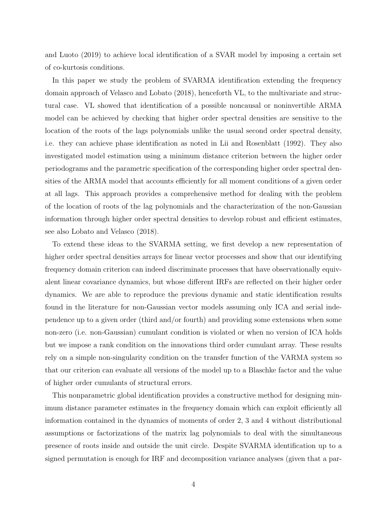and Luoto (2019) to achieve local identification of a SVAR model by imposing a certain set of co-kurtosis conditions.

In this paper we study the problem of SVARMA identification extending the frequency domain approach of Velasco and Lobato (2018), henceforth VL, to the multivariate and structural case. VL showed that identification of a possible noncausal or noninvertible ARMA model can be achieved by checking that higher order spectral densities are sensitive to the location of the roots of the lags polynomials unlike the usual second order spectral density, i.e. they can achieve phase identification as noted in Lii and Rosenblatt (1992). They also investigated model estimation using a minimum distance criterion between the higher order periodograms and the parametric specification of the corresponding higher order spectral densities of the ARMA model that accounts efficiently for all moment conditions of a given order at all lags. This approach provides a comprehensive method for dealing with the problem of the location of roots of the lag polynomials and the characterization of the non-Gaussian information through higher order spectral densities to develop robust and efficient estimates, see also Lobato and Velasco (2018).

To extend these ideas to the SVARMA setting, we first develop a new representation of higher order spectral densities arrays for linear vector processes and show that our identifying frequency domain criterion can indeed discriminate processes that have observationally equivalent linear covariance dynamics, but whose different IRFs are reflected on their higher order dynamics. We are able to reproduce the previous dynamic and static identification results found in the literature for non-Gaussian vector models assuming only ICA and serial independence up to a given order (third and/or fourth) and providing some extensions when some non-zero (i.e. non-Gaussian) cumulant condition is violated or when no version of ICA holds but we impose a rank condition on the innovations third order cumulant array. These results rely on a simple non-singularity condition on the transfer function of the VARMA system so that our criterion can evaluate all versions of the model up to a Blaschke factor and the value of higher order cumulants of structural errors.

This nonparametric global identification provides a constructive method for designing minimum distance parameter estimates in the frequency domain which can exploit efficiently all information contained in the dynamics of moments of order 2, 3 and 4 without distributional assumptions or factorizations of the matrix lag polynomials to deal with the simultaneous presence of roots inside and outside the unit circle. Despite SVARMA identification up to a signed permutation is enough for IRF and decomposition variance analyses (given that a par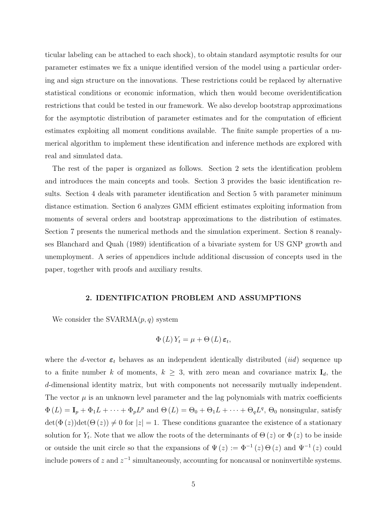ticular labeling can be attached to each shock), to obtain standard asymptotic results for our parameter estimates we fix a unique identified version of the model using a particular ordering and sign structure on the innovations. These restrictions could be replaced by alternative statistical conditions or economic information, which then would become overidentification restrictions that could be tested in our framework. We also develop bootstrap approximations for the asymptotic distribution of parameter estimates and for the computation of efficient estimates exploiting all moment conditions available. The finite sample properties of a numerical algorithm to implement these identification and inference methods are explored with real and simulated data.

The rest of the paper is organized as follows. Section 2 sets the identification problem and introduces the main concepts and tools. Section 3 provides the basic identification results. Section 4 deals with parameter identification and Section 5 with parameter minimum distance estimation. Section 6 analyzes GMM efficient estimates exploiting information from moments of several orders and bootstrap approximations to the distribution of estimates. Section 7 presents the numerical methods and the simulation experiment. Section 8 reanalyses Blanchard and Quah (1989) identification of a bivariate system for US GNP growth and unemployment. A series of appendices include additional discussion of concepts used in the paper, together with proofs and auxiliary results.

# 2. IDENTIFICATION PROBLEM AND ASSUMPTIONS

We consider the  $SVARMA(p, q)$  system

$$
\Phi(L) Y_t = \mu + \Theta(L) \, \varepsilon_t,
$$

where the d-vector  $\varepsilon_t$  behaves as an independent identically distributed *(iid)* sequence up to a finite number k of moments,  $k \geq 3$ , with zero mean and covariance matrix  $I_d$ , the d-dimensional identity matrix, but with components not necessarily mutually independent. The vector  $\mu$  is an unknown level parameter and the lag polynomials with matrix coefficients  $\Phi(L) = I_p + \Phi_1 L + \cdots + \Phi_p L^p$  and  $\Theta(L) = \Theta_0 + \Theta_1 L + \cdots + \Theta_q L^q$ ,  $\Theta_0$  nonsingular, satisfy  $\det(\Phi(z))\det(\Theta(z)) \neq 0$  for  $|z| = 1$ . These conditions guarantee the existence of a stationary solution for  $Y_t$ . Note that we allow the roots of the determinants of  $\Theta(z)$  or  $\Phi(z)$  to be inside or outside the unit circle so that the expansions of  $\Psi(z) := \Phi^{-1}(z) \Theta(z)$  and  $\Psi^{-1}(z)$  could include powers of z and  $z^{-1}$  simultaneously, accounting for noncausal or noninvertible systems.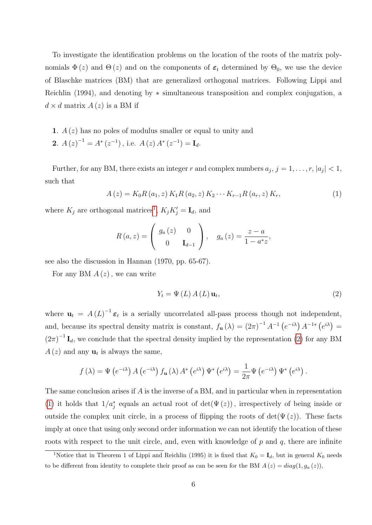To investigate the identification problems on the location of the roots of the matrix polynomials  $\Phi(z)$  and  $\Theta(z)$  and on the components of  $\epsilon_t$  determined by  $\Theta_0$ , we use the device of Blaschke matrices (BM) that are generalized orthogonal matrices. Following Lippi and Reichlin (1994), and denoting by ∗ simultaneous transposition and complex conjugation, a  $d \times d$  matrix  $A(z)$  is a BM if

- 1.  $A(z)$  has no poles of modulus smaller or equal to unity and
- **2**.  $A(z)^{-1} = A^*(z^{-1})$ , i.e.  $A(z) A^*(z^{-1}) = I_d$ .

Further, for any BM, there exists an integer r and complex numbers  $a_j$ ,  $j = 1, \ldots, r$ ,  $|a_j| < 1$ , such that

<span id="page-5-2"></span>
$$
A(z) = K_0 R(a_1, z) K_1 R(a_2, z) K_2 \cdots K_{r-1} R(a_r, z) K_r,
$$
\n(1)

where  $K_j$  are orthogonal matrices<sup>[1](#page-5-0)</sup>,  $K_j K'_j = \mathbf{I}_d$ , and

$$
R(a, z) = \begin{pmatrix} g_a(z) & 0 \\ 0 & \mathbf{I}_{d-1} \end{pmatrix}, \quad g_a(z) = \frac{z - a}{1 - a^* z},
$$

see also the discussion in Hannan (1970, pp. 65-67).

For any BM  $A(z)$ , we can write

<span id="page-5-1"></span>
$$
Y_{t} = \Psi(L) A(L) \mathbf{u}_{t}, \qquad (2)
$$

where  $\mathbf{u}_t = A(L)^{-1} \boldsymbol{\varepsilon}_t$  is a serially uncorrelated all-pass process though not independent, and, because its spectral density matrix is constant,  $f_{\mathbf{u}}(\lambda) = (2\pi)^{-1} A^{-1} (e^{-i\lambda}) A^{-1*} (e^{i\lambda}) =$  $(2\pi)^{-1}$  **I**<sub>d</sub>, we conclude that the spectral density implied by the representation [\(2\)](#page-5-1) for any BM  $A(z)$  and any  $\mathbf{u}_t$  is always the same,

$$
f(\lambda) = \Psi\left(e^{-i\lambda}\right) A\left(e^{-i\lambda}\right) f_{\mathbf{u}}(\lambda) A^*\left(e^{i\lambda}\right) \Psi^*\left(e^{i\lambda}\right) = \frac{1}{2\pi} \Psi\left(e^{-i\lambda}\right) \Psi^*\left(e^{i\lambda}\right).
$$

The same conclusion arises if A is the inverse of a BM, and in particular when in representation [\(1\)](#page-5-2) it holds that  $1/a_j^*$  equals an actual root of  $\det(\Psi(z))$ , irrespectively of being inside or outside the complex unit circle, in a process of flipping the roots of  $det(\Psi(z))$ . These facts imply at once that using only second order information we can not identify the location of these roots with respect to the unit circle, and, even with knowledge of  $p$  and  $q$ , there are infinite

<span id="page-5-0"></span><sup>&</sup>lt;sup>1</sup>Notice that in Theorem 1 of Lippi and Reichlin (1995) it is fixed that  $K_0 = I_d$ , but in general  $K_0$  needs to be different from identity to complete their proof as can be seen for the BM  $A(z) = diag(1, g_a(z))$ ,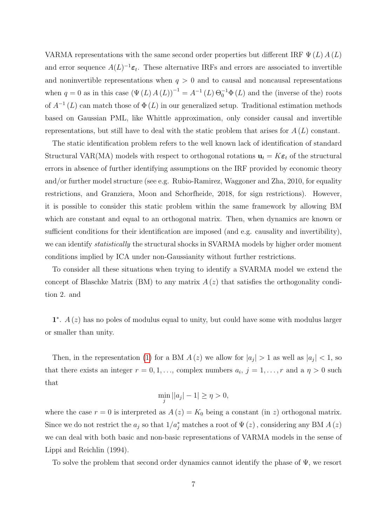VARMA representations with the same second order properties but different IRF  $\Psi(L) A(L)$ and error sequence  $A(L)^{-1} \varepsilon_t$ . These alternative IRFs and errors are associated to invertible and noninvertible representations when  $q > 0$  and to causal and noncausal representations when  $q = 0$  as in this case  $(\Psi(L) A(L))^{-1} = A^{-1}(L) \Theta_0^{-1} \Phi(L)$  and the (inverse of the) roots of  $A^{-1}(L)$  can match those of  $\Phi(L)$  in our generalized setup. Traditional estimation methods based on Gaussian PML, like Whittle approximation, only consider causal and invertible representations, but still have to deal with the static problem that arises for  $A(L)$  constant.

The static identification problem refers to the well known lack of identification of standard Structural VAR(MA) models with respect to orthogonal rotations  $\mathbf{u}_t = K \boldsymbol{\varepsilon}_t$  of the structural errors in absence of further identifying assumptions on the IRF provided by economic theory and/or further model structure (see e.g. Rubio-Ramirez, Waggoner and Zha, 2010, for equality restrictions, and Granziera, Moon and Schorfheide, 2018, for sign restrictions). However, it is possible to consider this static problem within the same framework by allowing BM which are constant and equal to an orthogonal matrix. Then, when dynamics are known or sufficient conditions for their identification are imposed (and e.g. causality and invertibility), we can identify statistically the structural shocks in SVARMA models by higher order moment conditions implied by ICA under non-Gaussianity without further restrictions.

To consider all these situations when trying to identify a SVARMA model we extend the concept of Blaschke Matrix (BM) to any matrix  $A(z)$  that satisfies the orthogonality condition 2. and

 $1^*$ .  $A(z)$  has no poles of modulus equal to unity, but could have some with modulus larger or smaller than unity.

Then, in the representation [\(1\)](#page-5-2) for a BM  $A(z)$  we allow for  $|a_j| > 1$  as well as  $|a_j| < 1$ , so that there exists an integer  $r = 0, 1, \ldots$ , complex numbers  $a_i, j = 1, \ldots, r$  and a  $\eta > 0$  such that

$$
\min_{j} ||a_{j}|-1| \geq \eta > 0,
$$

where the case  $r = 0$  is interpreted as  $A(z) = K_0$  being a constant (in z) orthogonal matrix. Since we do not restrict the  $a_j$  so that  $1/a_j^*$  matches a root of  $\Psi(z)$ , considering any BM  $A(z)$ we can deal with both basic and non-basic representations of VARMA models in the sense of Lippi and Reichlin (1994).

To solve the problem that second order dynamics cannot identify the phase of  $\Psi$ , we resort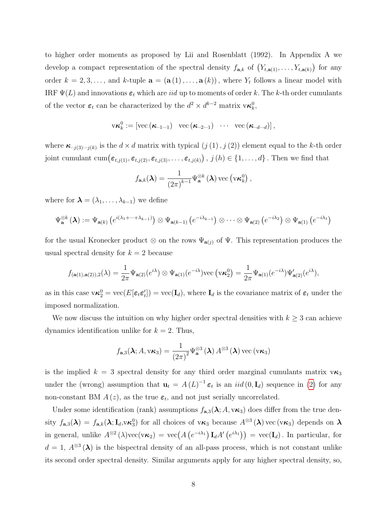to higher order moments as proposed by Lii and Rosenblatt (1992). In Appendix A we develop a compact representation of the spectral density  $f_{\mathbf{a},k}$  of  $(Y_{t,\mathbf{a}(1)},\ldots,Y_{t,\mathbf{a}(k)})$  for any order  $k = 2, 3, ...,$  and k-tuple  $\mathbf{a} = (\mathbf{a}(1), ..., \mathbf{a}(k))$ , where  $Y_t$  follows a linear model with IRF  $\Psi(L)$  and innovations  $\varepsilon_t$  which are *iid* up to moments of order k. The k-th order cumulants of the vector  $\varepsilon_t$  can be characterized by the  $d^2 \times d^{k-2}$  matrix  $v \kappa_k^0$ ,

$$
\mathrm{v}\boldsymbol{\kappa}_k^0 := \left[ \mathrm{vec}\left(\boldsymbol{\kappa}_{\cdot\cdot 1\cdot\cdot 1}\right) \hspace{0.3cm} \mathrm{vec}\left(\boldsymbol{\kappa}_{\cdot\cdot 2\cdot\cdot 1}\right) \hspace{0.3cm} \cdots \hspace{0.3cm} \mathrm{vec}\left(\boldsymbol{\kappa}_{\cdot\cdot d\cdot\cdot d}\right) \right],
$$

where  $\kappa_{(i,j)(3)\cdots(j(k))}$  is the  $d \times d$  matrix with typical  $(j(1), j(2))$  element equal to the k-th order joint cumulant  $\text{cum}(\varepsilon_{t,j(1)}, \varepsilon_{t,j(2)}, \varepsilon_{t,j(3)}, \ldots, \varepsilon_{t,j(k)})$  ,  $j(h) \in \{1, \ldots, d\}$  . Then we find that

$$
f_{\mathbf{a},k}(\boldsymbol{\lambda}) = \frac{1}{(2\pi)^{k-1}} \Psi_{\mathbf{a}}^{\otimes k}(\boldsymbol{\lambda}) \operatorname{vec}(\mathbf{v}\boldsymbol{\kappa}_k^0),
$$

where for  $\lambda = (\lambda_1, \ldots, \lambda_{k-1})$  we define

$$
\Psi_{\mathbf{a}}^{\otimes k}\left(\boldsymbol{\lambda}\right):=\Psi_{\mathbf{a}(k)}\left(e^{i(\lambda_1+\cdots+\lambda_{k-1})}\right)\otimes\Psi_{\mathbf{a}(k-1)}\left(e^{-i\lambda_{k-1}}\right)\otimes\cdots\otimes\Psi_{\mathbf{a}(2)}\left(e^{-i\lambda_2}\right)\otimes\Psi_{\mathbf{a}(1)}\left(e^{-i\lambda_1}\right)
$$

for the usual Kronecker product  $\otimes$  on the rows  $\Psi_{a(j)}$  of  $\Psi$ . This representation produces the usual spectral density for  $k = 2$  because

$$
f_{(\mathbf{a}(1),\mathbf{a}(2)),2}(\lambda) = \frac{1}{2\pi} \Psi_{\mathbf{a}(2)}(e^{i\lambda}) \otimes \Psi_{\mathbf{a}(1)}(e^{-i\lambda}) \text{vec}(\mathbf{v}\boldsymbol{\kappa}_2^0) = \frac{1}{2\pi} \Psi_{\mathbf{a}(1)}(e^{-i\lambda}) \Psi'_{\mathbf{a}(2)}(e^{i\lambda}),
$$

as in this case  $\mathbf{v}\kappa_2^0 = \text{vec}(E[\epsilon_t \epsilon_t']) = \text{vec}(\mathbf{I}_d)$ , where  $\mathbf{I}_d$  is the covariance matrix of  $\epsilon_t$  under the imposed normalization.

We now discuss the intuition on why higher order spectral densities with  $k \geq 3$  can achieve dynamics identification unlike for  $k = 2$ . Thus,

$$
f_{\mathbf{a},3}(\boldsymbol{\lambda};A,\mathrm{v}\boldsymbol{\kappa}_3)=\frac{1}{\left(2\pi\right)^2}\Psi_{\mathbf{a}}^{\otimes 3}\left(\boldsymbol{\lambda}\right)A^{\otimes 3}\left(\boldsymbol{\lambda}\right)\mathrm{vec}\left(\mathrm{v}\boldsymbol{\kappa}_3\right)
$$

is the implied  $k = 3$  spectral density for any third order marginal cumulants matrix  $v\kappa_3$ under the (wrong) assumption that  $\mathbf{u}_t = A(L)^{-1} \boldsymbol{\varepsilon}_t$  is an  $iid(0, \mathbf{I}_d)$  sequence in [\(2\)](#page-5-1) for any non-constant BM  $A(z)$ , as the true  $\varepsilon_t$ , and not just serially uncorrelated.

Under some identification (rank) assumptions  $f_{\mathbf{a},3}(\lambda; A, v\kappa_3)$  does differ from the true density  $f_{\mathbf{a},3}(\lambda) = f_{\mathbf{a},k}(\lambda; \mathbf{I}_d, \mathbf{v}\kappa_3^0)$  for all choices of  $\mathbf{v}\kappa_3$  because  $A^{\otimes 3}(\lambda)$  vec  $(\mathbf{v}\kappa_3)$  depends on  $\lambda$ in general, unlike  $A^{\otimes 2}(\lambda)$ vec $(\mathbf{v}\kappa_2) = \text{vec}(A(e^{-i\lambda_1})\mathbf{I}_dA'(e^{i\lambda_1})) = \text{vec}(\mathbf{I}_d)$ . In particular, for  $d = 1, A^{\otimes 3}(\lambda)$  is the bispectral density of an all-pass process, which is not constant unlike its second order spectral density. Similar arguments apply for any higher spectral density, so,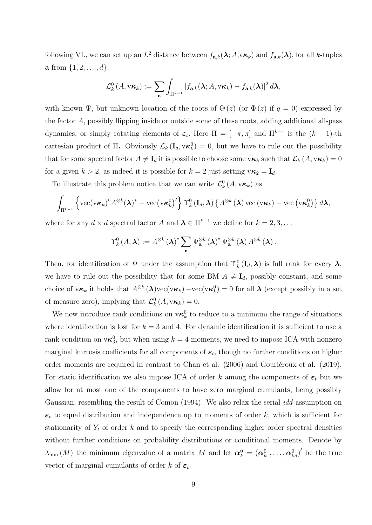following VL, we can set up an  $L^2$  distance between  $f_{\mathbf{a},k}(\lambda; A, v\kappa_k)$  and  $f_{\mathbf{a},k}(\lambda)$ , for all k-tuples **a** from  $\{1, 2, ..., d\}$ ,

$$
\mathcal{L}^0_k\left(A, v\kappa_k\right) := \sum_{\mathbf{a}} \int_{\Pi^{k-1}} \left|f_{\mathbf{a},k}(\boldsymbol{\lambda}; A, v\kappa_k) - f_{\mathbf{a},k}(\boldsymbol{\lambda})\right|^2 d\boldsymbol{\lambda},
$$

with known  $\Psi$ , but unknown location of the roots of  $\Theta(z)$  (or  $\Phi(z)$  if  $q = 0$ ) expressed by the factor A, possibly flipping inside or outside some of these roots, adding additional all-pass dynamics, or simply rotating elements of  $\varepsilon_t$ . Here  $\Pi = [-\pi, \pi]$  and  $\Pi^{k-1}$  is the  $(k-1)$ -th cartesian product of  $\Pi$ . Obviously  $\mathcal{L}_k(\mathbf{I}_d, \mathbf{v}\kappa_k^0) = 0$ , but we have to rule out the possibility that for some spectral factor  $A \neq I_d$  it is possible to choose some  $v\kappa_k$  such that  $\mathcal{L}_k(A, v\kappa_k) = 0$ for a given  $k > 2$ , as indeed it is possible for  $k = 2$  just setting  $v\kappa_2 = I_d$ .

To illustrate this problem notice that we can write  $\mathcal{L}_{k}^{0}(A, v \kappa_{k})$  as

$$
\int_{\Pi^{k-1}} \left\{ \text{vec}(\mathbf{v}\boldsymbol{\kappa}_k)' A^{\otimes k}(\boldsymbol{\lambda})^* - \text{vec}\big(\mathbf{v}\boldsymbol{\kappa}_k^0\big)' \right\} \Upsilon_k^0(\mathbf{I}_d, \boldsymbol{\lambda}) \left\{ A^{\otimes k}(\boldsymbol{\lambda}) \text{vec}(\mathbf{v}\boldsymbol{\kappa}_k) - \text{vec}\big(\mathbf{v}\boldsymbol{\kappa}_k^0\big) \right\} d\boldsymbol{\lambda},
$$

where for any  $d \times d$  spectral factor A and  $\lambda \in \Pi^{k-1}$  we define for  $k = 2, 3, \ldots$ 

$$
\Upsilon_k^0(A,\boldsymbol{\lambda}):=A^{\otimes k}(\boldsymbol{\lambda})^*\sum_{\mathbf{a}}\Psi_{\mathbf{a}}^{\otimes k}(\boldsymbol{\lambda})^*\Psi_{\mathbf{a}}^{\otimes k}(\boldsymbol{\lambda})A^{\otimes k}(\boldsymbol{\lambda}).
$$

Then, for identification of  $\Psi$  under the assumption that  $\Upsilon_k^0(\mathbf{I}_d,\boldsymbol{\lambda})$  is full rank for every  $\boldsymbol{\lambda}$ , we have to rule out the possibility that for some BM  $A \neq I_d$ , possibly constant, and some choice of  $v\kappa_k$  it holds that  $A^{\otimes k}(\lambda)$ vec $(v\kappa_k)$  –vec $(v\kappa_k^0)=0$  for all  $\lambda$  (except possibly in a set of measure zero), implying that  $\mathcal{L}_{k}^{0}(A, v\kappa_{k}) = 0$ .

We now introduce rank conditions on  $\mathbf{v}\boldsymbol{\kappa}_k^0$  to reduce to a minimum the range of situations where identification is lost for  $k = 3$  and 4. For dynamic identification it is sufficient to use a rank condition on  $v\kappa_3^0$ , but when using  $k = 4$  moments, we need to impose ICA with nonzero marginal kurtosis coefficients for all components of  $\varepsilon_t$ , though no further conditions on higher order moments are required in contrast to Chan et al.  $(2006)$  and Gouriéroux et al.  $(2019)$ . For static identification we also impose ICA of order k among the components of  $\varepsilon_t$  but we allow for at most one of the components to have zero marginal cumulants, being possibly Gaussian, resembling the result of Comon (1994). We also relax the serial idd assumption on  $\varepsilon_t$  to equal distribution and independence up to moments of order k, which is sufficient for stationarity of  $Y_t$  of order k and to specify the corresponding higher order spectral densities without further conditions on probability distributions or conditional moments. Denote by  $\lambda_{\min}(M)$  the minimum eigenvalue of a matrix M and let  $\boldsymbol{\alpha}_k^0 = (\boldsymbol{\alpha}_{k1}^0, \ldots, \boldsymbol{\alpha}_{kd}^0)'$  be the true vector of marginal cumulants of order  $k$  of  $\varepsilon_t$ .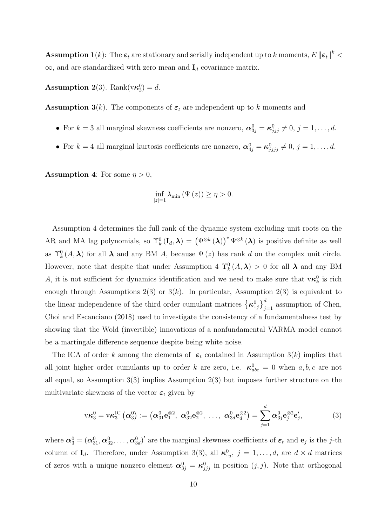**Assumption 1**(k): The  $\varepsilon_t$  are stationary and serially independent up to k moments,  $E\left\|\varepsilon_t\right\|^k$  $\infty$ , and are standardized with zero mean and  $I_d$  covariance matrix.

**Assumption 2**(3). Rank( $v\kappa_3^0$ ) = d.

**Assumption 3**(k). The components of  $\varepsilon_t$  are independent up to k moments and

- For  $k = 3$  all marginal skewness coefficients are nonzero,  $\alpha_{3j}^0 = \kappa_{jjj}^0 \neq 0, j = 1, \ldots, d$ .
- For  $k = 4$  all marginal kurtosis coefficients are nonzero,  $\alpha_{4j}^0 = \kappa_{jjjj}^0 \neq 0, j = 1, \ldots, d$ .

**Assumption 4:** For some  $\eta > 0$ ,

$$
\inf_{|z|=1} \lambda_{\min} \left( \Psi \left( z \right) \right) \ge \eta > 0.
$$

Assumption 4 determines the full rank of the dynamic system excluding unit roots on the AR and MA lag polynomials, so  $\Upsilon_k^0(\mathbf{I}_d, \boldsymbol{\lambda}) = (\Psi^{\otimes k}(\boldsymbol{\lambda}))^* \Psi^{\otimes k}(\boldsymbol{\lambda})$  is positive definite as well as  $\Upsilon_k^0(A,\lambda)$  for all  $\lambda$  and any BM A, because  $\Psi(z)$  has rank d on the complex unit circle. However, note that despite that under Assumption 4  $\Upsilon_k^0(A,\lambda) > 0$  for all  $\lambda$  and any BM A, it is not sufficient for dynamics identification and we need to make sure that  $\mathbf{v}\boldsymbol{\kappa}_k^0$  is rich enough through Assumptions 2(3) or  $3(k)$ . In particular, Assumption 2(3) is equivalent to the linear independence of the third order cumulant matrices  $\{\kappa^0_{\cdot,j}\}_{j=1}^d$  assumption of Chen, Choi and Escanciano (2018) used to investigate the consistency of a fundamentalness test by showing that the Wold (invertible) innovations of a nonfundamental VARMA model cannot be a martingale difference sequence despite being white noise.

The ICA of order k among the elements of  $\varepsilon_t$  contained in Assumption 3(k) implies that all joint higher order cumulants up to order k are zero, i.e.  $\kappa_{abc}^0 = 0$  when  $a, b, c$  are not all equal, so Assumption 3(3) implies Assumption 2(3) but imposes further structure on the multivariate skewness of the vector  $\varepsilon_t$  given by

<span id="page-9-0"></span>
$$
\mathbf{v}\boldsymbol{\kappa}_3^0 = \mathbf{v}\boldsymbol{\kappa}_3^{IC}(\boldsymbol{\alpha}_3^0) := (\boldsymbol{\alpha}_{31}^0\mathbf{e}_1^{\otimes 2}, \ \boldsymbol{\alpha}_{32}^0\mathbf{e}_2^{\otimes 2}, \ \ldots, \ \boldsymbol{\alpha}_{3d}^0\mathbf{e}_d^{\otimes 2}) = \sum_{j=1}^d \boldsymbol{\alpha}_{3j}^0\mathbf{e}_j^{\otimes 2}\mathbf{e}_j', \tag{3}
$$

where  $\alpha_3^0 = (\alpha_{31}^0, \alpha_{32}^0, \dots, \alpha_{3d}^0)'$  are the marginal skewness coefficients of  $\varepsilon_t$  and  $e_j$  is the *j*-th column of  $I_d$ . Therefore, under Assumption 3(3), all  $\kappa^0_{i,j}$ ,  $j = 1, \ldots, d$ , are  $d \times d$  matrices of zeros with a unique nonzero element  $\alpha_{3j}^0 = \kappa_{jjj}^0$  in position  $(j, j)$ . Note that orthogonal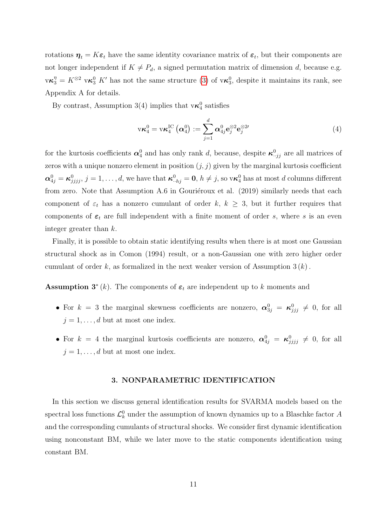rotations  $\eta_t = K \varepsilon_t$  have the same identity covariance matrix of  $\varepsilon_t$ , but their components are not longer independent if  $K \neq P_d$ , a signed permutation matrix of dimension d, because e.g.  $\nabla \kappa_3^{\eta} = K^{\otimes 2} \nabla \kappa_3^0$  K' has not the same structure [\(3\)](#page-9-0) of  $\nabla \kappa_3^0$ , despite it maintains its rank, see Appendix A for details.

By contrast, Assumption 3(4) implies that  $v\kappa_4^0$  satisfies

<span id="page-10-1"></span>
$$
v\kappa_4^0 = v\kappa_4^{IC}(\boldsymbol{\alpha}_4^0) := \sum_{j=1}^d \boldsymbol{\alpha}_{4j}^0 e_j^{\otimes 2} e_j^{\otimes 2j}
$$
(4)

for the kurtosis coefficients  $\alpha_4^0$  and has only rank d, because, despite  $\kappa_{\cdot \cdot jj}^0$  are all matrices of zeros with a unique nonzero element in position  $(j, j)$  given by the marginal kurtosis coefficient  $\alpha_{4j}^0 = \kappa_{jjjj}^0, j = 1, \ldots, d$ , we have that  $\kappa_{-hj}^0 = 0, h \neq j$ , so  $\mathsf{v}\kappa_4^0$  has at most d columns different from zero. Note that Assumption A.6 in Gouriéroux et al.  $(2019)$  similarly needs that each component of  $\varepsilon_t$  has a nonzero cumulant of order k,  $k \geq 3$ , but it further requires that components of  $\varepsilon_t$  are full independent with a finite moment of order s, where s is an even integer greater than k.

Finally, it is possible to obtain static identifying results when there is at most one Gaussian structural shock as in Comon (1994) result, or a non-Gaussian one with zero higher order cumulant of order k, as formalized in the next weaker version of Assumption  $3(k)$ .

**Assumption 3<sup>\*</sup>** (k). The components of  $\varepsilon_t$  are independent up to k moments and

- For  $k = 3$  the marginal skewness coefficients are nonzero,  $\alpha_{3j}^0 = \kappa_{jjj}^0 \neq 0$ , for all  $j = 1, \ldots, d$  but at most one index.
- For  $k = 4$  the marginal kurtosis coefficients are nonzero,  $\alpha_{4j}^0 = \kappa_{jjjj}^0 \neq 0$ , for all  $j = 1, \ldots, d$  but at most one index.

# 3. NONPARAMETRIC IDENTIFICATION

<span id="page-10-0"></span>In this section we discuss general identification results for SVARMA models based on the spectral loss functions  $\mathcal{L}_k^0$  under the assumption of known dynamics up to a Blaschke factor A and the corresponding cumulants of structural shocks. We consider first dynamic identification using nonconstant BM, while we later move to the static components identification using constant BM.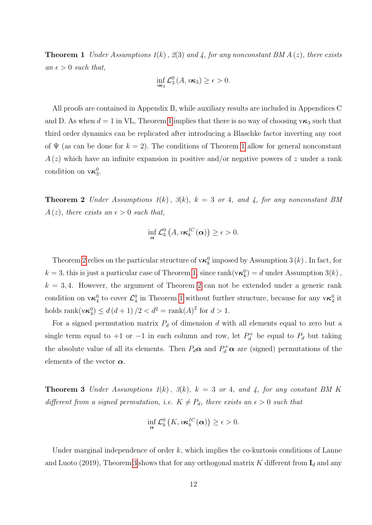**Theorem 1** Under Assumptions  $1(k)$ ,  $2(3)$  and 4, for any nonconstant BM  $A(z)$ , there exists an  $\epsilon > 0$  such that,

$$
\inf_{v\kappa_3}\mathcal{L}_3^0(A,v\kappa_3)\geq\epsilon>0.
$$

All proofs are contained in Appendix B, while auxiliary results are included in Appendices C and D. As when  $d = 1$  $d = 1$  in VL, Theorem 1 implies that there is no way of choosing  $v\kappa_3$  such that third order dynamics can be replicated after introducing a Blaschke factor inverting any root of  $\Psi$  (as can be done for  $k = 2$ ). The conditions of Theorem [1](#page-10-0) allow for general nonconstant  $A(z)$  which have an infinite expansion in positive and/or negative powers of z under a rank condition on  $v\kappa_3^0$ .

<span id="page-11-0"></span>**Theorem 2** Under Assumptions  $1(k)$ ,  $3(k)$ ,  $k = 3$  or 4, and 4, for any nonconstant BM  $A(z)$ , there exists an  $\epsilon > 0$  such that,

$$
\inf_{\mathbf{\alpha}} \mathcal{L}_{k}^{0}\left(A, v\kappa_{k}^{IC}(\mathbf{\alpha})\right) \geq \epsilon > 0.
$$

Theorem [2](#page-11-0) relies on the particular structure of  $\vee \kappa_k^0$  imposed by Assumption 3  $(k)$  . In fact, for  $k = 3$ , this is just a particular case of Theorem [1,](#page-10-0) since rank( $v \kappa_k^0$ ) = d under Assumption 3(k),  $k = 3, 4$ . However, the argument of Theorem [2](#page-11-0) can not be extended under a generic rank condition on  $v\kappa_4^0$  to cover  $\mathcal{L}_4^0$  in Theorem [1](#page-10-0) without further structure, because for any  $v\kappa_4^0$  it holds  $\text{rank}(v\kappa_4^0) \le d(d+1)/2 < d^2 = \text{rank}(A)^2$  for  $d > 1$ .

For a signed permutation matrix  $P_d$  of dimension d with all elements equal to zero but a single term equal to +1 or -1 in each column and row, let  $P_d^+$  $b_d^+$  be equal to  $P_d$  but taking the absolute value of all its elements. Then  $P_d\alpha$  and  $P_d^+\alpha$  are (signed) permutations of the elements of the vector  $\alpha$ .

<span id="page-11-1"></span>**Theorem 3** Under Assumptions  $1(k)$ ,  $3(k)$ ,  $k = 3$  or 4, and 4, for any constant BM K different from a signed permutation, i.e.  $K \neq P_d$ , there exists an  $\epsilon > 0$  such that

$$
\inf_{\mathbf{\alpha}} \mathcal{L}_{k}^{0}\left(K, v\kappa_{k}^{IC}(\mathbf{\alpha})\right) \geq \epsilon > 0.
$$

Under marginal independence of order  $k$ , which implies the co-kurtosis conditions of Lanne and Luoto (2019), Theorem [3](#page-11-1) shows that for any orthogonal matrix  $K$  different from  $\mathbf{I}_d$  and any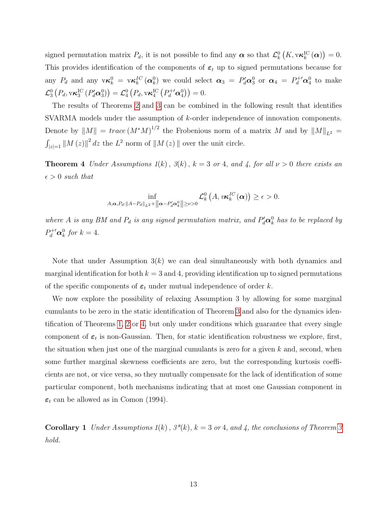signed permutation matrix  $P_d$ , it is not possible to find any  $\boldsymbol{\alpha}$  so that  $\mathcal{L}_k^0(K, v \kappa_k^{\text{IC}}(\boldsymbol{\alpha})) = 0$ . This provides identification of the components of  $\varepsilon_t$  up to signed permutations because for any  $P_d$  and any  $\mathbf{v}\kappa_k^0 = \mathbf{v}\kappa_k^{IC}(\alpha_k^0)$  we could select  $\alpha_3 = P_d^{\prime}\alpha_3^0$  or  $\alpha_4 = P_d^{\prime\prime}\alpha_4^0$  to make  $\mathcal{L}_{3}^{0}\left(P_{d},\mathbf{v}\boldsymbol{\kappa}_{3}^{\mathrm{IC}}\left(P_{d}^{\prime}\boldsymbol{\alpha}_{3}^{0}\right)\right)=\mathcal{L}_{4}^{0}\left(P_{d},\mathbf{v}\boldsymbol{\kappa}_{4}^{\mathrm{IC}}\left(P_{d}^{+\prime}\boldsymbol{\alpha}_{4}^{0}\right)\right)=0.$ 

The results of Theorems [2](#page-11-0) and [3](#page-11-1) can be combined in the following result that identifies SVARMA models under the assumption of k-order independence of innovation components. Denote by  $||M|| = trace(M^*M)^{1/2}$  the Frobenious norm of a matrix M and by  $||M||_{L^2}$  =  $\int_{|z|=1} \|M(z)\|^2 dz$  the  $L^2$  norm of  $\|M(z)\|$  over the unit circle.

<span id="page-12-0"></span>**Theorem 4** Under Assumptions  $1(k)$ ,  $3(k)$ ,  $k = 3$  or 4, and 4, for all  $\nu > 0$  there exists an  $\epsilon > 0$  such that

$$
\inf_{A,\boldsymbol{\alpha},P_d:\|A-P_d\|_{L^2}+\|\boldsymbol{\alpha}-P'_d\boldsymbol{\alpha}_k^0\|\geq \nu>0}\mathcal{L}_k^0(A,\nu\boldsymbol{\kappa}_k^{IC}(\boldsymbol{\alpha}))\geq \epsilon>0.
$$

where A is any BM and  $P_d$  is any signed permutation matrix, and  $P'_d \alpha_k^0$  has to be replaced by  $P_d^{+\prime} \alpha_k^0$  for  $k=4$ .

Note that under Assumption  $3(k)$  we can deal simultaneously with both dynamics and marginal identification for both  $k = 3$  and 4, providing identification up to signed permutations of the specific components of  $\varepsilon_t$  under mutual independence of order k.

We now explore the possibility of relaxing Assumption 3 by allowing for some marginal cumulants to be zero in the static identification of Theorem [3](#page-11-1) and also for the dynamics identification of Theorems [1,](#page-10-0) [2](#page-11-0) or [4,](#page-12-0) but only under conditions which guarantee that every single component of  $\varepsilon_t$  is non-Gaussian. Then, for static identification robustness we explore, first, the situation when just one of the marginal cumulants is zero for a given  $k$  and, second, when some further marginal skewness coefficients are zero, but the corresponding kurtosis coefficients are not, or vice versa, so they mutually compensate for the lack of identification of some particular component, both mechanisms indicating that at most one Gaussian component in  $\varepsilon_t$  can be allowed as in Comon (1994).

<span id="page-12-1"></span>**Corollary 1** Under Assumptions  $1(k)$ ,  $3^*(k)$ ,  $k = 3$  $k = 3$  or 4, and 4, the conclusions of Theorem 3 hold.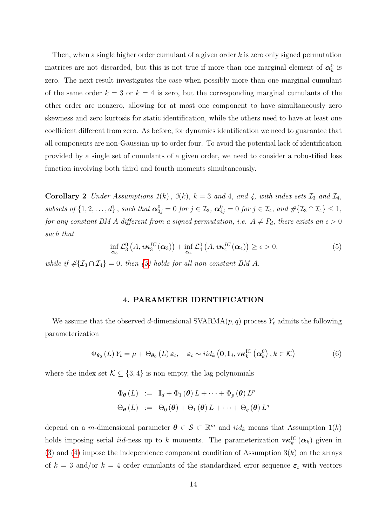Then, when a single higher order cumulant of a given order k is zero only signed permutation matrices are not discarded, but this is not true if more than one marginal element of  $\alpha_k^0$  is zero. The next result investigates the case when possibly more than one marginal cumulant of the same order  $k = 3$  or  $k = 4$  is zero, but the corresponding marginal cumulants of the other order are nonzero, allowing for at most one component to have simultaneously zero skewness and zero kurtosis for static identification, while the others need to have at least one coefficient different from zero. As before, for dynamics identification we need to guarantee that all components are non-Gaussian up to order four. To avoid the potential lack of identification provided by a single set of cumulants of a given order, we need to consider a robustified loss function involving both third and fourth moments simultaneously.

<span id="page-13-2"></span>**Corollary 2** Under Assumptions  $1(k)$ ,  $3(k)$ ,  $k = 3$  and 4, and 4, with index sets  $\mathcal{I}_3$  and  $\mathcal{I}_4$ , subsets of  $\{1, 2, ..., d\}$ , such that  $\alpha_{3j}^0 = 0$  for  $j \in \mathcal{I}_3$ ,  $\alpha_{4j}^0 = 0$  for  $j \in \mathcal{I}_4$ , and  $\#\{\mathcal{I}_3 \cap \mathcal{I}_4\} \leq 1$ , for any constant BM A different from a signed permutation, i.e.  $A \neq P_d$ , there exists an  $\epsilon > 0$ such that

<span id="page-13-0"></span>
$$
\inf_{\alpha_3} \mathcal{L}_3^0(A, v\kappa_3^{IC}(\alpha_3)) + \inf_{\alpha_4} \mathcal{L}_4^0(A, v\kappa_4^{IC}(\alpha_4)) \ge \epsilon > 0,
$$
\n(5)

while if  $\#\{\mathcal{I}_3 \cap \mathcal{I}_4\} = 0$ , then [\(5\)](#page-13-0) holds for all non constant BM A.

# 4. PARAMETER IDENTIFICATION

We assume that the observed d-dimensional SVARMA $(p, q)$  process  $Y_t$  admits the following parameterization

<span id="page-13-1"></span>
$$
\Phi_{\theta_0}(L) Y_t = \mu + \Theta_{\theta_0}(L) \, \varepsilon_t, \quad \varepsilon_t \sim i i d_k \left( \mathbf{0}, \mathbf{I}_d, \mathbf{v} \kappa_k^{\text{IC}}\left( \alpha_k^0 \right), k \in \mathcal{K} \right) \tag{6}
$$

where the index set  $\mathcal{K} \subseteq \{3, 4\}$  is non empty, the lag polynomials

$$
\Phi_{\theta}(L) := \mathbf{I}_{d} + \Phi_{1}(\theta) L + \cdots + \Phi_{p}(\theta) L^{p}
$$
  

$$
\Theta_{\theta}(L) := \Theta_{0}(\theta) + \Theta_{1}(\theta) L + \cdots + \Theta_{q}(\theta) L^{q}
$$

depend on a *m*-dimensional parameter  $\boldsymbol{\theta} \in \mathcal{S} \subset \mathbb{R}^m$  and  $iid_k$  means that Assumption 1(k) holds imposing serial *iid*-ness up to k moments. The parameterization  $\mathbf{v}\kappa_k^{\text{IC}}(\mathbf{\alpha}_k)$  given in [\(3\)](#page-9-0) and [\(4\)](#page-10-1) impose the independence component condition of Assumption  $3(k)$  on the arrays of  $k = 3$  and/or  $k = 4$  order cumulants of the standardized error sequence  $\varepsilon_t$  with vectors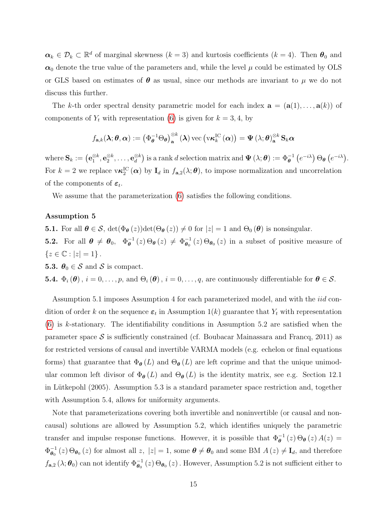$\alpha_k \in \mathcal{D}_k \subset \mathbb{R}^d$  of marginal skewness  $(k=3)$  and kurtosis coefficients  $(k=4)$ . Then  $\theta_0$  and  $\alpha_0$  denote the true value of the parameters and, while the level  $\mu$  could be estimated by OLS or GLS based on estimates of  $\theta$  as usual, since our methods are invariant to  $\mu$  we do not discuss this further.

The k-th order spectral density parametric model for each index  $\mathbf{a} = (\mathbf{a}(1), \dots, \mathbf{a}(k))$  of components of  $Y_t$  with representation [\(6\)](#page-13-1) is given for  $k = 3, 4$ , by

$$
f_{\mathbf{a},k}(\boldsymbol{\lambda};\boldsymbol{\theta},\boldsymbol{\alpha}):=\left(\Phi_{\boldsymbol{\theta}}^{-1}\Theta_{\boldsymbol{\theta}}\right)_{\mathbf{a}}^{\otimes k}\left(\boldsymbol{\lambda}\right)\operatorname{vec}\left(\operatorname{v}\boldsymbol{\kappa}_{k}^{\mathrm{IC}}\left(\boldsymbol{\alpha}\right)\right)=\Psi\left(\lambda;\boldsymbol{\theta}\right)_{\mathbf{a}}^{\otimes k}\mathbf{S}_{k}\boldsymbol{\alpha}
$$

where  $\mathbf{S}_k := \left( \mathbf{e}^{\otimes k}_1, \mathbf{e}^{\otimes k}_2, \dots, \mathbf{e}^{\otimes k}_d \right)$  $\left(\begin{smallmatrix} \otimes k\ d \end{smallmatrix}\right)$  is a rank d selection matrix and  $\boldsymbol{\Psi}\left(\lambda;\boldsymbol{\theta}\right) := \Phi_{\boldsymbol{\theta}}^{-1}\left(e^{-i\lambda}\right)\Theta_{\boldsymbol{\theta}}\left(e^{-i\lambda}\right).$ For  $k=2$  we replace  $v\kappa_2^{\text{IC}}(\alpha)$  by  $I_d$  in  $f_{a,2}(\lambda;\theta)$ , to impose normalization and uncorrelation of the components of  $\varepsilon_t$ .

We assume that the parameterization  $(6)$  satisfies the following conditions.

#### Assumption 5

**5.1.** For all  $\theta \in \mathcal{S}$ ,  $\det(\Phi_{\theta}(z))\det(\Theta_{\theta}(z)) \neq 0$  for  $|z| = 1$  and  $\Theta_{0}(\theta)$  is nonsingular.

**5.2.** For all  $\boldsymbol{\theta} \neq \boldsymbol{\theta}_0, \ \ \Phi_{\boldsymbol{\theta}}^{-1}$  $\theta_{\theta}^{-1}(z) \Theta_{\theta}(z) \neq \Phi_{\theta_0}^{-1}(z) \Theta_{\theta_0}(z)$  in a subset of positive measure of  ${z \in \mathbb{C} : |z| = 1}.$ 

**5.3.**  $\boldsymbol{\theta}_0 \in \mathcal{S}$  and  $\mathcal{S}$  is compact.

**5.4.**  $\Phi_i(\boldsymbol{\theta})$ ,  $i = 0, \ldots, p$ , and  $\Theta_i(\boldsymbol{\theta})$ ,  $i = 0, \ldots, q$ , are continuously differentiable for  $\boldsymbol{\theta} \in \mathcal{S}$ .

Assumption 5.1 imposes Assumption 4 for each parameterized model, and with the iid condition of order k on the sequence  $\varepsilon_t$  in Assumption 1(k) guarantee that  $Y_t$  with representation [\(6\)](#page-13-1) is k-stationary. The identifiability conditions in Assumption 5.2 are satisfied when the parameter space  $S$  is sufficiently constrained (cf. Boubacar Mainassara and Francq, 2011) as for restricted versions of causal and invertible VARMA models (e.g. echelon or final equations forms) that guarantee that  $\Phi_{\theta}(L)$  and  $\Theta_{\theta}(L)$  are left coprime and that the unique unimodular common left divisor of  $\Phi_{\theta}(L)$  and  $\Theta_{\theta}(L)$  is the identity matrix, see e.g. Section 12.1 in Lütkepohl  $(2005)$ . Assumption 5.3 is a standard parameter space restriction and, together with Assumption 5.4, allows for uniformity arguments.

Note that parameterizations covering both invertible and noninvertible (or causal and noncausal) solutions are allowed by Assumption 5.2, which identifies uniquely the parametric transfer and impulse response functions. However, it is possible that  $\Phi_{\theta}^{-1}(z) \Theta_{\theta}(z) A(z) =$  $\Phi_{\boldsymbol{\theta}_{\alpha}}^{-1}$  $\theta_{\theta_0}^{-1}(z) \Theta_{\theta_0}(z)$  for almost all z,  $|z|=1$ , some  $\theta \neq \theta_0$  and some BM  $A(z) \neq I_d$ , and therefore  $f_{\mathbf{a},2}(\lambda;\boldsymbol{\theta}_0)$  can not identify  $\Phi_{\boldsymbol{\theta}_0}^{-1}(z) \Theta_{\boldsymbol{\theta}_0}(z)$ . However, Assumption 5.2 is not sufficient either to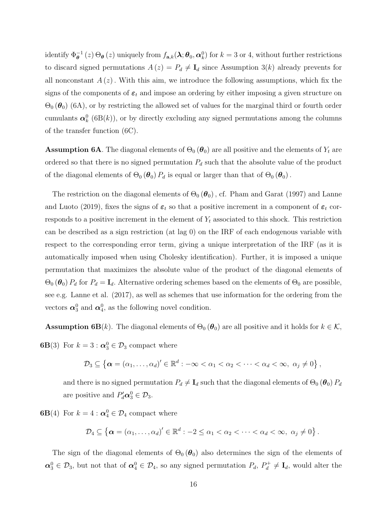identify  $\Phi^{-1}_{\theta}(z) \Theta_{\theta}(z)$  uniquely from  $f_{\mathbf{a},k}(\lambda; \theta_0, \alpha_k^0)$  for  $k = 3$  or 4, without further restrictions to discard signed permutations  $A(z) = P_d \neq I_d$  since Assumption 3(k) already prevents for all nonconstant  $A(z)$ . With this aim, we introduce the following assumptions, which fix the signs of the components of  $\varepsilon_t$  and impose an ordering by either imposing a given structure on  $\Theta_0(\theta_0)$  (6A), or by restricting the allowed set of values for the marginal third or fourth order cumulants  $\alpha_k^0$  (6B(k)), or by directly excluding any signed permutations among the columns of the transfer function (6C).

**Assumption 6A**. The diagonal elements of  $\Theta_0(\theta_0)$  are all positive and the elements of  $Y_t$  are ordered so that there is no signed permutation  $P_d$  such that the absolute value of the product of the diagonal elements of  $\Theta_0(\theta_0) P_d$  is equal or larger than that of  $\Theta_0(\theta_0)$ .

The restriction on the diagonal elements of  $\Theta_0(\theta_0)$ , cf. Pham and Garat (1997) and Lanne and Luoto (2019), fixes the signs of  $\varepsilon_t$  so that a positive increment in a component of  $\varepsilon_t$  corresponds to a positive increment in the element of  $Y_t$  associated to this shock. This restriction can be described as a sign restriction (at lag 0) on the IRF of each endogenous variable with respect to the corresponding error term, giving a unique interpretation of the IRF (as it is automatically imposed when using Cholesky identification). Further, it is imposed a unique permutation that maximizes the absolute value of the product of the diagonal elements of  $\Theta_0 (\theta_0) P_d$  for  $P_d = I_d$ . Alternative ordering schemes based on the elements of  $\Theta_0$  are possible, see e.g. Lanne et al. (2017), as well as schemes that use information for the ordering from the vectors  $\alpha_3^0$  and  $\alpha_4^0$ , as the following novel condition.

**Assumption 6B**(k). The diagonal elements of  $\Theta_0(\theta_0)$  are all positive and it holds for  $k \in \mathcal{K}$ , **6B**(3) For  $k = 3 : \mathbf{\alpha}_3^0 \in \mathcal{D}_3$  compact where

$$
\mathcal{D}_3 \subseteq \left\{ \boldsymbol{\alpha} = (\alpha_1, \ldots, \alpha_d)' \in \mathbb{R}^d : -\infty < \alpha_1 < \alpha_2 < \cdots < \alpha_d < \infty, \ \alpha_j \neq 0 \right\},\
$$

and there is no signed permutation  $P_d \neq I_d$  such that the diagonal elements of  $\Theta_0(\theta_0) P_d$ are positive and  $P'_d \mathbf{\alpha}_3^0 \in \mathcal{D}_3$ .

**6B**(4) For  $k = 4$ :  $\alpha_4^0 \in \mathcal{D}_4$  compact where

$$
\mathcal{D}_4 \subseteq \left\{ \boldsymbol{\alpha} = (\alpha_1, \ldots, \alpha_d)' \in \mathbb{R}^d : -2 \leq \alpha_1 < \alpha_2 < \cdots < \alpha_d < \infty, \ \alpha_j \neq 0 \right\}.
$$

The sign of the diagonal elements of  $\Theta_0(\theta_0)$  also determines the sign of the elements of  $\alpha_3^0 \in \mathcal{D}_3$ , but not that of  $\alpha_4^0 \in \mathcal{D}_4$ , so any signed permutation  $P_d$ ,  $P_d^+ \neq I_d$ , would alter the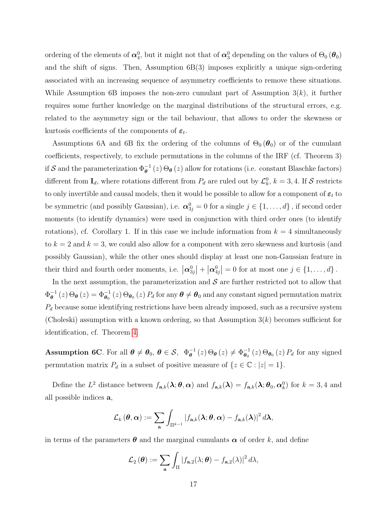ordering of the elements of  $\alpha_4^0$ , but it might not that of  $\alpha_3^0$  depending on the values of  $\Theta_0 (\theta_0)$ and the shift of signs. Then, Assumption  $6B(3)$  imposes explicitly a unique sign-ordering associated with an increasing sequence of asymmetry coefficients to remove these situations. While Assumption 6B imposes the non-zero cumulant part of Assumption  $3(k)$ , it further requires some further knowledge on the marginal distributions of the structural errors, e.g. related to the asymmetry sign or the tail behaviour, that allows to order the skewness or kurtosis coefficients of the components of  $\varepsilon_t$ .

Assumptions 6A and 6B fix the ordering of the columns of  $\Theta_0(\theta_0)$  or of the cumulant coefficients, respectively, to exclude permutations in the columns of the IRF (cf. Theorem 3) if S and the parameterization  $\Phi_{\theta}^{-1}(z) \Theta_{\theta}(z)$  allow for rotations (i.e. constant Blaschke factors) different from  $I_d$ , where rotations different from  $P_d$  are ruled out by  $\mathcal{L}_k^0$ ,  $k = 3, 4$ . If S restricts to only invertible and causal models, then it would be possible to allow for a component of  $\varepsilon_t$  to be symmetric (and possibly Gaussian), i.e.  $\alpha_{3j}^0 = 0$  for a single  $j \in \{1, ..., d\}$ , if second order moments (to identify dynamics) were used in conjunction with third order ones (to identify rotations), cf. Corollary 1. If in this case we include information from  $k = 4$  simultaneously to  $k = 2$  and  $k = 3$ , we could also allow for a component with zero skewness and kurtosis (and possibly Gaussian), while the other ones should display at least one non-Gaussian feature in their third and fourth order moments, i.e.  $\left|\boldsymbol{\alpha}_{3j}^{0}\right| + \left|\boldsymbol{\alpha}_{4j}^{0}\right| = 0$  for at most one  $j \in \{1, ..., d\}$ .

In the next assumption, the parameterization and  $S$  are further restricted not to allow that  $\Phi_{\boldsymbol{\theta}}^{-1}$  $\theta_{\theta}^{-1}(z) \Theta_{\theta}(z) = \Phi_{\theta_0}^{-1}(z) \Theta_{\theta_0}(z) P_d$  for any  $\theta \neq \theta_0$  and any constant signed permutation matrix  $P_d$  because some identifying restrictions have been already imposed, such as a recursive system (Choleski) assumption with a known ordering, so that Assumption  $3(k)$  becomes sufficient for identification, cf. Theorem [4.](#page-12-0)

**Assumption 6C**. For all  $\boldsymbol{\theta} \neq \boldsymbol{\theta}_0$ ,  $\boldsymbol{\theta} \in \mathcal{S}$ ,  $\Phi_{\boldsymbol{\theta}}^{-1}(z) \Theta_{\boldsymbol{\theta}}(z) \neq \Phi_{\boldsymbol{\theta}_0}^{-1}(z) \Theta_{\boldsymbol{\theta}_0}(z) P_d$  for any signed permutation matrix  $P_d$  in a subset of positive measure of  $\{z \in \mathbb{C} : |z| = 1\}.$ 

Define the  $L^2$  distance between  $f_{\mathbf{a},k}(\lambda;\theta,\alpha)$  and  $f_{\mathbf{a},k}(\lambda) = f_{\mathbf{a},k}(\lambda;\theta_0,\alpha_k^0)$  for  $k = 3,4$  and all possible indices a,

$$
\mathcal{L}_{k}(\boldsymbol{\theta},\boldsymbol{\alpha}):=\sum_{\mathbf{a}}\int_{\Pi^{k-1}}\left|f_{\mathbf{a},k}(\boldsymbol{\lambda};\boldsymbol{\theta},\boldsymbol{\alpha})-f_{\mathbf{a},k}(\boldsymbol{\lambda})\right|^{2}d\boldsymbol{\lambda},
$$

in terms of the parameters  $\boldsymbol{\theta}$  and the marginal cumulants  $\boldsymbol{\alpha}$  of order k, and define

$$
\mathcal{L}_2(\boldsymbol{\theta}) := \sum_{\mathbf{a}} \int_{\Pi} |f_{\mathbf{a},2}(\lambda;\boldsymbol{\theta}) - f_{\mathbf{a},2}(\lambda)|^2 d\lambda,
$$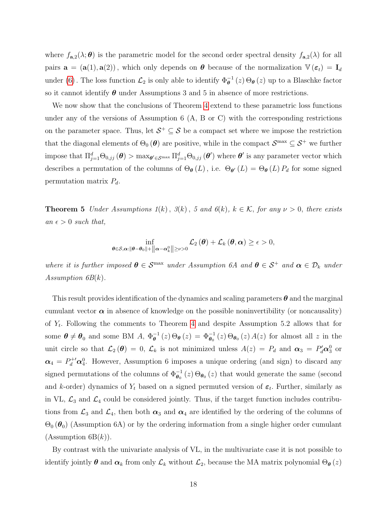where  $f_{\mathbf{a},2}(\lambda;\boldsymbol{\theta})$  is the parametric model for the second order spectral density  $f_{\mathbf{a},2}(\lambda)$  for all pairs  $\mathbf{a} = (\mathbf{a}(1), \mathbf{a}(2))$ , which only depends on  $\boldsymbol{\theta}$  because of the normalization  $\mathbb{V}(\boldsymbol{\varepsilon}_t) = \mathbf{I}_d$ under [\(6\)](#page-13-1). The loss function  $\mathcal{L}_2$  is only able to identify  $\Phi_{\theta}^{-1}(z) \Theta_{\theta}(z)$  up to a Blaschke factor so it cannot identify  $\theta$  under Assumptions 3 and 5 in absence of more restrictions.

We now show that the conclusions of Theorem [4](#page-12-0) extend to these parametric loss functions under any of the versions of Assumption 6 (A, B or C) with the corresponding restrictions on the parameter space. Thus, let  $S^+ \subseteq S$  be a compact set where we impose the restriction that the diagonal elements of  $\Theta_0(\theta)$  are positive, while in the compact  $\mathcal{S}^{\max} \subseteq \mathcal{S}^+$  we further impose that  $\Pi_{j=1}^d\Theta_{0,jj}(\boldsymbol{\theta}) > \max_{\boldsymbol{\theta}'\in\mathcal{S}^{\max}}\Pi_{j=1}^d\Theta_{0,jj}(\boldsymbol{\theta}')$  where  $\boldsymbol{\theta}'$  is any parameter vector which describes a permutation of the columns of  $\Theta_{\theta}(L)$ , i.e.  $\Theta_{\theta}(L) = \Theta_{\theta}(L) P_d$  for some signed permutation matrix  $P_d$ .

<span id="page-17-0"></span>**Theorem 5** Under Assumptions  $1(k)$ ,  $3(k)$ , 5 and  $6(k)$ ,  $k \in K$ , for any  $\nu > 0$ , there exists an  $\epsilon > 0$  such that,

$$
\inf_{\theta\in\mathcal{S},\boldsymbol{\alpha}:\|\boldsymbol{\theta}-\boldsymbol{\theta}_0\|+\|\boldsymbol{\alpha}-\boldsymbol{\alpha}_k^0\|\geq \nu>0}\mathcal{L}_2\left(\boldsymbol{\theta}\right)+\mathcal{L}_k\left(\boldsymbol{\theta},\boldsymbol{\alpha}\right)\geq \epsilon>0,
$$

where it is further imposed  $\theta \in \mathcal{S}^{\text{max}}$  under Assumption 6A and  $\theta \in \mathcal{S}^+$  and  $\alpha \in \mathcal{D}_k$  under Assumption  $6B(k)$ .

This result provides identification of the dynamics and scaling parameters  $\theta$  and the marginal cumulant vector  $\alpha$  in absence of knowledge on the possible noninvertibility (or noncausality) of  $Y_t$ . Following the comments to Theorem [4](#page-12-0) and despite Assumption 5.2 allows that for some  $\boldsymbol{\theta} \neq \boldsymbol{\theta}_0$  and some BM  $A, \Phi_{\boldsymbol{\theta}}^{-1}$  $\bar{\theta}_{\theta}^{-1}(z) \Theta_{\theta}(z) = \Phi_{\theta_0}^{-1}(z) \Theta_{\theta_0}(z) A(z)$  for almost all z in the unit circle so that  $\mathcal{L}_2(\theta) = 0$ ,  $\mathcal{L}_k$  is not minimized unless  $A(z) = P_d$  and  $\alpha_3 = P'_d \alpha_3^0$  or  $\alpha_4 = P_d^{+\prime} \alpha_4^0$ . However, Assumption 6 imposes a unique ordering (and sign) to discard any signed permutations of the columns of  $\Phi_{\theta_0}^{-1}(z) \Theta_{\theta_0}(z)$  that would generate the same (second and k-order) dynamics of  $Y_t$  based on a signed permuted version of  $\varepsilon_t$ . Further, similarly as in VL,  $\mathcal{L}_3$  and  $\mathcal{L}_4$  could be considered jointly. Thus, if the target function includes contributions from  $\mathcal{L}_3$  and  $\mathcal{L}_4$ , then both  $\alpha_3$  and  $\alpha_4$  are identified by the ordering of the columns of  $\Theta_0$  ( $\theta_0$ ) (Assumption 6A) or by the ordering information from a single higher order cumulant  $(A<sub>ssumption</sub> 6B(k)).$ 

By contrast with the univariate analysis of VL, in the multivariate case it is not possible to identify jointly  $\theta$  and  $\alpha_k$  from only  $\mathcal{L}_k$  without  $\mathcal{L}_2$ , because the MA matrix polynomial  $\Theta_{\theta}(z)$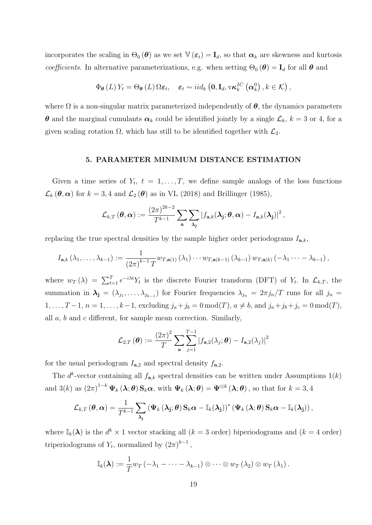incorporates the scaling in  $\Theta_0(\boldsymbol{\theta})$  as we set  $\mathbb{V}(\boldsymbol{\varepsilon}_t) = \mathbf{I}_d$ , so that  $\boldsymbol{\alpha}_k$  are skewness and kurtosis coefficients. In alternative parameterizations, e.g. when setting  $\Theta_0(\boldsymbol{\theta}) = \mathbf{I}_d$  for all  $\boldsymbol{\theta}$  and

$$
\Phi_{\theta}(L) Y_t = \Theta_{\theta}(L) \Omega \varepsilon_t, \quad \varepsilon_t \sim i id_k \left( \mathbf{0}, \mathbf{I}_d, \mathbf{v} \kappa_k^{IC} \left( \boldsymbol{\alpha}_k^0 \right), k \in \mathcal{K} \right),
$$

where  $\Omega$  is a non-singular matrix parameterized independently of  $\theta$ , the dynamics parameters  $\theta$  and the marginal cumulants  $\alpha_k$  could be identified jointly by a single  $\mathcal{L}_k$ ,  $k = 3$  or 4, for a given scaling rotation  $\Omega$ , which has still to be identified together with  $\mathcal{L}_2$ .

### 5. PARAMETER MINIMUM DISTANCE ESTIMATION

Given a time series of  $Y_t$ ,  $t = 1, \ldots, T$ , we define sample analogs of the loss functions  $\mathcal{L}_k(\boldsymbol{\theta}, \boldsymbol{\alpha})$  for  $k = 3, 4$  and  $\mathcal{L}_2(\boldsymbol{\theta})$  as in VL (2018) and Brillinger (1985),

$$
\mathcal{L}_{k,T}(\boldsymbol{\theta},\boldsymbol{\alpha}):=\frac{(2\pi)^{2k-2}}{T^{k-1}}\sum_{\mathbf{a}}\sum_{\mathbf{\lambda}_{\mathbf{j}}}\left|f_{\mathbf{a},k}(\mathbf{\lambda}_{\mathbf{j}};\boldsymbol{\theta},\boldsymbol{\alpha})-I_{\mathbf{a},k}(\mathbf{\lambda}_{\mathbf{j}})\right|^2,
$$

replacing the true spectral densities by the sample higher order periodograms  $I_{\mathbf{a},k}$ ,

$$
I_{\mathbf{a},k}(\lambda_1,\ldots,\lambda_{k-1}) := \frac{1}{(2\pi)^{k-1}T} w_{T,\mathbf{a}(1)}(\lambda_1) \cdots w_{T,\mathbf{a}(k-1)}(\lambda_{k-1}) w_{T,\mathbf{a}(k)}(-\lambda_1 \cdots - \lambda_{k-1}),
$$

where  $w_T(\lambda) = \sum_{t=1}^T e^{-i\lambda t} Y_t$  is the discrete Fourier transform (DFT) of  $Y_t$ . In  $\mathcal{L}_{k,T}$ , the summation in  $\lambda_j = (\lambda_{j_1}, \ldots, \lambda_{j_{k-1}})$  for Fourier frequencies  $\lambda_{j_n} = 2\pi j_n/T$  runs for all  $j_n =$  $1, \ldots, T-1, n = 1, \ldots, k-1$ , excluding  $j_a + j_b = 0 \mod(T)$ ,  $a \neq b$ , and  $j_a + j_b + j_c = 0 \mod(T)$ , all a, b and c different, for sample mean correction. Similarly,

$$
\mathcal{L}_{2,T}(\boldsymbol{\theta}) := \frac{(2\pi)^2}{T} \sum_{\mathbf{a}} \sum_{j=1}^{T-1} |f_{\mathbf{a},2}(\lambda_j; \boldsymbol{\theta}) - I_{\mathbf{a},2}(\lambda_j)|^2
$$

for the usual periodogram  $I_{\mathbf{a},2}$  and spectral density  $f_{\mathbf{a},2}$ .

The  $d^k$ -vector containing all  $f_{\mathbf{a},k}$  spectral densities can be written under Assumptions  $1(k)$ and 3(k) as  $(2\pi)^{1-k} \Psi_k(\lambda;\theta) \mathbf{S}_k \alpha$ , with  $\Psi_k(\lambda;\theta) = \Psi^{\otimes k}(\lambda;\theta)$ , so that for  $k = 3,4$ 

$$
\mathcal{L}_{k,T}(\boldsymbol{\theta},\boldsymbol{\alpha})=\frac{1}{T^{k-1}}\sum_{\boldsymbol{\lambda_j}}\left(\boldsymbol{\Psi}_k\left(\boldsymbol{\lambda_j};\boldsymbol{\theta}\right)\mathbf{S}_k\boldsymbol{\alpha}-\mathbb{I}_k(\boldsymbol{\lambda_j})\right)^*\left(\boldsymbol{\Psi}_k\left(\boldsymbol{\lambda};\boldsymbol{\theta}\right)\mathbf{S}_k\boldsymbol{\alpha}-\mathbb{I}_k(\boldsymbol{\lambda_j})\right),
$$

where  $\mathbb{I}_k(\lambda)$  is the  $d^k \times 1$  vector stacking all  $(k = 3 \text{ order})$  biperiodograms and  $(k = 4 \text{ order})$ triperiodograms of  $Y_t$ , normalized by  $(2\pi)^{k-1}$ ,

$$
\mathbb{I}_{k}(\lambda) := \frac{1}{T} w_T \left( -\lambda_1 - \cdots - \lambda_{k-1} \right) \otimes \cdots \otimes w_T \left( \lambda_2 \right) \otimes w_T \left( \lambda_1 \right).
$$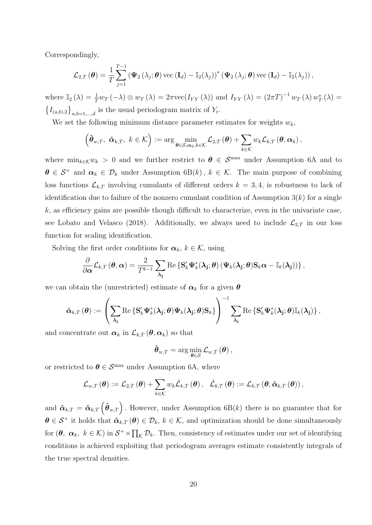Correspondingly,

$$
\mathcal{L}_{2,T}(\boldsymbol{\theta}) = \frac{1}{T} \sum_{j=1}^{T-1} \left( \boldsymbol{\Psi}_2 \left( \lambda_j; \boldsymbol{\theta} \right) \text{vec} \left( \mathbf{I}_d \right) - \mathbb{I}_2(\lambda_j) \right)^* \left( \boldsymbol{\Psi}_2 \left( \lambda_j; \boldsymbol{\theta} \right) \text{vec} \left( \mathbf{I}_d \right) - \mathbb{I}_2(\lambda_j) \right),
$$

where  $\mathbb{I}_2(\lambda) = \frac{1}{T} w_T(-\lambda) \otimes w_T(\lambda) = 2\pi \text{vec}(I_{YY}(\lambda))$  and  $I_{YY}(\lambda) = (2\pi T)^{-1} w_T(\lambda) w_T^*(\lambda) =$  $\left\{I_{(a,b),2}\right\}_{a,b=1,\dots,d}$  is the usual periodogram matrix of  $Y_t$ .

We set the following minimum distance parameter estimates for weights  $w_k$ ,

$$
\left(\hat{\boldsymbol{\theta}}_{w,T}, \; \hat{\boldsymbol{\alpha}}_{k,T}, \; k \in \mathcal{K}\right) := \arg\min_{\boldsymbol{\theta} \in \mathcal{S}, \boldsymbol{\alpha}_k, k \in \mathcal{K}} \mathcal{L}_{2,T}(\boldsymbol{\theta}) + \sum_{k \in \mathcal{K}} w_k \mathcal{L}_{k,T}(\boldsymbol{\theta}, \boldsymbol{\alpha}_k),
$$

where  $\min_{k \in \mathcal{K}} w_k > 0$  and we further restrict to  $\theta \in \mathcal{S}^{\max}$  under Assumption 6A and to  $\theta \in S^+$  and  $\alpha_k \in \mathcal{D}_k$  under Assumption 6B(k),  $k \in \mathcal{K}$ . The main purpose of combining loss functions  $\mathcal{L}_{k,T}$  involving cumulants of different orders  $k = 3, 4$ , is robustness to lack of identification due to failure of the nonzero cumulant condition of Assumption  $3(k)$  for a single  $k$ , as efficiency gains are possible though difficult to characterize, even in the univariate case, see Lobato and Velasco (2018). Additionally, we always need to include  $\mathcal{L}_{2,T}$  in our loss function for scaling identification.

Solving the first order conditions for  $\boldsymbol{\alpha}_k, k \in \mathcal{K}$ , using

$$
\frac{\partial}{\partial \boldsymbol{\alpha}} \mathcal{L}_{k,T} \left( \boldsymbol{\theta}, \boldsymbol{\alpha} \right) = \frac{2}{T^{k-1}} \sum_{\boldsymbol{\lambda_j}} \text{Re} \left\{ \mathbf{S}_k' \boldsymbol{\Psi}_k^*(\boldsymbol{\lambda_j}; \boldsymbol{\theta}) \left( \boldsymbol{\Psi}_k(\boldsymbol{\lambda_j}; \boldsymbol{\theta}) \mathbf{S}_k \boldsymbol{\alpha} - \mathbb{I}_k(\boldsymbol{\lambda_j}) \right) \right\},
$$

we can obtain the (unrestricted) estimate of  $\alpha_k$  for a given  $\theta$ 

$$
\hat{\boldsymbol{\alpha}}_{k,T}\left(\boldsymbol{\theta}\right):=\left(\sum_{\lambda_j}\operatorname{Re}\left\{{\bf S}_k'\boldsymbol{\Psi}_k^*(\boldsymbol{\lambda_j};\boldsymbol{\theta})\boldsymbol{\Psi}_k(\boldsymbol{\lambda_j};\boldsymbol{\theta}){\bf S}_k\right\}\right)^{-1}\sum_{\lambda_j}\operatorname{Re}\left\{{\bf S}_k'\boldsymbol{\Psi}_k^*(\boldsymbol{\lambda_j};\boldsymbol{\theta})\mathbb{I}_k(\boldsymbol{\lambda_j})\right\},
$$

and concentrate out  $\boldsymbol{\alpha}_k$  in  $\mathcal{L}_{k,T}(\boldsymbol{\theta}, \boldsymbol{\alpha}_k)$  so that

$$
\hat{\boldsymbol{\theta}}_{w,T} = \arg\min_{\boldsymbol{\theta}\in\mathcal{S}} \mathcal{L}_{w,T}(\boldsymbol{\theta}),
$$

or restricted to  $\boldsymbol{\theta} \in \mathcal{S}^{\text{max}}$  under Assumption 6A, where

$$
\mathcal{L}_{w,T}(\boldsymbol{\theta}) := \mathcal{L}_{2,T}(\boldsymbol{\theta}) + \sum_{k \in \mathcal{K}} w_k \hat{\mathcal{L}}_{k,T}(\boldsymbol{\theta}), \quad \hat{\mathcal{L}}_{k,T}(\boldsymbol{\theta}) := \mathcal{L}_{k,T}(\boldsymbol{\theta}, \hat{\boldsymbol{\alpha}}_{k,T}(\boldsymbol{\theta}))
$$

<span id="page-19-0"></span>and  $\hat{\boldsymbol{\alpha}}_{k,T} = \hat{\boldsymbol{\alpha}}_{k,T} \left( \hat{\boldsymbol{\theta}}_{w,T} \right)$ . However, under Assumption 6B(k) there is no guarantee that for  $\theta \in S^+$  it holds that  $\hat{\alpha}_{k,T}(\theta) \in \mathcal{D}_k$ ,  $k \in \mathcal{K}$ , and optimization should be done simultaneously for  $(\theta, \ \alpha_k, \ k \in \mathcal{K})$  in  $\mathcal{S}^+ \times \prod_{\mathcal{K}} \mathcal{D}_k$ . Then, consistency of estimates under our set of identifying conditions is achieved exploiting that periodogram averages estimate consistently integrals of the true spectral densities.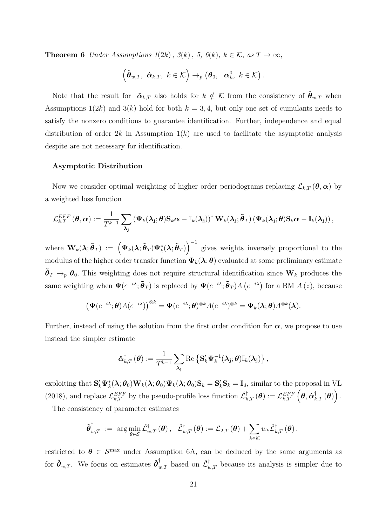**Theorem 6** Under Assumptions  $1(2k)$ ,  $3(k)$ ,  $5$ ,  $6(k)$ ,  $k \in \mathcal{K}$ , as  $T \to \infty$ ,

$$
\left(\hat{\boldsymbol{\theta}}_{w,T}, \ \hat{\boldsymbol{\alpha}}_{k,T}, \ k \in \mathcal{K}\right) \rightarrow_p \left(\boldsymbol{\theta}_0, \ \boldsymbol{\alpha}_k^0, \ k \in \mathcal{K}\right).
$$

Note that the result for  $\hat{\boldsymbol{\alpha}}_{k,T}$  also holds for  $k \notin \mathcal{K}$  from the consistency of  $\hat{\boldsymbol{\theta}}_{w,T}$  when Assumptions  $1(2k)$  and  $3(k)$  hold for both  $k = 3, 4$ , but only one set of cumulants needs to satisfy the nonzero conditions to guarantee identification. Further, independence and equal distribution of order  $2k$  in Assumption  $1(k)$  are used to facilitate the asymptotic analysis despite are not necessary for identification.

# Asymptotic Distribution

Now we consider optimal weighting of higher order periodograms replacing  $\mathcal{L}_{k,T}(\theta,\alpha)$  by a weighted loss function

$$
\mathcal{L}^{EFF}_{k,T}\left(\boldsymbol{\theta},\boldsymbol{\alpha}\right):=\frac{1}{T^{k-1}}\sum_{\boldsymbol{\lambda_j}}\left(\boldsymbol{\Psi}_k(\boldsymbol{\lambda_j};\boldsymbol{\theta})\mathbf{S}_k\boldsymbol{\alpha}-\mathbb{I}_k(\boldsymbol{\lambda_j})\right)^*\mathbf{W}_k(\boldsymbol{\lambda_j};\boldsymbol{\tilde{\theta}}_T)\left(\boldsymbol{\Psi}_k(\boldsymbol{\lambda_j};\boldsymbol{\theta})\mathbf{S}_k\boldsymbol{\alpha}-\mathbb{I}_k(\boldsymbol{\lambda_j})\right),
$$

where  $\mathbf{W}_k(\lambda;\tilde{\boldsymbol{\theta}}_T) := \left(\mathbf{\Psi}_k(\lambda;\tilde{\boldsymbol{\theta}}_T)\mathbf{\Psi}_k^*(\lambda;\tilde{\boldsymbol{\theta}}_T)\right)^{-1}$  gives weights inversely proportional to the modulus of the higher order transfer function  $\Psi_k(\lambda;\theta)$  evaluated at some preliminary estimate  $\tilde{\theta}_T \rightarrow_p \theta_0$ . This weighting does not require structural identification since  $\mathbf{W}_k$  produces the same weighting when  $\Psi(e^{-i\lambda}; \tilde{\boldsymbol{\theta}}_T)$  is replaced by  $\Psi(e^{-i\lambda}; \tilde{\boldsymbol{\theta}}_T) A(e^{-i\lambda})$  for a BM  $A(z)$ , because

$$
\left(\Psi(e^{-i\lambda};\boldsymbol{\theta})A(e^{-i\lambda})\right)^{\otimes k}=\Psi(e^{-i\lambda};\boldsymbol{\theta})^{\otimes k}A(e^{-i\lambda})^{\otimes k}=\Psi_k(\boldsymbol{\lambda};\boldsymbol{\theta})A^{\otimes k}(\boldsymbol{\lambda}).
$$

Further, instead of using the solution from the first order condition for  $\alpha$ , we propose to use instead the simpler estimate

$$
\hat{\boldsymbol{\alpha}}_{k,T}^{\dagger}\left(\boldsymbol{\theta}\right):=\frac{1}{T^{k-1}}\sum_{\boldsymbol{\lambda_j}}\text{Re}\left\{\mathbf{S}_{k}'\boldsymbol{\Psi}_{k}^{-1}(\boldsymbol{\lambda_j};\boldsymbol{\theta})\mathbb{I}_{k}(\boldsymbol{\lambda_j})\right\},
$$

exploiting that  $S'_k \Psi_k^*(\lambda; \theta_0) W_k(\lambda; \theta_0) \Psi_k(\lambda; \theta_0) S_k = S'_k S_k = I_d$ , similar to the proposal in VL (2018), and replace  $\mathcal{L}_{k,T}^{EFF}$  by the pseudo-profile loss function  $\mathcal{L}_{k,T}^{\dagger}(\boldsymbol{\theta}) := \mathcal{L}_{k,T}^{EFF} \left( \boldsymbol{\theta}, \hat{\boldsymbol{\alpha}}_{k,T}^{\dagger}(\boldsymbol{\theta}) \right)$ .

The consistency of parameter estimates

$$
\hat{\boldsymbol{\theta}}_{w,T}^{\dagger} \;:=\; \arg\min_{\boldsymbol{\theta}\in\mathcal{S}} \hat{\mathcal{L}}_{w,T}^{\dagger}\left(\boldsymbol{\theta}\right),\ \ \, \hat{\mathcal{L}}_{w,T}^{\dagger}\left(\boldsymbol{\theta}\right):=\mathcal{L}_{2,T}\left(\boldsymbol{\theta}\right)+\sum_{k\in\mathcal{K}} w_k \hat{\mathcal{L}}_{k,T}^{\dagger}\left(\boldsymbol{\theta}\right),
$$

restricted to  $\theta \in \mathcal{S}^{\text{max}}$  under Assumption 6A, can be deduced by the same arguments as for  $\hat{\theta}_{w,T}$ . We focus on estimates  $\hat{\theta}_{w,T}^{\dagger}$  based on  $\mathcal{\hat{L}}_{w,T}^{\dagger}$  because its analysis is simpler due to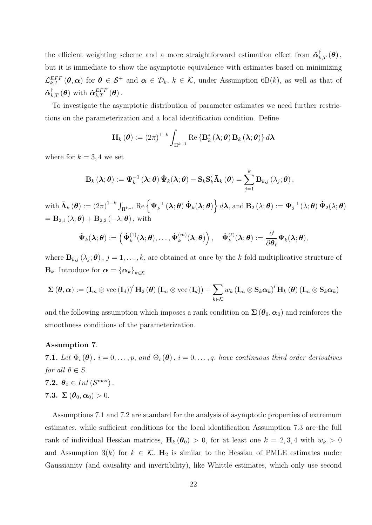the efficient weighting scheme and a more straightforward estimation effect from  $\hat{\boldsymbol{\alpha}}_{k,T}^{\dagger}(\boldsymbol{\theta})$ , but it is immediate to show the asymptotic equivalence with estimates based on minimizing  $\mathcal{L}_{k,T}^{EFF}(\theta,\alpha)$  for  $\theta \in \mathcal{S}^+$  and  $\alpha \in \mathcal{D}_k$ ,  $k \in \mathcal{K}$ , under Assumption 6B(k), as well as that of  $\hat{\boldsymbol{\alpha}}_{k,T}^{\dagger}\left(\boldsymbol{\theta}\right)$  with  $\hat{\boldsymbol{\alpha}}_{k,T}^{EFF}\left(\boldsymbol{\theta}\right)$ .

To investigate the asymptotic distribution of parameter estimates we need further restrictions on the parameterization and a local identification condition. Define

$$
\mathbf{H}_{k}(\boldsymbol{\theta}) := (2\pi)^{1-k} \int_{\Pi^{k-1}} \text{Re} \left\{ \mathbf{B}_{k}^{*}(\boldsymbol{\lambda};\boldsymbol{\theta}) \mathbf{B}_{k}(\boldsymbol{\lambda};\boldsymbol{\theta}) \right\} d\boldsymbol{\lambda}
$$

where for  $k = 3, 4$  we set

$$
\mathbf{B}_k\left(\boldsymbol{\lambda};\boldsymbol{\theta}\right):=\boldsymbol{\Psi}_k^{-1}\left(\boldsymbol{\lambda};\boldsymbol{\theta}\right)\dot{\boldsymbol{\Psi}}_k(\boldsymbol{\lambda};\boldsymbol{\theta})-\mathbf{S}_k\mathbf{S}_k'\bar{\boldsymbol{\Lambda}}_k\left(\boldsymbol{\theta}\right)=\sum_{j=1}^k\mathbf{B}_{k,j}\left(\lambda_j;\boldsymbol{\theta}\right),
$$

 $\text{with } \mathbf{\bar{\Lambda}}_k \left( \boldsymbol{\theta} \right) := \left( 2 \pi \right)^{1-k} \int_{\Pi^{k-1}} \text{Re} \left\{ \boldsymbol{\Psi}_k^{-1} \left( \boldsymbol{\lambda}; \boldsymbol{\theta} \right) \boldsymbol{\dot{\Psi}}_k (\boldsymbol{\lambda}; \boldsymbol{\theta}) \right\} d \boldsymbol{\lambda} \text{, and } \mathbf{B}_2 \left( \lambda; \boldsymbol{\theta} \right) := \boldsymbol{\Psi}_2^{-1} \left( \lambda; \boldsymbol{\theta} \right) \boldsymbol{\dot{\Psi}}_2 (\lambda; \boldsymbol{\theta})$  $=$   $\mathbf{B}_{2,1}(\lambda;\boldsymbol{\theta}) + \mathbf{B}_{2,2}(-\lambda;\boldsymbol{\theta}),$  with

$$
\dot{\Psi}_k(\pmb{\lambda};\pmb{\theta}):=\left(\dot{\Psi}_k^{(1)}(\pmb{\lambda};\pmb{\theta}),\ldots,\dot{\Psi}_k^{(m)}(\pmb{\lambda};\pmb{\theta})\right),\quad \dot{\Psi}_k^{(\ell)}(\pmb{\lambda};\pmb{\theta}):=\frac{\partial}{\partial \pmb{\theta}_\ell}\Psi_k(\pmb{\lambda};\pmb{\theta}),
$$

where  $\mathbf{B}_{k,j}(\lambda_j;\boldsymbol{\theta}), j=1,\ldots,k$ , are obtained at once by the k-fold multiplicative structure of  $\mathbf{B}_k$ . Introduce for  $\boldsymbol{\alpha} = {\{\boldsymbol{\alpha}_k\}}_{k \in \mathcal{K}}$ 

$$
\Sigma(\boldsymbol{\theta},\boldsymbol{\alpha}) := (\mathbf{I}_m \otimes \mathrm{vec}(\mathbf{I}_d))' \mathbf{H}_2(\boldsymbol{\theta}) (\mathbf{I}_m \otimes \mathrm{vec}(\mathbf{I}_d)) + \sum_{k \in \mathcal{K}} w_k (\mathbf{I}_m \otimes \mathbf{S}_k \boldsymbol{\alpha}_k)' \mathbf{H}_k(\boldsymbol{\theta}) (\mathbf{I}_m \otimes \mathbf{S}_k \boldsymbol{\alpha}_k)
$$

and the following assumption which imposes a rank condition on  $\Sigma(\theta_0, \alpha_0)$  and reinforces the smoothness conditions of the parameterization.

#### Assumption 7.

**7.1.** Let  $\Phi_i(\boldsymbol{\theta})$ ,  $i = 0, \ldots, p$ , and  $\Theta_i(\boldsymbol{\theta})$ ,  $i = 0, \ldots, q$ , have continuous third order derivatives for all  $\theta \in S$ . 7.2.  $\theta_0 \in Int\left( \mathcal{S}^{\max} \right)$ . 7.3.  $\Sigma(\boldsymbol{\theta}_0, \boldsymbol{\alpha}_0) > 0$ .

Assumptions 7.1 and 7.2 are standard for the analysis of asymptotic properties of extremum estimates, while sufficient conditions for the local identification Assumption 7.3 are the full rank of individual Hessian matrices,  $H_k(\theta_0) > 0$ , for at least one  $k = 2, 3, 4$  with  $w_k > 0$ and Assumption 3(k) for  $k \in \mathcal{K}$ . H<sub>2</sub> is similar to the Hessian of PMLE estimates under Gaussianity (and causality and invertibility), like Whittle estimates, which only use second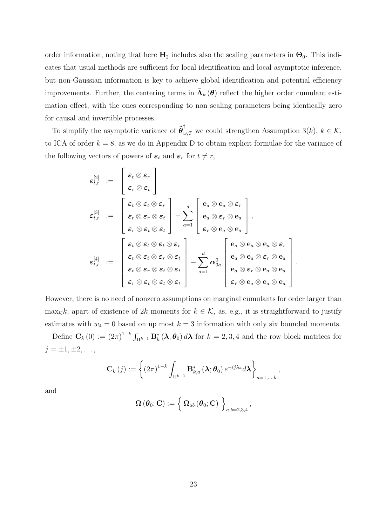order information, noting that here  $H_2$  includes also the scaling parameters in  $\Theta_0$ . This indicates that usual methods are sufficient for local identification and local asymptotic inference, but non-Gaussian information is key to achieve global identification and potential efficiency improvements. Further, the centering terms in  $\bar{\Lambda}_{k}(\theta)$  reflect the higher order cumulant estimation effect, with the ones corresponding to non scaling parameters being identically zero for causal and invertible processes.

To simplify the asymptotic variance of  $\hat{\boldsymbol{\theta}}_{w,T}^{\dagger}$  we could strengthen Assumption 3(k),  $k \in \mathcal{K}$ , to ICA of order  $k = 8$ , as we do in Appendix D to obtain explicit formulae for the variance of the following vectors of powers of  $\varepsilon_t$  and  $\varepsilon_r$  for  $t \neq r$ ,

$$
\begin{array}{lcl} \displaystyle \varepsilon^{[2]}_{t,r} & := & \left[\begin{array}{c} \varepsilon_t \otimes \varepsilon_r \\ \varepsilon_r \otimes \varepsilon_t \end{array}\right] \\ \displaystyle \varepsilon^{[3]}_{t,r} & := & \left[\begin{array}{c} \varepsilon_t \otimes \varepsilon_t \otimes \varepsilon_r \\ \varepsilon_t \otimes \varepsilon_r \otimes \varepsilon_t \\ \varepsilon_r \otimes \varepsilon_t \otimes \varepsilon_t \end{array}\right] - \sum_{a=1}^d \left[\begin{array}{c} \mathbf{e}_a \otimes \mathbf{e}_a \otimes \varepsilon_r \\ \mathbf{e}_a \otimes \varepsilon_r \otimes \mathbf{e}_a \\ \varepsilon_r \otimes \mathbf{e}_a \otimes \mathbf{e}_a \end{array}\right], \\ \\ \displaystyle \varepsilon^{[4]}_{t,r} & := & \left[\begin{array}{c} \varepsilon_t \otimes \varepsilon_t \otimes \varepsilon_t \otimes \varepsilon_t \\ \varepsilon_t \otimes \varepsilon_t \otimes \varepsilon_t \otimes \varepsilon_t \\ \varepsilon_t \otimes \varepsilon_r \otimes \varepsilon_t \otimes \varepsilon_t \end{array}\right] - \sum_{a=1}^d \alpha^{0}_{3a} \left[\begin{array}{c} \mathbf{e}_a \otimes \mathbf{e}_a \otimes \mathbf{e}_a \otimes \varepsilon_r \\ \mathbf{e}_a \otimes \mathbf{e}_a \otimes \varepsilon_r \otimes \mathbf{e}_a \\ \mathbf{e}_a \otimes \varepsilon_r \otimes \mathbf{e}_a \otimes \mathbf{e}_a \\ \varepsilon_r \otimes \mathbf{e}_a \otimes \mathbf{e}_a \end{array}\right] \end{array}
$$

.

However, there is no need of nonzero assumptions on marginal cumulants for order larger than max<sub>K</sub>k, apart of existence of 2k moments for  $k \in \mathcal{K}$ , as, e.g., it is straightforward to justify estimates with  $w_4 = 0$  based on up most  $k = 3$  information with only six bounded moments.

Define  $\mathbf{C}_k(0) := (2\pi)^{1-k} \int_{\Pi^{k-1}} \mathbf{B}_k^*(\lambda; \theta_0) d\lambda$  for  $k = 2, 3, 4$  and the row block matrices for  $j = \pm 1, \pm 2, \ldots,$ 

$$
\mathbf{C}_{k}(j) := \left\{ \left(2\pi\right)^{1-k} \int_{\Pi^{k-1}} \mathbf{B}_{k,a}^{*} \left(\boldsymbol{\lambda};\boldsymbol{\theta}_{0}\right) e^{-ij\lambda_{a}} d\boldsymbol{\lambda} \right\}_{a=1,...,k},
$$

and

$$
\boldsymbol{\Omega}\left(\boldsymbol{\theta}_{0};\mathbf{C}\right):=\left\{ \left. \boldsymbol{\Omega}_{ab}\left(\boldsymbol{\theta}_{0};\mathbf{C}\right)\ \right\} _{a,b=2,3,4},\right.
$$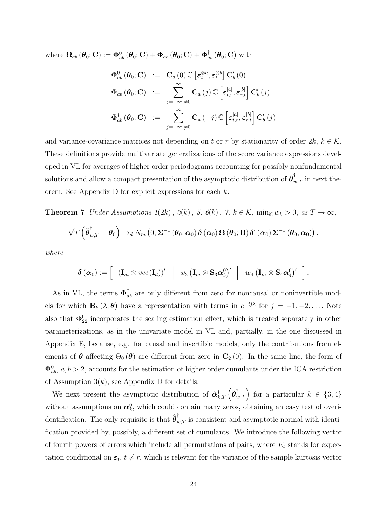where  $\Omega_{ab}(\theta_0; \mathbf{C}) := \mathbf{\Phi}_{ab}^0(\theta_0; \mathbf{C}) + \mathbf{\Phi}_{ab}(\theta_0; \mathbf{C}) + \mathbf{\Phi}_{ab}^{\dagger}(\theta_0; \mathbf{C})$  with

$$
\Phi_{ab}^{0}(\theta_{0};\mathbf{C}) := \mathbf{C}_{a}(0) \mathbb{C} \left[\varepsilon_{t}^{\otimes a}, \varepsilon_{t}^{\otimes b}\right] \mathbf{C}_{b}'(0)
$$
\n
$$
\Phi_{ab}(\theta_{0};\mathbf{C}) := \sum_{j=-\infty, \neq 0}^{\infty} \mathbf{C}_{a}(j) \mathbb{C} \left[\varepsilon_{t,r}^{[a]}, \varepsilon_{r,t}^{[b]}\right] \mathbf{C}_{b}'(j)
$$
\n
$$
\Phi_{ab}^{\dagger}(\theta_{0};\mathbf{C}) := \sum_{j=-\infty, \neq 0}^{\infty} \mathbf{C}_{a}(-j) \mathbb{C} \left[\varepsilon_{t,r}^{[a]}, \varepsilon_{r,t}^{[b]}\right] \mathbf{C}_{b}'(j)
$$

and variance-covariance matrices not depending on t or r by stationarity of order  $2k, k \in \mathcal{K}$ . These definitions provide multivariate generalizations of the score variance expressions developed in VL for averages of higher order periodograms accounting for possibly nonfundamental solutions and allow a compact presentation of the asymptotic distribution of  $\hat{\boldsymbol{\theta}}_{w,T}^{\dagger}$  in next theorem. See Appendix D for explicit expressions for each k.

<span id="page-23-0"></span>**Theorem 7** Under Assumptions  $1(2k)$ ,  $3(k)$ ,  $5$ ,  $6(k)$ ,  $7$ ,  $k \in K$ ,  $\min_{\mathcal{K}} w_k > 0$ , as  $T \to \infty$ ,

$$
\sqrt{T}\left(\hat{\boldsymbol{\theta}}_{w,T}^{\dagger}-\boldsymbol{\theta}_{0}\right)\rightarrow_{d}N_{m}\left(0,\boldsymbol{\Sigma}^{-1}\left(\boldsymbol{\theta}_{0},\boldsymbol{\alpha}_{0}\right)\boldsymbol{\delta}\left(\boldsymbol{\alpha}_{0}\right)\boldsymbol{\Omega}\left(\boldsymbol{\theta}_{0};\mathbf{B}\right)\boldsymbol{\delta}'\left(\boldsymbol{\alpha}_{0}\right)\boldsymbol{\Sigma}^{-1}\left(\boldsymbol{\theta}_{0},\boldsymbol{\alpha}_{0}\right)\right),
$$

where

$$
\boldsymbol{\delta}\left(\boldsymbol{\alpha}_{0}\right):=\left[\begin{array}{c|c} \left(\mathbf{I}_{m} \otimes vec\left(\mathbf{I}_{d}\right)\right)' & w_{3} \left(\mathbf{I}_{m} \otimes \mathbf{S}_{3} \boldsymbol{\alpha}_{3}^{0}\right)' & w_{4} \left(\mathbf{I}_{m} \otimes \mathbf{S}_{4} \boldsymbol{\alpha}_{4}^{0}\right)'\end{array}\right].
$$

As in VL, the terms  $\Phi_{ab}^{\dagger}$  are only different from zero for noncausal or noninvertible models for which  $\mathbf{B}_k(\lambda;\boldsymbol{\theta})$  have a representation with terms in  $e^{-ij\lambda}$  for  $j = -1, -2, \ldots$ . Note also that  $\Phi_{22}^0$  incorporates the scaling estimation effect, which is treated separately in other parameterizations, as in the univariate model in VL and, partially, in the one discussed in Appendix E, because, e.g. for causal and invertible models, only the contributions from elements of  $\theta$  affecting  $\Theta_0(\theta)$  are different from zero in  $\mathbf{C}_2(0)$ . In the same line, the form of  $\Phi_{ab}^0$ ,  $a, b > 2$ , accounts for the estimation of higher order cumulants under the ICA restriction of Assumption  $3(k)$ , see Appendix D for details.

We next present the asymptotic distribution of  $\hat{\boldsymbol{\alpha}}_{k,T}^{\dagger}(\hat{\boldsymbol{\theta}}_{w,T}^{\dagger})$  for a particular  $k \in \{3,4\}$ without assumptions on  $\alpha_k^0$ , which could contain many zeros, obtaining an easy test of overidentification. The only requisite is that  $\hat{\boldsymbol{\theta}}_{w,T}^{\dagger}$  is consistent and asymptotic normal with identification provided by, possibly, a different set of cumulants. We introduce the following vector of fourth powers of errors which include all permutations of pairs, where  $E_t$  stands for expectation conditional on  $\varepsilon_t$ ,  $t \neq r$ , which is relevant for the variance of the sample kurtosis vector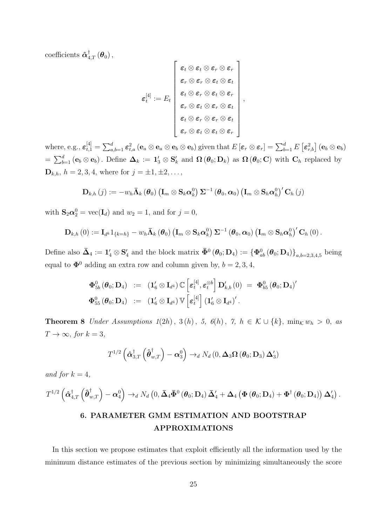coefficients  $\boldsymbol{\hat{\alpha}}_{4,T}^{\dagger}\left(\boldsymbol{\theta}_{0}\right),$ 

$$
\varepsilon_t^{[4]} := E_t \left\{\begin{array}{c} \varepsilon_t \otimes \varepsilon_t \otimes \varepsilon_r \otimes \varepsilon_r \\ \varepsilon_r \otimes \varepsilon_r \otimes \varepsilon_t \otimes \varepsilon_t \\ \varepsilon_t \otimes \varepsilon_r \otimes \varepsilon_t \otimes \varepsilon_r \\ \varepsilon_r \otimes \varepsilon_t \otimes \varepsilon_r \otimes \varepsilon_t \\ \varepsilon_t \otimes \varepsilon_r \otimes \varepsilon_r \otimes \varepsilon_t \\ \varepsilon_r \otimes \varepsilon_t \otimes \varepsilon_t \otimes \varepsilon_r \end{array}\right\},
$$

where, e.g.,  $\varepsilon_{t,1}^{[4]} = \sum_{a,b=1}^d \varepsilon_{t,a}^2 \left( \mathbf{e}_a \otimes \mathbf{e}_a \otimes \mathbf{e}_b \otimes \mathbf{e}_b \right)$  given that  $E\left[ \boldsymbol{\varepsilon}_r \otimes \boldsymbol{\varepsilon}_r \right] = \sum_{b=1}^d E\left[ \boldsymbol{\varepsilon}_{r,b}^2 \right] \left( \mathbf{e}_b \otimes \mathbf{e}_b \right)$  $=\sum_{b=1}^d (e_b \otimes e_b)$ . Define  $\Delta_k := 1'_3 \otimes S'_k$  and  $\Omega(\theta_0; D_k)$  as  $\Omega(\theta_0; C)$  with  $C_h$  replaced by  $\mathbf{D}_{k,h}, h = 2, 3, 4$ , where for  $j = \pm 1, \pm 2, \dots$ ,

$$
\mathbf{D}_{k,h}\left(j\right):=-w_h\mathbf{\bar{\Lambda}}_k\left(\boldsymbol{\theta}_0\right)\left(\mathbf{I}_m\otimes\mathbf{S}_k\boldsymbol{\alpha}^0_k\right)\boldsymbol{\Sigma}^{-1}\left(\boldsymbol{\theta}_0,\boldsymbol{\alpha}_0\right)\left(\mathbf{I}_m\otimes\mathbf{S}_h\boldsymbol{\alpha}^0_h\right)'\mathbf{C}_h\left(j\right)
$$

with  $\mathbf{S}_2 \boldsymbol{\alpha}_2^0 = \text{vec}(\mathbf{I}_d)$  and  $w_2 = 1$ , and for  $j = 0$ ,

$$
\mathbf{D}_{k,h}\left(0\right):=\mathbf{I}_{d^k}1_{\{k=h\}}-w_h\mathbf{\bar{\Lambda}}_k\left(\boldsymbol{\theta}_0\right)\left(\mathbf{I}_m\otimes\mathbf{S}_k\boldsymbol{\alpha}_k^0\right)\boldsymbol{\Sigma}^{-1}\left(\boldsymbol{\theta}_0,\boldsymbol{\alpha}_0\right)\left(\mathbf{I}_m\otimes\mathbf{S}_h\boldsymbol{\alpha}_h^0\right)'\mathbf{C}_h\left(0\right).
$$

Define also  $\bar{\mathbf{\Delta}}_4 := \mathbf{1}'_4 \otimes \mathbf{S}'_4$  and the block matrix  $\bar{\mathbf{\Phi}}^0 (\theta_0; \mathbf{D}_4) := \{ \Phi_{ab}^0 (\theta_0; \mathbf{D}_4) \}_{a,b=2,3,4,5}$  being equal to  $\mathbf{\Phi}^0$  adding an extra row and column given by,  $b = 2, 3, 4$ ,

$$
\begin{array}{rcl}\Phi^0_{5b}\left(\pmb{\theta}_0;\mathbf{D}_4\right) &:=& (\mathbf{1}_6'\otimes \mathbf{I}_{d^4})\,\mathbb{C}\left[\pmb{\varepsilon}^{[4]}_t,\pmb{\varepsilon}^{\otimes b}_t\right]\mathbf{D}'_{k,b}\left(0\right) \;=\; \pmb{\Phi}^0_{b5}\left(\pmb{\theta}_0;\mathbf{D}_4\right)'\vphantom{\Big|}\\\Phi^0_{55}\left(\pmb{\theta}_0;\mathbf{D}_4\right) &:=& (\mathbf{1}_6'\otimes \mathbf{I}_{d^4})\,\mathbb{V}\left[\pmb{\varepsilon}^{[4]}_t\right] \left(\mathbf{1}_6'\otimes \mathbf{I}_{d^4}\right)'.\end{array}
$$

<span id="page-24-0"></span>**Theorem 8** Under Assumptions  $1(2h)$ ,  $3(h)$ ,  $5$ ,  $6(h)$ ,  $7$ ,  $h \in \mathcal{K} \cup \{k\}$ ,  $\min_{\mathcal{K}} w_h > 0$ , as  $T \to \infty$ , for  $k = 3$ ,

$$
T^{1/2} \left( \hat{\boldsymbol{\alpha}}_{3,T}^{\dagger} \left( \hat{\boldsymbol{\theta}}_{w,T}^{\dagger} \right) - \boldsymbol{\alpha}_3^0 \right) \rightarrow_d N_d \left( 0, \boldsymbol{\Delta}_3 \boldsymbol{\Omega} \left( \boldsymbol{\theta}_0; \mathbf{D}_3 \right) \boldsymbol{\Delta}_3' \right)
$$

and for  $k = 4$ ,

$$
T^{1/2}\left(\hat{\boldsymbol{\alpha}}_{4,T}^{\dagger}\left(\hat{\boldsymbol{\theta}}_{w,T}^{\dagger}\right)-\boldsymbol{\alpha}_4^0\right)\rightarrow_d N_d\left(0,\bar{\boldsymbol{\Delta}}_4\bar{\boldsymbol{\Phi}}^0\left(\boldsymbol{\theta}_0;\mathbf{D}_4\right)\bar{\boldsymbol{\Delta}}_4'+\boldsymbol{\Delta}_4\left(\boldsymbol{\Phi}\left(\boldsymbol{\theta}_0;\mathbf{D}_4\right)+\boldsymbol{\Phi}^{\dagger}\left(\boldsymbol{\theta}_0;\mathbf{D}_4\right)\right)\boldsymbol{\Delta}_4'\right).
$$

# 6. PARAMETER GMM ESTIMATION AND BOOTSTRAP APPROXIMATIONS

In this section we propose estimates that exploit efficiently all the information used by the minimum distance estimates of the previous section by minimizing simultaneously the score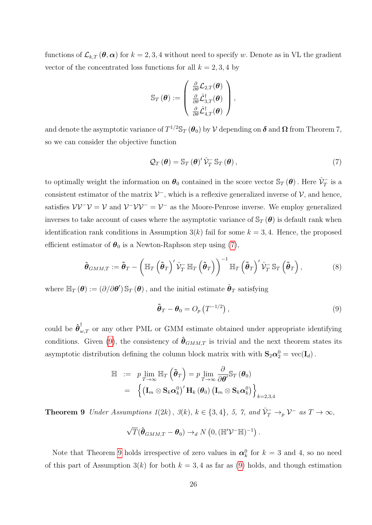functions of  $\mathcal{L}_{k,T}(\theta,\alpha)$  for  $k=2,3,4$  without need to specify w. Denote as in VL the gradient vector of the concentrated loss functions for all  $k = 2, 3, 4$  by

$$
\mathbb{S}_T\left(\boldsymbol{\theta}\right):=\left(\begin{array}{c} \frac{\partial}{\partial \theta}\mathcal{L}_{2,T}(\boldsymbol{\theta}) \\ \frac{\partial}{\partial \theta}\hat{\mathcal{L}}_{3,T}^\dagger(\boldsymbol{\theta}) \\ \frac{\partial}{\partial \theta}\hat{\mathcal{L}}_{4,T}^\dagger(\boldsymbol{\theta}) \end{array}\right),
$$

and denote the asymptotic variance of  $T^{1/2} \mathbb{S}_T (\theta_0)$  by  $\mathcal V$  depending on  $\boldsymbol \delta$  and  $\boldsymbol \Omega$  from Theorem 7, so we can consider the objective function

<span id="page-25-0"></span>
$$
\mathcal{Q}_T(\boldsymbol{\theta}) = \mathbb{S}_T(\boldsymbol{\theta})' \hat{\mathcal{V}}_T^- \mathbb{S}_T(\boldsymbol{\theta}), \qquad (7)
$$

to optimally weight the information on  $\theta_0$  contained in the score vector  $\mathbb{S}_T(\theta)$ . Here  $\hat{\mathcal{V}}_T^-$  is a consistent estimator of the matrix  $V^-$ , which is a reflexive generalized inverse of  $V$ , and hence, satisfies  $\mathcal{V}\mathcal{V}^-\mathcal{V}=\mathcal{V}$  and  $\mathcal{V}^-\mathcal{V}\mathcal{V}^-=\mathcal{V}^-$  as the Moore-Penrose inverse. We employ generalized inverses to take account of cases where the asymptotic variance of  $\mathbb{S}_T(\theta)$  is default rank when identification rank conditions in Assumption  $3(k)$  fail for some  $k = 3, 4$ . Hence, the proposed efficient estimator of  $\theta_0$  is a Newton-Raphson step using [\(7\)](#page-25-0),

<span id="page-25-3"></span>
$$
\hat{\boldsymbol{\theta}}_{GMM,T} := \tilde{\boldsymbol{\theta}}_T - \left( \mathbb{H}_T \left( \tilde{\boldsymbol{\theta}}_T \right)' \hat{\mathcal{V}}_T^- \mathbb{H}_T \left( \tilde{\boldsymbol{\theta}}_T \right) \right)^{-1} \mathbb{H}_T \left( \tilde{\boldsymbol{\theta}}_T \right)' \hat{\mathcal{V}}_T^- \mathbb{S}_T \left( \tilde{\boldsymbol{\theta}}_T \right), \tag{8}
$$

where  $\mathbb{H}_T (\theta) := (\partial/\partial \theta') \, \mathbb{S}_T (\theta)$ , and the initial estimate  $\tilde{\theta}_T$  satisfying

<span id="page-25-1"></span>
$$
\tilde{\boldsymbol{\theta}}_T - \boldsymbol{\theta}_0 = O_p\left(T^{-1/2}\right),\tag{9}
$$

could be  $\hat{\boldsymbol{\theta}}_{w,T}^{\dagger}$  or any other PML or GMM estimate obtained under appropriate identifying conditions. Given [\(9\)](#page-25-1), the consistency of  $\hat{\theta}_{GMM,T}$  is trivial and the next theorem states its asymptotic distribution defining the column block matrix with with  $S_2 \alpha_2^0 = \text{vec}(\mathbf{I}_d)$ .

$$
\mathbb{H} := p \lim_{T \to \infty} \mathbb{H}_T \left( \tilde{\boldsymbol{\theta}}_T \right) = p \lim_{T \to \infty} \frac{\partial}{\partial \boldsymbol{\theta}'} \mathbb{S}_T \left( \boldsymbol{\theta}_0 \right)
$$
  
=  $\left\{ \left( \mathbf{I}_m \otimes \mathbf{S}_k \boldsymbol{\alpha}_k^0 \right)' \mathbf{H}_k \left( \boldsymbol{\theta}_0 \right) \left( \mathbf{I}_m \otimes \mathbf{S}_k \boldsymbol{\alpha}_k^0 \right) \right\}_{k=2,3,4}$ 

<span id="page-25-2"></span>**Theorem 9** Under Assumptions  $1(2k)$ ,  $\mathcal{S}(k)$ ,  $k \in \{3, 4\}$ , 5, 7, and  $\hat{\mathcal{V}}_T^- \to_p \mathcal{V}^-$  as  $T \to \infty$ ,

$$
\sqrt{T}(\hat{\boldsymbol{\theta}}_{GMM,T}-\boldsymbol{\theta}_0)\rightarrow_d N\left(0,(\mathbb{H}'\mathcal{V}^-\mathbb{H})^{-1}\right).
$$

Note that Theorem [9](#page-25-2) holds irrespective of zero values in  $\alpha_k^0$  for  $k=3$  and 4, so no need of this part of Assumption  $3(k)$  for both  $k = 3, 4$  as far as [\(9\)](#page-25-1) holds, and though estimation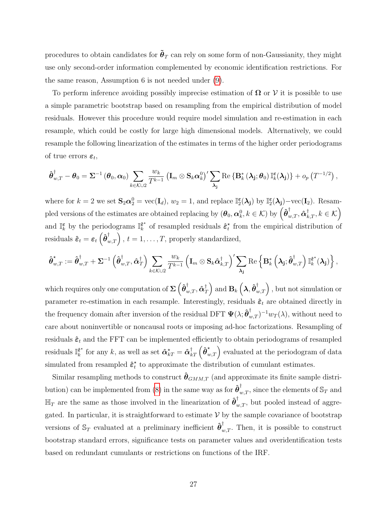procedures to obtain candidates for  $\tilde{\theta}_T$  can rely on some form of non-Gaussianity, they might use only second-order information complemented by economic identification restrictions. For the same reason, Assumption 6 is not needed under [\(9\)](#page-25-1).

To perform inference avoiding possibly imprecise estimation of  $\Omega$  or V it is possible to use a simple parametric bootstrap based on resampling from the empirical distribution of model residuals. However this procedure would require model simulation and re-estimation in each resample, which could be costly for large high dimensional models. Alternatively, we could resample the following linearization of the estimates in terms of the higher order periodograms of true errors  $\varepsilon_t$ ,

$$
\hat{\boldsymbol{\theta}}_{w,T}^{\dagger}-\boldsymbol{\theta}_0=\boldsymbol{\Sigma}^{-1}\left(\boldsymbol{\theta}_0,\boldsymbol{\alpha}_0\right)\sum_{k\in\mathcal{K}\cup 2}\frac{w_k}{T^{k-1}}\left(\mathbf{I}_m\otimes \mathbf{S}_k\boldsymbol{\alpha}_k^0\right)'\sum_{\boldsymbol{\lambda_j}}\text{Re}\left\{\mathbf{B}_k^*\left(\boldsymbol{\lambda_j};\boldsymbol{\theta}_0\right)\mathbb{I}_k^{\boldsymbol{\varepsilon}}(\boldsymbol{\lambda_j})\right\}+o_p\left(T^{-1/2}\right),
$$

where for  $k = 2$  we set  $\mathbf{S}_2 \alpha_2^0 = \text{vec}(\mathbf{I}_d)$ ,  $w_2 = 1$ , and replace  $\mathbb{I}_2^{\epsilon}(\lambda_j)$  by  $\mathbb{I}_2^{\epsilon}(\lambda_j) - \text{vec}(\mathbf{I}_2)$ . Resampled versions of the estimates are obtained replacing by  $(\boldsymbol{\theta}_0, \boldsymbol{\alpha}^0_k, k \in \mathcal{K})$  by  $\left(\boldsymbol{\hat{\theta}}_{w, T}^{\dagger}, \boldsymbol{\hat{\alpha}}_{k, T}^{\dagger}, k \in \mathcal{K}\right)$ and  $\mathbb{I}_{k}^{\varepsilon}$  by the periodograms  $\mathbb{I}_{k}^{\hat{\varepsilon}^{\star}}$  $\hat{\epsilon}_k^*$  of resampled residuals  $\hat{\epsilon}_t^*$  $\tau$ <sup>t</sup> from the empirical distribution of  $\text{residuals} \ \hat{\boldsymbol{\varepsilon}}_t = \boldsymbol{\varepsilon}_t\left(\hat{\boldsymbol{\theta}}_{w,T}^{\dagger}\right), \, t=1,\dots,T, \, \text{properly standardized},$ 

$$
\hat{\boldsymbol{\theta}}_{w,T}^{\star} := \hat{\boldsymbol{\theta}}_{w,T}^{\dagger} + \boldsymbol{\Sigma}^{-1} \left( \hat{\boldsymbol{\theta}}_{w,T}^{\dagger}, \hat{\boldsymbol{\alpha}}_{T}^{\dagger} \right) \sum_{k \in \mathcal{K} \cup 2} \frac{w_k}{T^{k-1}} \left( \mathbf{I}_m \otimes \mathbf{S}_k \hat{\boldsymbol{\alpha}}_{k,T}^{\dagger} \right)' \sum_{\boldsymbol{\lambda}_j} \mathrm{Re} \left\{ \mathbf{B}_k^* \left( \boldsymbol{\lambda}_j; \hat{\boldsymbol{\theta}}_{w,T}^{\dagger} \right) \mathbb{I}_k^{\hat{\boldsymbol{\varepsilon}}^*} (\boldsymbol{\lambda}_j) \right\},
$$

which requires only one computation of  $\mathbf{\Sigma}\left(\hat{\boldsymbol{\theta}}_{w,T}^{\dagger},\hat{\boldsymbol{\alpha}}_{T}^{\dagger}\right)$  $\mathcal{T}_T^\dagger\Big)$  and  $\mathbf{B}_k\left(\boldsymbol\lambda, \boldsymbol{\hat{\theta}}_{w,T}^\dagger\right)$  , but not simulation or parameter re-estimation in each resample. Interestingly, residuals  $\hat{\boldsymbol{\varepsilon}}_t$  are obtained directly in the frequency domain after inversion of the residual DFT  $\Psi(\lambda; \hat{\theta}_{w,T}^{\dagger})^{-1}w_T(\lambda)$ , without need to care about noninvertible or noncausal roots or imposing ad-hoc factorizations. Resampling of residuals  $\hat{\boldsymbol{\varepsilon}}_t$  and the FFT can be implemented efficiently to obtain periodograms of resampled residuals  $\mathbb{I}_{k}^{\hat{\epsilon}^{\star}}$  $\hat{\epsilon}^{\star}_k$  for any k, as well as set  $\hat{\alpha}_{kT}^{\star} = \hat{\alpha}_{kT}^{\dagger} \left( \hat{\theta}_{w,T}^{\star} \right)$  evaluated at the periodogram of data simulated from resampled  $\hat{\varepsilon}_t^*$  $\tau_t^*$  to approximate the distribution of cumulant estimates.

Similar resampling methods to construct  $\hat{\theta}_{GMM,T}$  (and approximate its finite sample distri-bution) can be implemented from [\(8\)](#page-25-3) in the same way as for  $\hat{\theta}^{\dagger}_{w,T}$ , since the elements of  $\mathbb{S}_T$  and  $\mathbb{H}_T$  are the same as those involved in the linearization of  $\hat{\theta}^{\dagger}_{w,T}$ , but pooled instead of aggregated. In particular, it is straightforward to estimate  $V$  by the sample covariance of bootstrap versions of  $\mathbb{S}_T$  evaluated at a preliminary inefficient  $\hat{\boldsymbol{\theta}}_{w,T}^{\dagger}$ . Then, it is possible to construct bootstrap standard errors, significance tests on parameter values and overidentification tests based on redundant cumulants or restrictions on functions of the IRF.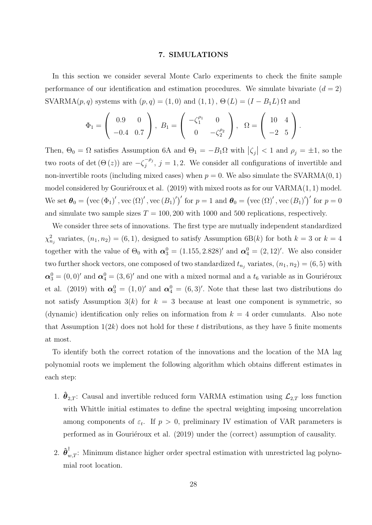#### 7. SIMULATIONS

In this section we consider several Monte Carlo experiments to check the finite sample performance of our identification and estimation procedures. We simulate bivariate  $(d = 2)$ SVARMA $(p, q)$  systems with  $(p, q) = (1, 0)$  and  $(1, 1)$ ,  $\Theta(L) = (I - B_1 L) \Omega$  and

$$
\Phi_1 = \begin{pmatrix} 0.9 & 0 \\ -0.4 & 0.7 \end{pmatrix}, \ B_1 = \begin{pmatrix} -\zeta_1^{\rho_1} & 0 \\ 0 & -\zeta_2^{\rho_2} \end{pmatrix}, \ \ \Omega = \begin{pmatrix} 10 & 4 \\ -2 & 5 \end{pmatrix}.
$$

Then,  $\Theta_0 = \Omega$  satisfies Assumption 6A and  $\Theta_1 = -B_1\Omega$  with  $|\zeta_j| < 1$  and  $\rho_j = \pm 1$ , so the two roots of det  $(\Theta(z))$  are  $-\zeta_i^{-\rho_j}$  $j^{p_j}$ ,  $j = 1, 2$ . We consider all configurations of invertible and non-invertible roots (including mixed cases) when  $p = 0$ . We also simulate the SVARMA $(0, 1)$ model considered by Gouriéroux et al.  $(2019)$  with mixed roots as for our VARMA $(1, 1)$  model. We set  $\boldsymbol{\theta}_0 = (\text{vec}(\Phi_1)'$ ,  $\text{vec}(\Omega)'$ ,  $\text{vec}(B_1)')'$  for  $p = 1$  and  $\boldsymbol{\theta}_0 = (\text{vec}(\Omega)'$ ,  $\text{vec}(B_1)')'$  for  $p = 0$ and simulate two sample sizes  $T = 100, 200$  with 1000 and 500 replications, respectively.

We consider three sets of innovations. The first type are mutually independent standardized  $\chi^2_{n_j}$  variates,  $(n_1, n_2) = (6, 1)$ , designed to satisfy Assumption 6B(k) for both  $k = 3$  or  $k = 4$ together with the value of  $\Theta_0$  with  $\alpha_3^0 = (1.155, 2.828)'$  and  $\alpha_4^0 = (2, 12)'$ . We also consider two further shock vectors, one composed of two standardized  $t_{n_j}$  variates,  $(n_1, n_2) = (6, 5)$  with  $\alpha_3^0 = (0,0)'$  and  $\alpha_4^0 = (3,6)'$  and one with a mixed normal and a  $t_6$  variable as in Gouriéroux et al. (2019) with  $\alpha_3^0 = (1,0)'$  and  $\alpha_4^0 = (6,3)'$ . Note that these last two distributions do not satisfy Assumption  $3(k)$  for  $k = 3$  because at least one component is symmetric, so (dynamic) identification only relies on information from  $k = 4$  order cumulants. Also note that Assumption  $1(2k)$  does not hold for these t distributions, as they have 5 finite moments at most.

To identify both the correct rotation of the innovations and the location of the MA lag polynomial roots we implement the following algorithm which obtains different estimates in each step:

- 1.  $\hat{\theta}_{2,T}$ : Causal and invertible reduced form VARMA estimation using  $\mathcal{L}_{2,T}$  loss function with Whittle initial estimates to define the spectral weighting imposing uncorrelation among components of  $\varepsilon_t$ . If  $p > 0$ , preliminary IV estimation of VAR parameters is performed as in Gouriéroux et al.  $(2019)$  under the (correct) assumption of causality.
- 2.  $\hat{\theta}_{w,T}^{\dagger}$ : Minimum distance higher order spectral estimation with unrestricted lag polynomial root location.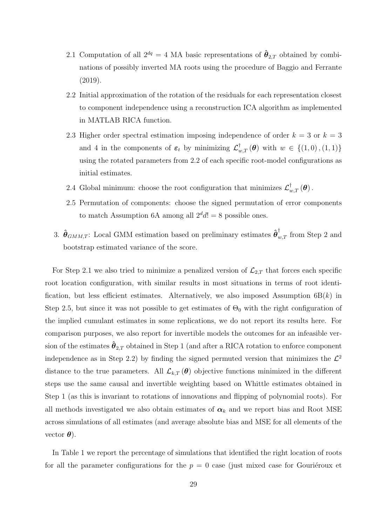- 2.1 Computation of all  $2^{dq} = 4$  MA basic representations of  $\hat{\theta}_{2,T}$  obtained by combinations of possibly inverted MA roots using the procedure of Baggio and Ferrante (2019).
- 2.2 Initial approximation of the rotation of the residuals for each representation closest to component independence using a reconstruction ICA algorithm as implemented in MATLAB RICA function.
- 2.3 Higher order spectral estimation imposing independence of order  $k = 3$  or  $k = 3$ and 4 in the components of  $\varepsilon_t$  by minimizing  $\mathcal{L}_{w,T}^{\dagger}(\theta)$  with  $w \in \{(1,0), (1,1)\}\$ using the rotated parameters from 2.2 of each specific root-model configurations as initial estimates.
- 2.4 Global minimum: choose the root configuration that minimizes  $\mathcal{L}^{\dagger}_{w,T}(\theta)$ .
- 2.5 Permutation of components: choose the signed permutation of error components to match Assumption 6A among all  $2^d d! = 8$  possible ones.
- 3.  $\hat{\theta}_{GMM,T}$ : Local GMM estimation based on preliminary estimates  $\hat{\theta}_{w,T}^{\dagger}$  from Step 2 and bootstrap estimated variance of the score.

For Step 2.1 we also tried to minimize a penalized version of  $\mathcal{L}_{2,T}$  that forces each specific root location configuration, with similar results in most situations in terms of root identification, but less efficient estimates. Alternatively, we also imposed Assumption  $6B(k)$  in Step 2.5, but since it was not possible to get estimates of  $\Theta_0$  with the right configuration of the implied cumulant estimates in some replications, we do not report its results here. For comparison purposes, we also report for invertible models the outcomes for an infeasible version of the estimates  $\ddot{\theta}_{2,T}$  obtained in Step 1 (and after a RICA rotation to enforce component independence as in Step 2.2) by finding the signed permuted version that minimizes the  $\mathcal{L}^2$ distance to the true parameters. All  $\mathcal{L}_{k,T}(\theta)$  objective functions minimized in the different steps use the same causal and invertible weighting based on Whittle estimates obtained in Step 1 (as this is invariant to rotations of innovations and flipping of polynomial roots). For all methods investigated we also obtain estimates of  $\alpha_k$  and we report bias and Root MSE across simulations of all estimates (and average absolute bias and MSE for all elements of the vector  $\boldsymbol{\theta}$ ).

In Table 1 we report the percentage of simulations that identified the right location of roots for all the parameter configurations for the  $p = 0$  case (just mixed case for Gouriéroux et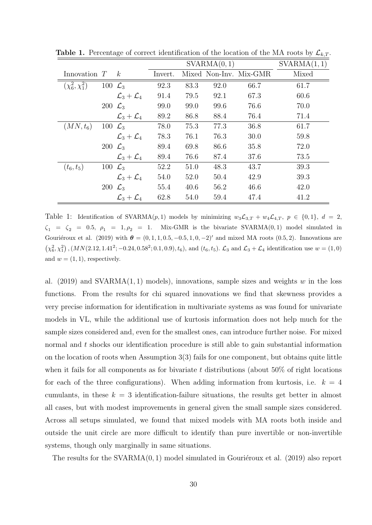|                        |                     |                               |         | SVARMA(0, 1) | SVARMA(1,1) |                        |       |
|------------------------|---------------------|-------------------------------|---------|--------------|-------------|------------------------|-------|
| Innovation $T$         |                     | $-k$                          | Invert. |              |             | Mixed Non-Inv. Mix-GMR | Mixed |
| $(\chi^2_6, \chi^2_1)$ | 100 $\mathcal{L}_3$ |                               | 92.3    | 83.3         | 92.0        | 66.7                   | 61.7  |
|                        |                     | $\mathcal{L}_3+\mathcal{L}_4$ | 91.4    | 79.5         | 92.1        | 67.3                   | 60.6  |
|                        | 200 $\mathcal{L}_3$ |                               | 99.0    | 99.0         | 99.6        | 76.6                   | 70.0  |
|                        |                     | $\mathcal{L}_3+\mathcal{L}_4$ | 89.2    | 86.8         | 88.4        | 76.4                   | 71.4  |
| $(MN,t_6)$             | 100 $\mathcal{L}_3$ |                               | 78.0    | 75.3         | 77.3        | 36.8                   | 61.7  |
|                        |                     | $\mathcal{L}_3+\mathcal{L}_4$ | 78.3    | 76.1         | 76.3        | 30.0                   | 59.8  |
|                        | 200 $\mathcal{L}_3$ |                               | 89.4    | 69.8         | 86.6        | 35.8                   | 72.0  |
|                        |                     | $\mathcal{L}_3+\mathcal{L}_4$ | 89.4    | 76.6         | 87.4        | 37.6                   | 73.5  |
| $(t_6, t_5)$           | 100 $\mathcal{L}_3$ |                               | 52.2    | 51.0         | 48.3        | 43.7                   | 39.3  |
|                        |                     | $\mathcal{L}_3+\mathcal{L}_4$ | 54.0    | 52.0         | 50.4        | 42.9                   | 39.3  |
|                        | 200 $\mathcal{L}_3$ |                               | 55.4    | 40.6         | 56.2        | 46.6                   | 42.0  |
|                        |                     | $\mathcal{L}_3+\mathcal{L}_4$ | 62.8    | 54.0         | 59.4        | 47.4                   | 41.2  |

**Table 1.** Percentage of correct identification of the location of the MA roots by  $\mathcal{L}_{k,T}$ .

Table 1: Identification of SVARMA $(p, 1)$  models by minimizing  $w_3\mathcal{L}_{3,T} + w_4\mathcal{L}_{4,T}$ ,  $p \in \{0, 1\}$ ,  $d = 2$ ,  $\zeta_1 = \zeta_2 = 0.5, \ \rho_1 = 1, \rho_2 = 1.$  Mix-GMR is the bivariate SVARMA $(0, 1)$  model simulated in Gouriéroux et al. (2019) with  $\theta = (0, 1, 1, 0.5, -0.5, 1, 0, -2)'$  and mixed MA roots (0.5, 2). Innovations are  $(\chi_6^2, \chi_1^2), (MN(2.12, 1.41^2; -0.24, 0.58^2; 0.1, 0.9), t_6),$  and  $(t_6, t_5)$ .  $\mathcal{L}_3$  and  $\mathcal{L}_3 + \mathcal{L}_4$  identification use  $w = (1, 0)$ and  $w = (1, 1)$ , respectively.

al. (2019) and SVARMA $(1, 1)$  models), innovations, sample sizes and weights w in the loss functions. From the results for chi squared innovations we find that skewness provides a very precise information for identification in multivariate systems as was found for univariate models in VL, while the additional use of kurtosis information does not help much for the sample sizes considered and, even for the smallest ones, can introduce further noise. For mixed normal and t shocks our identification procedure is still able to gain substantial information on the location of roots when Assumption 3(3) fails for one component, but obtains quite little when it fails for all components as for bivariate  $t$  distributions (about 50% of right locations for each of the three configurations). When adding information from kurtosis, i.e.  $k = 4$ cumulants, in these  $k = 3$  identification-failure situations, the results get better in almost all cases, but with modest improvements in general given the small sample sizes considered. Across all setups simulated, we found that mixed models with MA roots both inside and outside the unit circle are more difficult to identify than pure invertible or non-invertible systems, though only marginally in same situations.

The results for the  $SVARMA(0, 1)$  model simulated in Gourieroux et al. (2019) also report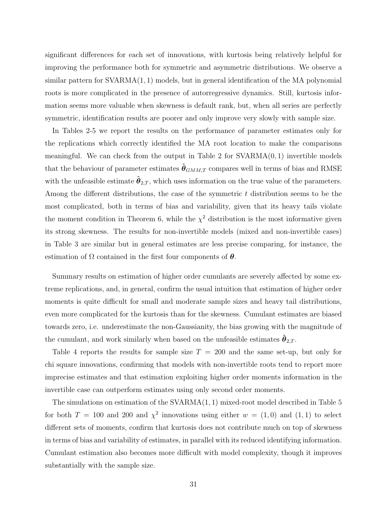significant differences for each set of innovations, with kurtosis being relatively helpful for improving the performance both for symmetric and asymmetric distributions. We observe a similar pattern for  $SVARMA(1, 1)$  models, but in general identification of the MA polynomial roots is more complicated in the presence of autorregressive dynamics. Still, kurtosis information seems more valuable when skewness is default rank, but, when all series are perfectly symmetric, identification results are poorer and only improve very slowly with sample size.

In Tables 2-5 we report the results on the performance of parameter estimates only for the replications which correctly identified the MA root location to make the comparisons meaningful. We can check from the output in Table 2 for  $SVARMA(0, 1)$  invertible models that the behaviour of parameter estimates  $\hat{\theta}_{GMM,T}$  compares well in terms of bias and RMSE with the unfeasible estimate  $\hat{\theta}_{2,T}$ , which uses information on the true value of the parameters. Among the different distributions, the case of the symmetric  $t$  distribution seems to be the most complicated, both in terms of bias and variability, given that its heavy tails violate the moment condition in Theorem 6, while the  $\chi^2$  distribution is the most informative given its strong skewness. The results for non-invertible models (mixed and non-invertible cases) in Table 3 are similar but in general estimates are less precise comparing, for instance, the estimation of  $\Omega$  contained in the first four components of  $\theta$ .

Summary results on estimation of higher order cumulants are severely affected by some extreme replications, and, in general, confirm the usual intuition that estimation of higher order moments is quite difficult for small and moderate sample sizes and heavy tail distributions, even more complicated for the kurtosis than for the skewness. Cumulant estimates are biased towards zero, i.e. underestimate the non-Gaussianity, the bias growing with the magnitude of the cumulant, and work similarly when based on the unfeasible estimates  $\hat{\boldsymbol{\theta}}_{2,T}$ .

Table 4 reports the results for sample size  $T = 200$  and the same set-up, but only for chi square innovations, confirming that models with non-invertible roots tend to report more imprecise estimates and that estimation exploiting higher order moments information in the invertible case can outperform estimates using only second order moments.

The simulations on estimation of the SVARMA(1, 1) mixed-root model described in Table 5 for both  $T = 100$  and 200 and  $\chi^2$  innovations using either  $w = (1,0)$  and  $(1,1)$  to select different sets of moments, confirm that kurtosis does not contribute much on top of skewness in terms of bias and variability of estimates, in parallel with its reduced identifying information. Cumulant estimation also becomes more difficult with model complexity, though it improves substantially with the sample size.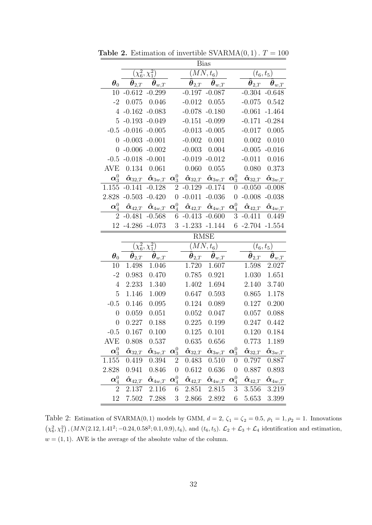|                           | <b>Bias</b>                        |                                                  |                           |                                                              |                                                              |                           |                                    |                                                         |  |  |  |
|---------------------------|------------------------------------|--------------------------------------------------|---------------------------|--------------------------------------------------------------|--------------------------------------------------------------|---------------------------|------------------------------------|---------------------------------------------------------|--|--|--|
|                           | $(\chi_6^2,\chi_1^2)$              |                                                  | $(MN,t_6)$                |                                                              |                                                              |                           | $(t_{6},t_{5})$                    |                                                         |  |  |  |
| $\boldsymbol{\theta}_0$   | $\boldsymbol{\theta}_{2,T}$        | $\bm{\theta}_{w, T}$                             |                           | $\bm{\theta}_{2,T}$                                          | $\hat{\boldsymbol{\theta}}_{w, T}$                           |                           | $\boldsymbol{\theta}_{2,T}$        | $\bm{\theta}_{w, T}$                                    |  |  |  |
| 10                        | $-0.612 - 0.299$                   |                                                  |                           |                                                              | $-0.197 - 0.087$                                             |                           | $-0.304$                           | $-0.648$                                                |  |  |  |
| $-2$                      | 0.075                              | 0.046                                            |                           | $-0.012$                                                     | 0.055                                                        |                           | $-0.075$                           | 0.542                                                   |  |  |  |
| $\overline{4}$            |                                    | $-0.162 - 0.083$                                 |                           | $-0.078$                                                     | $-0.180$                                                     |                           | $-0.061$                           | $-1.464$                                                |  |  |  |
| 5                         | $-0.193$                           | $-0.049$                                         |                           | $-0.151$                                                     | $-0.099$                                                     |                           | $-0.171$                           | $-0.284$                                                |  |  |  |
|                           | $-0.5 - 0.016$                     | $-0.005$                                         |                           | $-0.013$                                                     | $-0.005$                                                     |                           | $-0.017$                           | 0.005                                                   |  |  |  |
| $\overline{0}$            |                                    | $-0.003 - 0.001$                                 |                           | $-0.002$                                                     | 0.001                                                        |                           | 0.002                              | 0.010                                                   |  |  |  |
| $\overline{0}$            |                                    | $-0.006 - 0.002$                                 |                           | $-0.003$                                                     | 0.004                                                        |                           |                                    | $-0.005 - 0.016$                                        |  |  |  |
| $-0.5$                    | $-0.018$                           | $-0.001$                                         |                           | $-0.019$                                                     | $-0.012$                                                     |                           | $-0.011$                           | 0.016                                                   |  |  |  |
| AVE                       | 0.134                              | 0.061                                            |                           | 0.060                                                        | 0.055                                                        |                           | 0.080                              | 0.373                                                   |  |  |  |
| $\boldsymbol{\alpha}^0_3$ | $\hat{\boldsymbol{\alpha}}_{32,T}$ | $\bm{\hat{\alpha}}_{3w,T}$                       |                           | $\boldsymbol{\alpha}^0_3$ $\hat{\boldsymbol{\alpha}}_{32,T}$ | $\bm{\hat{\alpha}}_{3w,T}$                                   | $\boldsymbol{\alpha}^0_3$ | $\hat{\boldsymbol{\alpha}}_{32,T}$ | $\boldsymbol{\hat{\alpha}}_{3w,T}$                      |  |  |  |
| 1.155                     | $-0.141$                           | $-0.128$                                         | $\overline{2}$            | $-0.129$                                                     | $-0.174$                                                     | $\boldsymbol{0}$          | $-0.050$                           | $-0.008$                                                |  |  |  |
| 2.828                     | $-0.503$                           | $-0.420$                                         | $\overline{0}$            | $-0.011$                                                     | $-0.036$                                                     | $\overline{0}$            | $-0.008$                           | $-0.038$                                                |  |  |  |
| $\boldsymbol{\alpha}_4^0$ | $\bm{\hat{\alpha}}_{42,T}$         | $\bm{\hat{\alpha}}_{4w,T}$                       | $\boldsymbol{\alpha}_4^0$ | $\hat{\pmb{\alpha}}_{42,T}$                                  | $\hat{\boldsymbol{\alpha}}_{4w,T}$ $\boldsymbol{\alpha}^0_4$ |                           | $\pmb{\hat{\alpha}}_{42,T}$        | $\boldsymbol{\hat{\alpha}}_{4w,\underline{T}}$          |  |  |  |
| $\overline{2}$            | $-0.481$                           | $-0.568$                                         | 6                         | $-0.413$                                                     | $-0.600$                                                     | 3                         | $-0.411$                           | 0.449                                                   |  |  |  |
| 12                        | $-4.286$                           | $-4.073$                                         | 3                         | $-1.233$                                                     | $-1.144$                                                     | 6                         |                                    | $-2.704 - 1.554$                                        |  |  |  |
|                           |                                    |                                                  |                           |                                                              |                                                              |                           |                                    |                                                         |  |  |  |
|                           |                                    |                                                  |                           |                                                              | <b>RMSE</b>                                                  |                           |                                    |                                                         |  |  |  |
|                           |                                    | $(\chi _{6}^{2},\chi _{1}^{2})$                  |                           |                                                              | $(MN,t_6)$                                                   |                           |                                    | $(t_{6},t_{5})$                                         |  |  |  |
| $\boldsymbol{\theta}_0$   | $\ddot{\boldsymbol{\theta}}_{2,T}$ |                                                  |                           | $\bm{\theta}_{2,T}$                                          |                                                              |                           | $\hat{\bm{\theta}}_{2,T}$          |                                                         |  |  |  |
| 10                        | 1.498                              | $\boldsymbol{\theta}_{w,\underline{T}}$<br>1.046 |                           | 1.720                                                        | $\boldsymbol{\hat{\theta}}_{w,\underline{T}}$<br>1.607       |                           | 1.598                              | $\boldsymbol{\hat{\theta}}_{w,\boldsymbol{T}}$<br>2.027 |  |  |  |
| $-2$                      | 0.983                              | 0.470                                            |                           | 0.785                                                        | 0.921                                                        |                           | 1.030                              | 1.651                                                   |  |  |  |
| $\overline{4}$            | 2.233                              | 1.340                                            |                           | 1.402                                                        | 1.694                                                        |                           | 2.140                              | 3.740                                                   |  |  |  |
| 5                         | 1.146                              | 1.009                                            |                           | 0.647                                                        | 0.593                                                        |                           | 0.865                              | 1.178                                                   |  |  |  |
| $-0.5$                    | 0.146                              | 0.095                                            |                           | 0.124                                                        | 0.089                                                        |                           | 0.127                              | 0.200                                                   |  |  |  |
| $\overline{0}$            | 0.059                              | 0.051                                            |                           | 0.052                                                        | 0.047                                                        |                           | 0.057                              | 0.088                                                   |  |  |  |
| $\overline{0}$            | 0.227                              | 0.188                                            |                           | 0.225                                                        | 0.199                                                        |                           | 0.247                              | 0.442                                                   |  |  |  |
| $-0.5$                    | 0.167                              | 0.100                                            |                           | 0.125                                                        | 0.101                                                        |                           | 0.120                              | 0.184                                                   |  |  |  |
| <b>AVE</b>                | 0.808                              | 0.537                                            |                           | 0.635                                                        | 0.656                                                        |                           | 0.773                              | 1.189                                                   |  |  |  |
| $\boldsymbol{\alpha}^0_3$ | $\bm{\hat{\alpha}}_{32,T}$         | $\bm{\hat{\alpha}}_{3w,T}$                       | $\boldsymbol{\alpha}^0_3$ | $\bm{\hat{\alpha}}_{32,T}$                                   | $\bm{\hat{\alpha}}_{3w,T}$                                   | $\boldsymbol{\alpha}^0_3$ | $\bm{\hat{\alpha}}_{32,T}$         | $\bm{\hat{\alpha}}_{3w, T}$                             |  |  |  |
| 1.155                     | 0.419                              | 0.394                                            | $\overline{2}$            | 0.483                                                        | 0.510                                                        | $\boldsymbol{0}$          | 0.797                              | 0.887                                                   |  |  |  |
| 2.828                     | 0.941                              | 0.846                                            | $\boldsymbol{0}$          | 0.612                                                        | 0.636                                                        | $\boldsymbol{0}$          | 0.887                              | 0.893                                                   |  |  |  |
| $\boldsymbol{\alpha}_4^0$ | $\bm{\hat{\alpha}}_{42,T}$         | $\bm{\hat{\alpha}}_{4w,T}$                       | $\boldsymbol{\alpha}_4^0$ | $\bm{\hat{\alpha}}_{42,T}$                                   | $\bm{\hat{\alpha}}_{4w,T}$                                   | $\boldsymbol{\alpha}_4^0$ | $\bm{\hat{\alpha}}_{42,T}$         | $\bm{\hat{\alpha}}_{4w,\bm{T}}$                         |  |  |  |
| $\overline{2}$            | 2.137                              | 2.116                                            | 6                         | 2.851                                                        | 2.815                                                        | 3                         | 3.556                              | 3.219                                                   |  |  |  |

**Table 2.** Estimation of invertible SVARMA $(0, 1)$ .  $T = 100$ 

Table 2: Estimation of SVARMA(0,1) models by GMM,  $d = 2$ ,  $\zeta_1 = \zeta_2 = 0.5$ ,  $\rho_1 = 1$ ,  $\rho_2 = 1$ . Innovations  $(\chi_6^2, \chi_1^2)$ ,  $(MN(2.12, 1.41^2; -0.24, 0.58^2; 0.1, 0.9), t_6)$ , and  $(t_6, t_5)$ .  $\mathcal{L}_2 + \mathcal{L}_3 + \mathcal{L}_4$  identification and estimation,  $w = (1, 1)$ . AVE is the average of the absolute value of the column.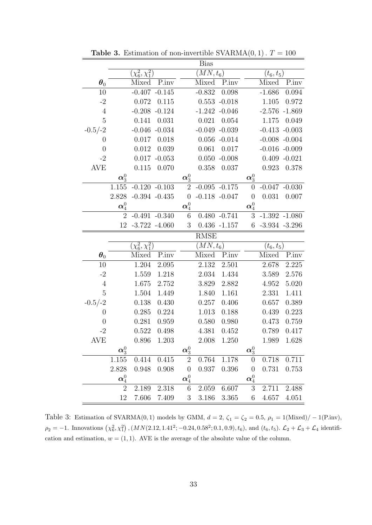|                         | <b>Bias</b>               |                                |                  |                           |                  |                  |                           |                  |                  |  |
|-------------------------|---------------------------|--------------------------------|------------------|---------------------------|------------------|------------------|---------------------------|------------------|------------------|--|
|                         |                           | $(\chi^2_6,\chi^2_1)$          |                  |                           | $(MN,t_6)$       |                  | $(t_{6},t_{5})$           |                  |                  |  |
| $\boldsymbol{\theta}_0$ |                           | Mixed                          | P.inv            |                           | Mixed            | P.inv            |                           | Mixed            | P.inv            |  |
| 10                      |                           |                                | $-0.407 - 0.145$ |                           | $-0.832$         | 0.098            |                           | $-1.686$         | 0.094            |  |
| $-2$                    |                           | 0.072                          | 0.115            |                           |                  | $0.553 - 0.018$  |                           | 1.105            | 0.972            |  |
| $\overline{4}$          |                           |                                | $-0.208 - 0.124$ |                           |                  | $-1.242 - 0.046$ |                           |                  | $-2.576 - 1.869$ |  |
| 5                       |                           | 0.141                          | 0.031            |                           | 0.021            | 0.054            |                           | 1.175            | 0.049            |  |
| $-0.5/-2$               |                           |                                | $-0.046 - 0.034$ |                           | $-0.049$         | $-0.039$         |                           |                  | $-0.413 - 0.003$ |  |
| $\overline{0}$          |                           | 0.017                          | 0.018            |                           |                  | $0.056 - 0.014$  |                           |                  | $-0.008 - 0.004$ |  |
| $\theta$                |                           | 0.012                          | 0.039            |                           | 0.061            | 0.017            |                           |                  | $-0.016 - 0.009$ |  |
| $-2$                    |                           | 0.017                          | $-0.053$         |                           | 0.050            | $-0.008$         |                           |                  | $0.409 - 0.021$  |  |
| <b>AVE</b>              |                           | 0.115                          | 0.070            |                           | 0.358            | 0.037            |                           | 0.923            | 0.378            |  |
|                         | $\boldsymbol{\alpha}^0_3$ |                                |                  | $\boldsymbol{\alpha}^0_3$ |                  |                  | $\boldsymbol{\alpha}^0_3$ |                  |                  |  |
|                         | 1.155                     | $-0.120 - 0.103$               |                  | $\overline{2}$            | $-0.095 - 0.175$ |                  | $\overline{0}$            |                  | $-0.047 - 0.030$ |  |
|                         | 2.828                     |                                | $-0.394 - 0.435$ | $\theta$                  | $-0.118 - 0.047$ |                  | $\theta$                  | 0.031            | 0.007            |  |
|                         | $\boldsymbol{\alpha}_4^0$ |                                |                  | $\boldsymbol{\alpha}_4^0$ |                  |                  | $\boldsymbol{\alpha}_4^0$ |                  |                  |  |
|                         | $\overline{2}$            | $-0.491 - 0.340$               |                  | 6                         |                  | $0.480 - 0.741$  | $\boldsymbol{3}$          |                  | $-1.392 -1.080$  |  |
|                         | 12                        | $-3.722 - 4.060$               |                  | 3                         |                  | $0.436 - 1.157$  | 6                         | $-3.934 - 3.296$ |                  |  |
|                         |                           |                                |                  |                           |                  |                  |                           |                  |                  |  |
|                         |                           |                                |                  |                           | <b>RMSE</b>      |                  |                           |                  |                  |  |
|                         |                           | $(\chi_{6}^{2}, \chi_{1}^{2})$ |                  |                           | $(MN,t_6)$       |                  |                           | $(t_6, t_5)$     |                  |  |
| $\boldsymbol{\theta}_0$ |                           | Mixed                          | P.inv            |                           | Mixed            | P.inv            |                           | Mixed            | P.inv            |  |
| 10                      |                           | 1.204                          | 2.095            |                           | 2.132            | 2.501            |                           | 2.678            | 2.225            |  |
| $-2$                    |                           | 1.559                          | 1.218            |                           | 2.034            | 1.434            |                           | 3.589            | 2.576            |  |
| $\overline{4}$          |                           | 1.675                          | 2.752            |                           | 3.829            | 2.882            |                           | 4.952            | 5.020            |  |
| $\overline{5}$          |                           | 1.504                          | 1.449            |                           | 1.840            | 1.161            |                           | 2.331            | 1.411            |  |
| $-0.5/-2$               |                           | 0.138                          | 0.430            |                           | 0.257            | 0.406            |                           | 0.657            | 0.389            |  |
| $\overline{0}$          |                           | 0.285                          | 0.224            |                           | 1.013            | 0.188            |                           | $0.439\,$        | 0.223            |  |
| $\theta$                |                           | 0.281                          | 0.959            |                           | 0.580            | 0.980            |                           | 0.473            | 0.759            |  |
| $-2$                    |                           | 0.522                          | 0.498            |                           | 4.381            | 0.452            |                           | 0.789            | 0.417            |  |
| <b>AVE</b>              |                           | 0.896                          | 1.203            |                           |                  | 2.008 1.250      |                           |                  | 1.989 1.628      |  |
|                         | $\boldsymbol{\alpha}^0_3$ |                                |                  | $\boldsymbol{\alpha}^0_3$ |                  |                  | $\boldsymbol{\alpha}^0_3$ |                  |                  |  |
|                         | $1.155\,$                 | 0.414                          | 0.415            | $\overline{2}$            | 0.764            | 1.178            | $\boldsymbol{0}$          | 0.718            | 0.711            |  |
|                         | 2.828                     | 0.948                          | 0.908            | $\theta$                  | 0.937            | 0.396            | $\boldsymbol{0}$          | 0.731            | 0.753            |  |
|                         | $\boldsymbol{\alpha}_4^0$ |                                |                  | $\boldsymbol{\alpha}_4^0$ |                  |                  | $\boldsymbol{\alpha}_4^0$ |                  |                  |  |
|                         | $\overline{2}$            | 2.189                          | 2.318            | 6                         | 2.059            | 6.607            | 3                         | 2.711            | 2.488            |  |

**Table 3.** Estimation of non-invertible SVARMA $(0, 1)$ .  $T = 100$ 

Table 3: Estimation of SVARMA(0,1) models by GMM,  $d = 2$ ,  $\zeta_1 = \zeta_2 = 0.5$ ,  $\rho_1 = 1$ (Mixed)/ – 1(P.inv),  $\rho_2 = -1$ . Innovations  $(\chi_6^2, \chi_1^2)$ ,  $(MN(2.12, 1.41^2; -0.24, 0.58^2; 0.1, 0.9), t_6)$ , and  $(t_6, t_5)$ .  $\mathcal{L}_2 + \mathcal{L}_3 + \mathcal{L}_4$  identification and estimation,  $w = (1, 1)$ . AVE is the average of the absolute value of the column.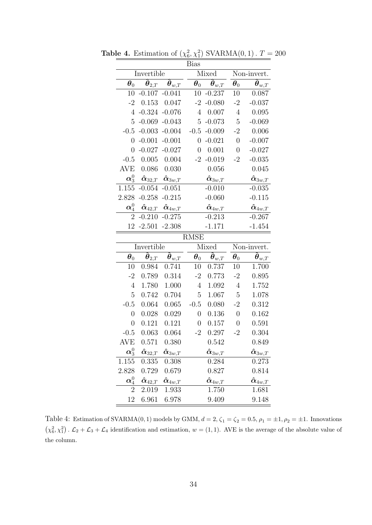|                                      |                                       |                                               | Bias                    |                                                           |                               |                                                         |  |
|--------------------------------------|---------------------------------------|-----------------------------------------------|-------------------------|-----------------------------------------------------------|-------------------------------|---------------------------------------------------------|--|
|                                      | Invertible                            |                                               |                         | Mixed                                                     | Non-invert.                   |                                                         |  |
| $\boldsymbol{\theta}_0$              | $\overline{\hat{\pmb{\theta}}}_{2,T}$ | $\boldsymbol{\hat{\theta}}_{w,\underline{T}}$ | $\boldsymbol{\theta}_0$ | $\boldsymbol{\tilde{\theta}}_{w, T}$                      | $\boldsymbol{\theta}_0$       | $\widehat{\boldsymbol{\theta}}_{\textit{w},T}$          |  |
| 10                                   | $-0.107$                              | $-0.041$                                      | 10                      | $-0.237$                                                  | 10                            | 0.087                                                   |  |
| $-2$                                 | 0.153                                 | 0.047                                         | $-2$                    | $-0.080$                                                  | $-2$                          | $-0.037$                                                |  |
| $\overline{4}$                       | $-0.324$                              | $-0.076$                                      | $\overline{4}$          | 0.007                                                     | $\sqrt{4}$                    | 0.095                                                   |  |
| 5                                    | $-0.069$                              | $-0.043$                                      | 5                       | $-0.073$                                                  | $\overline{5}$                | $-0.069$                                                |  |
|                                      | $-0.5 - 0.003$                        | $-0.004$                                      |                         | $-0.5 - 0.009$                                            | $-2$                          | 0.006                                                   |  |
| $\overline{0}$                       | $-0.001$                              | $-0.001$                                      | $\overline{0}$          | $-0.021$                                                  | $\overline{0}$                | $-0.007$                                                |  |
| $\overline{0}$                       |                                       | $-0.027 - 0.027$                              | $\overline{0}$          | 0.001                                                     | $\boldsymbol{0}$              | $-0.027$                                                |  |
| $-0.5$                               | 0.005                                 | 0.004                                         | $-2$                    | $-0.019$                                                  | $-2$                          | $-0.035$                                                |  |
| AVE                                  | 0.086                                 | 0.030                                         |                         | 0.056                                                     |                               | 0.045                                                   |  |
| $\boldsymbol{\alpha}^0_3$            | $\bm{\hat{\alpha}}_{32,T}$            | $\bm{\hat{\alpha}}_{3w,T}$                    |                         | $\hat{\boldsymbol{\alpha}}_{3w,T}$                        |                               | $\boldsymbol{\hat{\alpha}}_{3w,T}$                      |  |
| 1.155                                | $-0.054$                              | $-0.051$                                      |                         | $-0.010$                                                  |                               | $-0.035$                                                |  |
| 2.828                                | $-0.258$                              | $-0.215$                                      |                         | $-0.060$                                                  |                               | $-0.115$                                                |  |
| $\boldsymbol{\alpha}_4^0$            | $\bm{\hat{\alpha}}_{42,T}$            | $\boldsymbol{\hat{\alpha}}_{4w, T}$           |                         | $\boldsymbol{\hat{\alpha}}_{4w, T}$                       |                               | $\boldsymbol{\hat{\alpha}}_{4w,\boldsymbol{T}}$         |  |
| $\overline{2}$                       | $-0.210$                              | $-0.275$                                      |                         | $-0.213$                                                  |                               | $-0.267$                                                |  |
| 12                                   | $-2.501$                              | $-2.308$                                      |                         | $-1.171$                                                  |                               | $-1.454$                                                |  |
|                                      |                                       |                                               |                         |                                                           |                               |                                                         |  |
|                                      |                                       |                                               | <b>RMSE</b>             |                                                           |                               |                                                         |  |
|                                      | Invertible                            |                                               |                         | Mixed                                                     |                               | Non-invert.                                             |  |
| $\boldsymbol{\theta}_0$              |                                       |                                               |                         |                                                           |                               |                                                         |  |
| 10                                   | $\hat{\pmb{\theta}}_{2,T}$<br>0.984   | $\hat{\boldsymbol{\theta}}_{w, T}$<br>0.741   | $\pmb{\theta}_0$<br>10  | $\boldsymbol{\tilde{\theta}}_{w,\boldsymbol{T}}$<br>0.737 | $\boldsymbol{\theta}_0$<br>10 | $\boldsymbol{\hat{\theta}}_{w, T}$<br>1.700             |  |
| $-2$                                 | 0.789                                 | 0.314                                         | $-2$                    | 0.773                                                     | $-2$                          | 0.895                                                   |  |
| $\overline{4}$                       | 1.780                                 | 1.000                                         | $\overline{4}$          | 1.092                                                     | $\sqrt{4}$                    | 1.752                                                   |  |
| 5                                    | 0.742                                 | 0.704                                         | $\overline{5}$          | 1.067                                                     | $\overline{5}$                | 1.078                                                   |  |
| $-0.5$                               | 0.064                                 | 0.065                                         | $-0.5$                  | 0.080                                                     | $-2$                          | 0.312                                                   |  |
| $\overline{0}$                       | 0.028                                 | 0.029                                         | $\boldsymbol{0}$        | 0.136                                                     | $\overline{0}$                | 0.162                                                   |  |
| $\overline{0}$                       | 0.121                                 | 0.121                                         | $\boldsymbol{0}$        | 0.157                                                     | $\boldsymbol{0}$              | 0.591                                                   |  |
| $-0.5$                               | 0.063                                 | 0.064                                         | $-2$                    | 0.297                                                     | $-2$                          | 0.304                                                   |  |
| <b>AVE</b>                           | 0.571                                 | 0.380                                         |                         | 0.542                                                     |                               | 0.849                                                   |  |
|                                      |                                       |                                               |                         |                                                           |                               |                                                         |  |
| $\boldsymbol{\alpha}^{0}_3$<br>1.155 | $\bm{\hat{\alpha}}_{32,T}$<br>0.335   | $\bm{\hat{\alpha}}_{3w,T}$<br>0.308           |                         | $\boldsymbol{\hat{\alpha}}_{3w,T}$<br>0.284               |                               | $\bm{\hat{\alpha}}_{3w,\overline{T}}$<br>0.273          |  |
| 2.828                                | 0.729                                 | 0.679                                         |                         | 0.827                                                     |                               | 0.814                                                   |  |
| $\boldsymbol{\alpha}_4^0$            | $\bm{\hat{\alpha}}_{42,T}$            |                                               |                         |                                                           |                               |                                                         |  |
| $\overline{2}$                       | 2.019                                 | $\bm{\hat{\alpha}}_{4w, T}$<br>1.933          |                         | $\bm{\hat{\alpha}}_{4w,\underline{T}}$<br>1.750           |                               | $\boldsymbol{\hat{\alpha}}_{4w,\underline{T}}$<br>1.681 |  |

**Table 4.** Estimation of  $(\chi_6^2, \chi_1^2)$  SVARMA $(0, 1)$ .  $T = 200$ 

Table 4: Estimation of SVARMA(0,1) models by GMM,  $d = 2$ ,  $\zeta_1 = \zeta_2 = 0.5$ ,  $\rho_1 = \pm 1$ ,  $\rho_2 = \pm 1$ . Innovations  $(\chi_6^2, \chi_1^2)$ .  $\mathcal{L}_2 + \mathcal{L}_3 + \mathcal{L}_4$  identification and estimation,  $w = (1, 1)$ . AVE is the average of the absolute value of the column.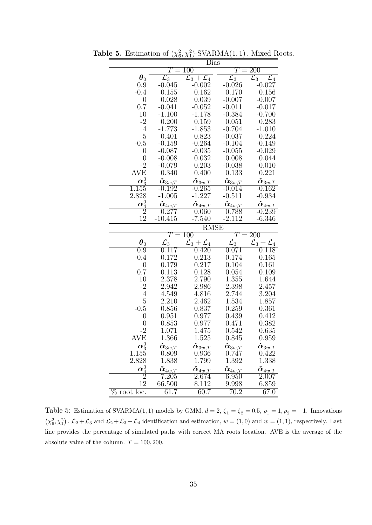|                             |                                       | <b>Bias</b>                                    |                                                |                                          |  |  |  |
|-----------------------------|---------------------------------------|------------------------------------------------|------------------------------------------------|------------------------------------------|--|--|--|
|                             | Т<br>$=$                              | 100                                            | 200<br>$\, T \,$<br>$=$                        |                                          |  |  |  |
| $\boldsymbol{\theta}_0$     | $\mathcal{L}_3$                       | $\overline{\mathcal L_3 + \mathcal L_4}$       | $\mathcal{L}_3$                                | $\overline{\mathcal L_3 + \mathcal L_4}$ |  |  |  |
| 0.9                         | -0.045                                | $-0.002$                                       | $-0.026$                                       | $-0.027$                                 |  |  |  |
| $-0.4$                      | 0.155                                 | 0.162                                          | 0.170                                          | 0.156                                    |  |  |  |
| $\overline{0}$              | 0.028                                 | 0.039                                          | $-0.007$                                       | $-0.007$                                 |  |  |  |
| 0.7                         | $-0.041$                              | $-0.052$                                       | $-0.011$                                       | $-0.017$                                 |  |  |  |
| 10                          | $-1.100$                              | $-1.178$                                       | $-0.384$                                       | $-0.700$                                 |  |  |  |
| $-2$                        | 0.200                                 | 0.159                                          | 0.051                                          | 0.283                                    |  |  |  |
| $\overline{4}$              | $-1.773$                              | $-1.853$                                       | $-0.704$                                       | $-1.010$                                 |  |  |  |
| $\overline{5}$              | 0.401                                 | 0.823                                          | $-0.037$                                       | 0.224                                    |  |  |  |
| $-0.5$                      | $-0.159$                              | $-0.264$                                       | $-0.104$                                       | $-0.149$                                 |  |  |  |
| $\boldsymbol{0}$            | $-0.087$                              | $-0.035$                                       | $-0.055$                                       | $-0.029$                                 |  |  |  |
| $\overline{0}$              | $-0.008$                              | 0.032                                          | 0.008                                          | 0.044                                    |  |  |  |
| $-2$                        | $-0.079$                              | 0.203                                          | $-0.038$                                       | $-0.010$                                 |  |  |  |
| <b>AVE</b>                  | 0.340                                 | 0.400                                          | 0.133                                          | 0.221                                    |  |  |  |
| $\boldsymbol{\alpha}^0_{3}$ | $\bm{\hat{\alpha}}_{3w,\overline{T}}$ | $\boldsymbol{\hat{\alpha}}_{3w,\underline{T}}$ | $\boldsymbol{\hat{\alpha}}_{3\underline{w},T}$ | $\bm{\hat{\alpha}}_{3w, T}$              |  |  |  |
| $\overline{1.155}$          | $-0.192$                              | $-0.265$                                       | $-0.014$                                       | $-0.162$                                 |  |  |  |
| 2.828                       | $-1.005$                              | $-1.227$                                       | $-0.511$                                       | $-0.934$                                 |  |  |  |
| $\boldsymbol{\alpha}_4^0$   | $\bm{\hat{\alpha}}_{4w,\overline{T}}$ | $\bm{\hat{\alpha}}_{4w,\overline{T}}$          | $\bm{\hat{\alpha}}_{4w, T}$                    | $\bm{\hat{\alpha}}_{4\textit{w,T}}$      |  |  |  |
| $\overline{2}$              | 0.277                                 | 0.060                                          | 0.788                                          | $-0.239$                                 |  |  |  |
| 12                          | $-10.415$                             | $-7.540$                                       | $-2.112$                                       | $-6.346$                                 |  |  |  |
|                             |                                       | RMSE                                           |                                                |                                          |  |  |  |
|                             | $T\,$                                 | $100\,$                                        | Т                                              | 200                                      |  |  |  |
| $\boldsymbol{\theta}_0$     | $\mathcal{L}_3$                       | $\mathcal{L}_3+\mathcal{L}_4$                  | $\mathcal{L}_3$                                | $\mathcal{L}_3+\mathcal{L}_4$            |  |  |  |
| 0.9                         | 0.117                                 | $0.420\,$                                      | $0.071\,$                                      | 0.118                                    |  |  |  |
| $-0.4$                      | 0.172                                 | 0.213                                          | 0.174                                          | 0.165                                    |  |  |  |
| $\overline{0}$              | 0.179                                 | 0.217                                          | 0.104                                          | 0.161                                    |  |  |  |
| 0.7                         | 0.113                                 | 0.128                                          | 0.054                                          | 0.109                                    |  |  |  |
| 10                          | 2.378                                 | 2.790                                          | 1.355                                          | 1.644                                    |  |  |  |
| $-2$                        | 2.942                                 | 2.986                                          | 2.398                                          | 2.457                                    |  |  |  |
| $\overline{4}$              | 4.549                                 | 4.816                                          | 2.744                                          | 3.204                                    |  |  |  |
| $\overline{5}$              | 2.210                                 | 2.462                                          | 1.534                                          | 1.857                                    |  |  |  |
| $-0.5$                      | 0.856                                 | 0.837                                          | 0.259                                          | 0.361                                    |  |  |  |
| $\boldsymbol{0}$            | 0.951                                 | 0.977                                          | 0.439                                          | 0.412                                    |  |  |  |
| $\overline{0}$              | 0.853                                 | 0.977                                          | 0.471                                          | 0.382                                    |  |  |  |
| $-2$                        | 1.071                                 | 1.475                                          | 0.542                                          | 0.635                                    |  |  |  |
| AVE                         | 1.366                                 | 1.525                                          | 0.845                                          | 0.959                                    |  |  |  |
| $\boldsymbol{\alpha}^0_3$   | $\bm{\hat{\alpha}}_{3w,\overline{T}}$ | $\bm{\hat{\alpha}}_{3w,\overline{T}}$          | $\bm{\hat{\alpha}}_{3w,T}$                     | $\bm{\hat{\alpha}}_{3w,\underline{T}}$   |  |  |  |
| $1.155\,$                   | 0.809                                 | $\overline{0.936}$                             | 0.747                                          | 0.422                                    |  |  |  |
| 2.828                       | 1.838                                 | 1.799                                          | 1.392                                          | 1.338                                    |  |  |  |
|                             |                                       |                                                |                                                |                                          |  |  |  |
| $\boldsymbol{\alpha}_4^0$   | $\bm{\hat{\alpha}}_{4w,\overline{T}}$ | $\bm{\hat{\alpha}}_{4\underline{w},T}$         | $\boldsymbol{\hat{\alpha}}_{4w, T}$            | $\boldsymbol{\hat{\alpha}}_{4w, T}$      |  |  |  |
| $\overline{2}$              | 7.205                                 | 2.674                                          | 6.950                                          | 2.007                                    |  |  |  |
| 12<br>$\%$ root loc.        | 66.500<br>61.7                        | 8.112<br>60.7                                  | 9.998<br>$\overline{70.2}$                     | 6.859<br>$\overline{67.0}$               |  |  |  |

**Table 5.** Estimation of  $(\chi_6^2, \chi_1^2)$ -SVARMA $(1, 1)$ . Mixed Roots.

Table 5: Estimation of SVARMA(1, 1) models by GMM,  $d = 2$ ,  $\zeta_1 = \zeta_2 = 0.5$ ,  $\rho_1 = 1$ ,  $\rho_2 = -1$ . Innovations  $(\chi_6^2, \chi_1^2)$ .  $\mathcal{L}_2 + \mathcal{L}_3$  and  $\mathcal{L}_2 + \mathcal{L}_3 + \mathcal{L}_4$  identification and estimation,  $w = (1, 0)$  and  $w = (1, 1)$ , respectively. Last line provides the percentage of simulated paths with correct MA roots location. AVE is the average of the absolute value of the column.  $T = 100, 200$ .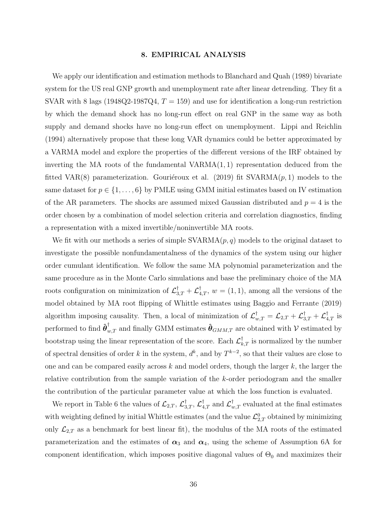#### 8. EMPIRICAL ANALYSIS

We apply our identification and estimation methods to Blanchard and Quah (1989) bivariate system for the US real GNP growth and unemployment rate after linear detrending. They fit a SVAR with 8 lags (1948Q2-1987Q4,  $T = 159$ ) and use for identification a long-run restriction by which the demand shock has no long-run effect on real GNP in the same way as both supply and demand shocks have no long-run effect on unemployment. Lippi and Reichlin (1994) alternatively propose that these long VAR dynamics could be better approximated by a VARMA model and explore the properties of the different versions of the IRF obtained by inverting the MA roots of the fundamental  $VARMA(1, 1)$  representation deduced from the fitted VAR(8) parameterization. Gouriéroux et al. (2019) fit  $SVARMA(p, 1)$  models to the same dataset for  $p \in \{1, \ldots, 6\}$  by PMLE using GMM initial estimates based on IV estimation of the AR parameters. The shocks are assumed mixed Gaussian distributed and  $p = 4$  is the order chosen by a combination of model selection criteria and correlation diagnostics, finding a representation with a mixed invertible/noninvertible MA roots.

We fit with our methods a series of simple  $SVARMA(p, q)$  models to the original dataset to investigate the possible nonfundamentalness of the dynamics of the system using our higher order cumulant identification. We follow the same MA polynomial parameterization and the same procedure as in the Monte Carlo simulations and base the preliminary choice of the MA roots configuration on minimization of  $\mathcal{L}_{3,T}^{\dagger} + \mathcal{L}_{4,T}^{\dagger}$ ,  $w = (1,1)$ , among all the versions of the model obtained by MA root flipping of Whittle estimates using Baggio and Ferrante (2019) algorithm imposing causality. Then, a local of minimization of  $\mathcal{L}_{w,T}^{\dagger} = \mathcal{L}_{2,T} + \mathcal{L}_{3,T}^{\dagger} + \mathcal{L}_{4,T}^{\dagger}$  is performed to find  $\hat{\bm{\theta}}_{w,T}^{\dagger}$  and finally GMM estimates  $\hat{\bm{\theta}}_{GMM,T}$  are obtained with  $\mathcal V$  estimated by bootstrap using the linear representation of the score. Each  $\mathcal{L}^\dagger_{k,T}$  is normalized by the number of spectral densities of order k in the system,  $d^k$ , and by  $T^{k-2}$ , so that their values are close to one and can be compared easily across  $k$  and model orders, though the larger  $k$ , the larger the relative contribution from the sample variation of the k-order periodogram and the smaller the contribution of the particular parameter value at which the loss function is evaluated.

We report in Table 6 the values of  $\mathcal{L}_{2,T}, \mathcal{L}_{3,T}^{\dagger}, \mathcal{L}_{4,T}^{\dagger}$  and  $\mathcal{L}_{w,T}^{\dagger}$  evaluated at the final estimates with weighting defined by initial Whittle estimates (and the value  $\mathcal{L}_{2,T}^0$  obtained by minimizing only  $\mathcal{L}_{2,T}$  as a benchmark for best linear fit), the modulus of the MA roots of the estimated parameterization and the estimates of  $\alpha_3$  and  $\alpha_4$ , using the scheme of Assumption 6A for component identification, which imposes positive diagonal values of  $\Theta_0$  and maximizes their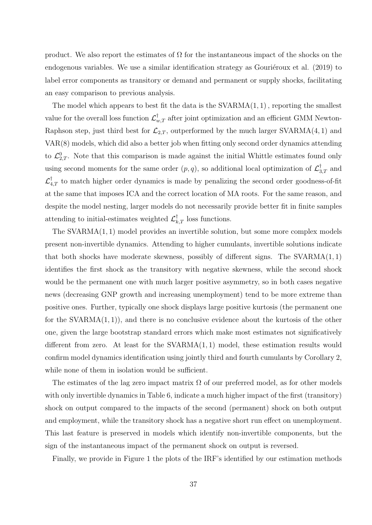product. We also report the estimates of  $\Omega$  for the instantaneous impact of the shocks on the endogenous variables. We use a similar identification strategy as Gouriéroux et al.  $(2019)$  to label error components as transitory or demand and permanent or supply shocks, facilitating an easy comparison to previous analysis.

The model which appears to best fit the data is the  $SVARMA(1, 1)$ , reporting the smallest value for the overall loss function  $\mathcal{L}_{w,T}^{\dagger}$  after joint optimization and an efficient GMM Newton-Raphson step, just third best for  $\mathcal{L}_{2,T}$ , outperformed by the much larger SVARMA $(4, 1)$  and VAR(8) models, which did also a better job when fitting only second order dynamics attending to  $\mathcal{L}_{2,T}^0$ . Note that this comparison is made against the initial Whittle estimates found only using second moments for the same order  $(p, q)$ , so additional local optimization of  $\mathcal{L}_{3,T}^{\dagger}$  and  $\mathcal{L}_{4,T}^{\dagger}$  to match higher order dynamics is made by penalizing the second order goodness-of-fit at the same that imposes ICA and the correct location of MA roots. For the same reason, and despite the model nesting, larger models do not necessarily provide better fit in finite samples attending to initial-estimates weighted  $\mathcal{L}^{\dagger}_{k,T}$  loss functions.

The SVARMA(1, 1) model provides an invertible solution, but some more complex models present non-invertible dynamics. Attending to higher cumulants, invertible solutions indicate that both shocks have moderate skewness, possibly of different signs. The  $SVARMA(1, 1)$ identifies the first shock as the transitory with negative skewness, while the second shock would be the permanent one with much larger positive asymmetry, so in both cases negative news (decreasing GNP growth and increasing unemployment) tend to be more extreme than positive ones. Further, typically one shock displays large positive kurtosis (the permanent one for the SVARMA $(1, 1)$ , and there is no conclusive evidence about the kurtosis of the other one, given the large bootstrap standard errors which make most estimates not significatively different from zero. At least for the SVARMA(1, 1) model, these estimation results would confirm model dynamics identification using jointly third and fourth cumulants by Corollary 2, while none of them in isolation would be sufficient.

The estimates of the lag zero impact matrix  $\Omega$  of our preferred model, as for other models with only invertible dynamics in Table 6, indicate a much higher impact of the first (transitory) shock on output compared to the impacts of the second (permanent) shock on both output and employment, while the transitory shock has a negative short run effect on unemployment. This last feature is preserved in models which identify non-invertible components, but the sign of the instantaneous impact of the permanent shock on output is reversed.

Finally, we provide in Figure 1 the plots of the IRF's identified by our estimation methods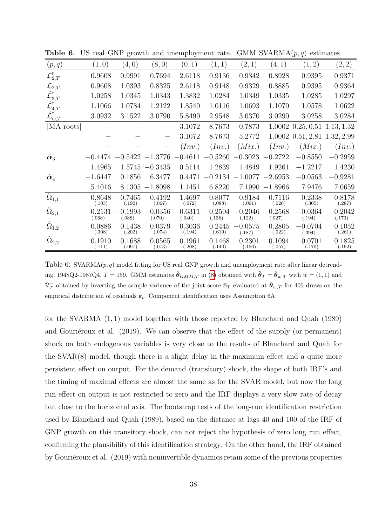| (p, q)                                                                                                      | (1,0)               | (4,0)               | (8, 0)              | (0,1)               | (1, 1)              | (2,1)               | (4,1)               | (1, 2)              | (2, 2)                  |
|-------------------------------------------------------------------------------------------------------------|---------------------|---------------------|---------------------|---------------------|---------------------|---------------------|---------------------|---------------------|-------------------------|
| $\mathcal{L}_{2,T}^0$                                                                                       | 0.9608              | 0.9991              | 0.7694              | 2.6118              | 0.9136              | 0.9342              | 0.8928              | 0.9395              | 0.9371                  |
| $\mathcal{L}_{2,T}$                                                                                         | 0.9608              | 1.0393              | 0.8325              | 2.6118              | 0.9148              | 0.9329              | 0.8885              | 0.9395              | 0.9364                  |
|                                                                                                             | 1.0258              | 1.0345              | 1.0343              | 1.3832              | 1.0284              | 1.0349              | 1.0335              | 1.0285              | 1.0297                  |
|                                                                                                             | 1.1066              | 1.0784              | 1.2122              | 1.8540              | 1.0116              | 1.0693              | 1.1070              | 1.0578              | 1.0622                  |
| $\hat{\mathcal{L}}_{3,T}^{\dagger} \ \hat{\mathcal{L}}_{4,T}^{\dagger} \ \hat{\mathcal{L}}_{w,T}^{\dagger}$ | 3.0932              | 3.1522              | 3.0790              | 5.8490              | 2.9548              | 3.0370              | 3.0290              | 3.0258              | 3.0284                  |
| MA roots                                                                                                    |                     |                     |                     | 3.1072              | 8.7673              | 0.7873              | 1.0002              |                     | $0.25, 0.51$ 1.13, 1.32 |
|                                                                                                             |                     |                     | —                   | 3.1072              | 8.7673              | 5.2772              | 1.0002              | 0.51, 2.81          | 1.32, 2.99              |
|                                                                                                             |                     |                     |                     | (Inv.)              | (Inv.)              | (Mix.)              | (Inv.)              | (Mix.)              | (Inv.)                  |
| $\hat{\boldsymbol{\alpha}}_3$                                                                               | $-0.4474$           |                     | $-0.5422 -1.3776$   | $-0.4611$           | 0.5260              | $-0.3023$           | $-0.2722$           | $-0.8550$           | $-0.2959$               |
|                                                                                                             | 1.4965              | 1.5745              | $-0.3435$           | 0.5114              | 1.2839              | 1.4849              | 1.9261              | $-1.2217$           | 1.4230                  |
| $\hat{\boldsymbol{\alpha}}_4$                                                                               | $-1.6447$           | 0.1856              | 6.3477              | 0.4471              | $-0.2134$           | $-1.0077$           | $-2.6953$           | $-0.0563$           | $-0.9281$               |
|                                                                                                             | 5.4016              | 8.1305              | $-1.8098$           | 1.1451              | 6.8220              | 7.1990              | $-1.8966$           | 7.9476              | 7.0659                  |
| $\hat{\Omega}_{1,1}$                                                                                        | 0.8648<br>(.103)    | 0.7465<br>(.190)    | 0.4192<br>(.067)    | 1.4697<br>(.072)    | 0.8077<br>(.088)    | 0.9184<br>(.091)    | 0.7116<br>(.026)    | 0.2338<br>(.305)    | 0.8178<br>(.287)        |
| $\hat{\Omega}_{2,1}$                                                                                        | $-0.2131$<br>(.068) | $-0.1993$<br>(.088) | $-0.0356$<br>(.070) | $-0.6311$<br>(.040) | $-0.2504$<br>(.136) | 0.2046<br>(.122)    | $-0.2568$<br>(.027) | $-0.0364$<br>(.194) | $-0.2042$<br>(.173)     |
| $\hat{\Omega}_{1,2}$                                                                                        | 0.0886<br>(.308)    | 0.1438<br>(.202)    | 0.0379<br>(.074)    | 0.3036<br>(.194)    | 0.2445<br>(.619)    | $-0.0575$<br>(.187) | 0.2805<br>(.022)    | $-0.0704$<br>(.394) | 0.1052<br>(.261)        |
| $\hat{\Omega}_{2,2}$                                                                                        | 0.1910<br>(.111)    | 0.1688<br>(.097)    | 0.0565<br>(.073)    | 0.1961<br>(.208)    | 0.1468<br>(.140)    | 0.2301<br>(.156)    | 0.1094<br>(.057)    | 0.0701<br>(.170)    | 0.1825<br>(.192)        |

**Table 6.** US real GNP growth and unemployment rate. GMM SVARMA $(p, q)$  estimates.

Table 6:  $SVARMA(p, q)$  model fitting for US real GNP growth and unemployment rate after linear detrending, 1948Q2-1987Q4,  $T = 159$ . GMM estimates  $\hat{\theta}_{GMM,T}$  in [\(8\)](#page-25-3) obtained with  $\tilde{\theta}_T = \hat{\theta}_{w,T}$  with  $w = (1,1)$  and  $\hat{\mathbb{V}}_T^-$  obtained by inverting the sample variance of the joint score  $\mathbb{S}_T$  evaluated at  $\hat{\theta}_{w,T}$  for 400 draws on the empirical distribution of residuals  $\hat{\varepsilon}_t$ . Component identification uses Assumption 6A.

for the SVARMA (1, 1) model together with those reported by Blanchard and Quah (1989) and Gouriéroux et al.  $(2019)$ . We can observe that the effect of the supply (or permanent) shock on both endogenous variables is very close to the results of Blanchard and Quah for the SVAR(8) model, though there is a slight delay in the maximum effect and a quite more persistent effect on output. For the demand (transitory) shock, the shape of both IRF's and the timing of maximal effects are almost the same as for the SVAR model, but now the long run effect on output is not restricted to zero and the IRF displays a very slow rate of decay but close to the horizontal axis. The bootstrap tests of the long-run identification restriction used by Blanchard and Quah (1989), based on the distance at lags 40 and 100 of the IRF of GNP growth on this transitory shock, can not reject the hypothesis of zero long run effect, confirming the plausibility of this identification strategy. On the other hand, the IRF obtained by Gouriéroux et al. (2019) with noninvertible dynamics retain some of the previous properties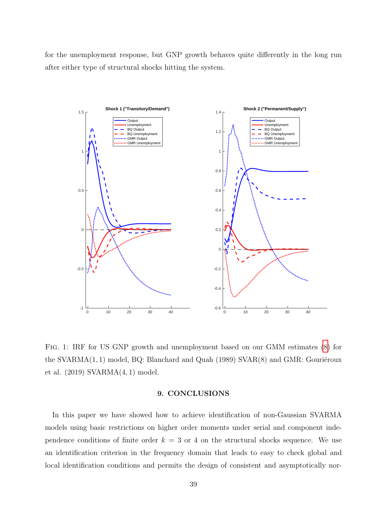for the unemployment response, but GNP growth behaves quite differently in the long run after either type of structural shocks hitting the system.



Fig. 1: IRF for US GNP growth and unemployment based on our GMM estimates [\(8\)](#page-25-3) for the SVARMA $(1, 1)$  model, BQ: Blanchard and Quah  $(1989)$  SVAR $(8)$  and GMR: Gouriéroux et al. (2019) SVARMA(4, 1) model.

# 9. CONCLUSIONS

In this paper we have showed how to achieve identification of non-Gaussian SVARMA models using basic restrictions on higher order moments under serial and component independence conditions of finite order  $k = 3$  or 4 on the structural shocks sequence. We use an identification criterion in the frequency domain that leads to easy to check global and local identification conditions and permits the design of consistent and asymptotically nor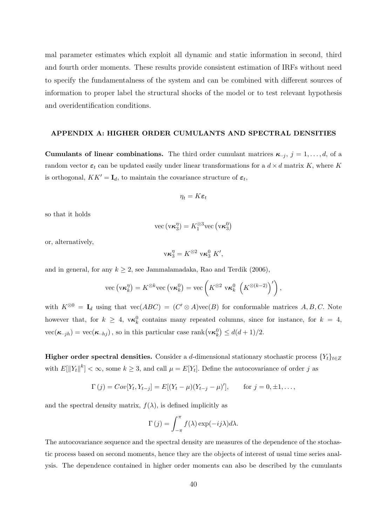mal parameter estimates which exploit all dynamic and static information in second, third and fourth order moments. These results provide consistent estimation of IRFs without need to specify the fundamentalness of the system and can be combined with different sources of information to proper label the structural shocks of the model or to test relevant hypothesis and overidentification conditions.

#### APPENDIX A: HIGHER ORDER CUMULANTS AND SPECTRAL DENSITIES

**Cumulants of linear combinations.** The third order cumulant matrices  $\kappa_{i,j}$ ,  $j = 1, \ldots, d$ , of a random vector  $\varepsilon_t$  can be updated easily under linear transformations for a  $d \times d$  matrix K, where K is orthogonal,  $KK' = I_d$ , to maintain the covariance structure of  $\varepsilon_t$ ,

$$
\eta_t = K \varepsilon_t
$$

so that it holds

$$
\text{vec}\left(\text{v}\boldsymbol{\kappa}_{3}^{\eta}\right)=K_{1}^{\otimes3}\text{vec}\left(\text{v}\boldsymbol{\kappa}_{3}^{0}\right)
$$

or, alternatively,

$$
\mathbf{v}\boldsymbol{\kappa}_3^{\eta} = K^{\otimes 2} \mathbf{v}\boldsymbol{\kappa}_3^0 \boldsymbol{K}',
$$

and in general, for any  $k \geq 2$ , see Jammalamadaka, Rao and Terdik (2006),

$$
\text{vec}\left(\mathbf{v}\boldsymbol{\kappa}_k^{\eta}\right)=K^{\otimes k}\text{vec}\left(\mathbf{v}\boldsymbol{\kappa}_k^0\right)=\text{vec}\left(K^{\otimes 2} \ \mathbf{v}\boldsymbol{\kappa}_k^0 \ \left(K^{\otimes (k-2)}\right)'\right),\,
$$

with  $K^{\otimes 0} = I_d$  using that  $\text{vec}(ABC) = (C' \otimes A)\text{vec}(B)$  for conformable matrices  $A, B, C$ . Note however that, for  $k \geq 4$ ,  $\mathbf{v}\boldsymbol{\kappa}_k^0$  contains many repeated columns, since for instance, for  $k = 4$ ,  $\text{vec}(\boldsymbol{\kappa}_{\cdot\cdot jh}) = \text{vec}(\boldsymbol{\kappa}_{\cdot\cdot hj})$ , so in this particular case  $\text{rank}(\text{v}\boldsymbol{\kappa}_k^0) \leq d(d+1)/2$ .

Higher order spectral densities. Consider a d-dimensional stationary stochastic process  ${Y_t}_{t \in Z}$ with  $E[\|Y_t\|^k] < \infty$ , some  $k \geq 3$ , and call  $\mu = E[Y_t]$ . Define the autocovariance of order j as

$$
\Gamma(j) = Cov[Y_t, Y_{t-j}] = E[(Y_t - \mu)(Y_{t-j} - \mu)'],
$$
 for  $j = 0, \pm 1, ...,$ 

and the spectral density matrix,  $f(\lambda)$ , is defined implicitly as

$$
\Gamma(j) = \int_{-\pi}^{\pi} f(\lambda) \exp(-ij\lambda) d\lambda.
$$

The autocovariance sequence and the spectral density are measures of the dependence of the stochastic process based on second moments, hence they are the objects of interest of usual time series analysis. The dependence contained in higher order moments can also be described by the cumulants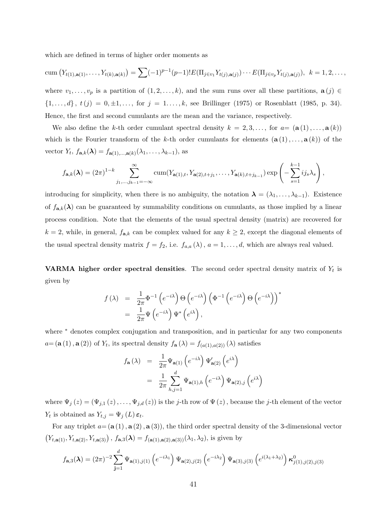which are defined in terms of higher order moments as

cum 
$$
(Y_{t(1),\mathbf{a}(1)},\ldots,Y_{t(k),\mathbf{a}(k)}) = \sum (-1)^{p-1} (p-1)! E(\Pi_{j\in v_1} Y_{t(j),\mathbf{a}(j)}) \cdots E(\Pi_{j\in v_p} Y_{t(j),\mathbf{a}(j)}), k = 1,2,\ldots,
$$

where  $v_1, \ldots, v_p$  is a partition of  $(1, 2, \ldots, k)$ , and the sum runs over all these partitions,  $\mathbf{a}(j) \in$  ${1, ..., d}$ ,  $t(j) = 0, \pm 1, ...,$  for  $j = 1, ..., k$ , see Brillinger (1975) or Rosenblatt (1985, p. 34). Hence, the first and second cumulants are the mean and the variance, respectively.

We also define the k-th order cumulant spectral density  $k = 2, 3, \ldots$ , for  $a = (\mathbf{a}(1), \ldots, \mathbf{a}(k))$ which is the Fourier transform of the k-th order cumulants for elements  $(\mathbf{a}(1),...,\mathbf{a}(k))$  of the vector  $Y_t$ ,  $f_{\mathbf{a},k}(\lambda) = f_{\mathbf{a}(1),\dots,\mathbf{a}(k)}(\lambda_1,\dots,\lambda_{k-1}),$  as

<span id="page-40-0"></span>
$$
f_{\mathbf{a},k}(\lambda) = (2\pi)^{1-k} \sum_{j_1,\dots,j_{k-1}=-\infty}^{\infty} \operatorname{cum}(Y_{\mathbf{a}(1),t}, Y_{\mathbf{a}(2),t+j_1}, \dots, Y_{\mathbf{a}(k),t+j_{k-1}}) \exp\left(-\sum_{s=1}^{k-1} i j_s \lambda_s\right),
$$

introducing for simplicity, when there is no ambiguity, the notation  $\lambda = (\lambda_1, \ldots, \lambda_{k-1})$ . Existence of  $f_{\mathbf{a},k}(\lambda)$  can be guaranteed by summability conditions on cumulants, as those implied by a linear process condition. Note that the elements of the usual spectral density (matrix) are recovered for  $k = 2$ , while, in general,  $f_{a,k}$  can be complex valued for any  $k \geq 2$ , except the diagonal elements of the usual spectral density matrix  $f = f_2$ , i.e.  $f_{a,a}(\lambda)$ ,  $a = 1, \ldots, d$ , which are always real valued.

**VARMA** higher order spectral densities. The second order spectral density matrix of  $Y_t$  is given by

$$
f(\lambda) = \frac{1}{2\pi} \Phi^{-1} (e^{-i\lambda}) \Theta (e^{-i\lambda}) ( \Phi^{-1} (e^{-i\lambda}) \Theta (e^{-i\lambda}) )^*
$$
  
= 
$$
\frac{1}{2\pi} \Psi (e^{-i\lambda}) \Psi^* (e^{i\lambda}),
$$

where <sup>∗</sup> denotes complex conjugation and transposition, and in particular for any two components  $a=(\mathbf{a}(1), \mathbf{a}(2))$  of  $Y_t$ , its spectral density  $f_{\mathbf{a}}(\lambda) = f_{(a(1),a(2))}(\lambda)$  satisfies

$$
f_{\mathbf{a}}(\lambda) = \frac{1}{2\pi} \Psi_{\mathbf{a}(1)} \left( e^{-i\lambda} \right) \Psi'_{\mathbf{a}(2)} \left( e^{i\lambda} \right)
$$
  

$$
= \frac{1}{2\pi} \sum_{h,j=1}^{d} \Psi_{\mathbf{a}(1),h} \left( e^{-i\lambda} \right) \Psi_{\mathbf{a}(2),j} \left( e^{i\lambda} \right)
$$

where  $\Psi_j(z) = (\Psi_{j,1}(z), \ldots, \Psi_{j,d}(z))$  is the j-th row of  $\Psi(z)$ , because the j-th element of the vector  $Y_t$  is obtained as  $Y_{t,j} = \Psi_j(L) \, \varepsilon_t$ .

For any triplet  $a = (\mathbf{a}(1), \mathbf{a}(2), \mathbf{a}(3))$ , the third order spectral density of the 3-dimensional vector  $(Y_{t, a(1)}, Y_{t, a(2)}, Y_{t, a(3)})$ ,  $f_{a, 3}(\lambda) = f_{(a(1), a(2), a(3))}(\lambda_1, \lambda_2)$ , is given by

$$
f_{\mathbf{a},3}(\lambda) = (2\pi)^{-2} \sum_{\mathbf{j}=1}^{d} \Psi_{\mathbf{a}(1),j(1)} \left( e^{-i\lambda_1} \right) \Psi_{\mathbf{a}(2),j(2)} \left( e^{-i\lambda_2} \right) \Psi_{\mathbf{a}(3),j(3)} \left( e^{i(\lambda_1 + \lambda_2)} \right) \kappa_{j(1),j(2),j(3)}^0
$$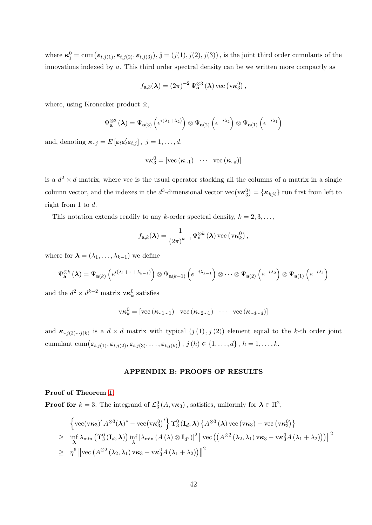where  $\kappa_j^0 = \text{cum}(\varepsilon_{t,j(1)}, \varepsilon_{t,j(2)}, \varepsilon_{t,j(3)}), \, \mathbf{j} = (j(1), j(2), j(3))$ , is the joint third order cumulants of the innovations indexed by a. This third order spectral density can be we written more compactly as

$$
f_{\mathbf{a},3}(\boldsymbol{\lambda}) = (2\pi)^{-2} \Psi_{\mathbf{a}}^{\otimes 3}(\boldsymbol{\lambda}) \text{ vec}(\mathbf{v}\boldsymbol{\kappa}_3^0),
$$

where, using Kronecker product ⊗,

$$
\Psi_{\mathbf{a}}^{\otimes 3}(\lambda) = \Psi_{\mathbf{a}(3)}\left(e^{i(\lambda_1 + \lambda_2)}\right) \otimes \Psi_{\mathbf{a}(2)}\left(e^{-i\lambda_2}\right) \otimes \Psi_{\mathbf{a}(1)}\left(e^{-i\lambda_1}\right)
$$

and, denoting  $\kappa_{\cdot \cdot j} = E \left[ \varepsilon_t \varepsilon_t' \varepsilon_{t,j} \right], j = 1, \ldots, d$ ,

$$
\mathsf{v}\boldsymbol{\kappa}_3^0 = [\text{vec}\left(\boldsymbol{\kappa}_{\cdot\cdot 1}\right) \ \ \cdots \ \ \text{vec}\left(\boldsymbol{\kappa}_{\cdot\cdot d}\right)]
$$

is a  $d^2 \times d$  matrix, where vec is the usual operator stacking all the columns of a matrix in a single column vector, and the indexes in the  $d^3$ -dimensional vector vec $(v\kappa_3^0) = {\kappa_{hj\ell}}$  run first from left to right from 1 to d.

This notation extends readily to any k-order spectral density,  $k = 2, 3, \ldots$ ,

$$
f_{\mathbf{a},k}(\boldsymbol{\lambda}) = \frac{1}{\left(2\pi\right)^{k-1}} \Psi_{\mathbf{a}}^{\otimes k}\left(\boldsymbol{\lambda}\right) \text{vec}\left(\mathbf{v}\boldsymbol{\kappa}_{k}^{0}\right),
$$

where for  $\lambda = (\lambda_1, \ldots, \lambda_{k-1})$  we define

$$
\Psi_{\mathbf{a}}^{\otimes k}\left(\boldsymbol{\lambda}\right)=\Psi_{\mathbf{a}\left(k\right)}\left(e^{i\left(\lambda_{1}+\cdots+\lambda_{k-1}\right)}\right)\otimes\Psi_{\mathbf{a}\left(k-1\right)}\left(e^{-i\lambda_{k-1}}\right)\otimes\cdots\otimes\Psi_{\mathbf{a}\left(2\right)}\left(e^{-i\lambda_{2}}\right)\otimes\Psi_{\mathbf{a}\left(1\right)}\left(e^{-i\lambda_{1}}\right)
$$

and the  $d^2 \times d^{k-2}$  matrix  $\mathbf{v} \kappa_k^0$  satisfies

$$
\mathrm{v}\boldsymbol{\kappa}_k^0 = [\mathrm{vec}\left(\boldsymbol{\kappa}_{\cdot\cdot 1\cdot\cdot 1}\right) \ \ \mathrm{vec}\left(\boldsymbol{\kappa}_{\cdot\cdot 2\cdot\cdot 1}\right) \ \ \cdots \ \ \mathrm{vec}\left(\boldsymbol{\kappa}_{\cdot\cdot d\cdot\cdot d}\right)]
$$

and  $\kappa_{j(3)\cdots j(k)}$  is a  $d \times d$  matrix with typical  $(j(1), j(2))$  element equal to the k-th order joint cumulant cum $(\varepsilon_{t,j(1)}, \varepsilon_{t,j(2)}, \varepsilon_{t,j(3)}, \ldots, \varepsilon_{t,j(k)})$  ,  $j(h) \in \{1, \ldots, d\}$  ,  $h = 1, \ldots, k$ .

# APPENDIX B: PROOFS OF RESULTS

# Proof of Theorem [1.](#page-10-0)

**Proof for**  $k = 3$ . The integrand of  $\mathcal{L}_3^0(A, v\kappa_3)$ , satisfies, uniformly for  $\lambda \in \Pi^2$ ,

$$
\begin{aligned}\n&\left\{\text{vec}(\mathbf{v}\boldsymbol{\kappa}_{3})'\,A^{\otimes3}(\boldsymbol{\lambda})^{*}-\text{vec}\big(\mathbf{v}\boldsymbol{\kappa}_{3}^{0}\big)'\right\}\Upsilon_{3}^{0}\left(\mathbf{I}_{d},\boldsymbol{\lambda}\right)\left\{A^{\otimes3}\left(\boldsymbol{\lambda}\right)\text{vec}\left(\mathbf{v}\boldsymbol{\kappa}_{3}\right)-\text{vec}\left(\mathbf{v}\boldsymbol{\kappa}_{3}^{0}\right)\right\} \\
&\geq\quad\inf_{\boldsymbol{\lambda}}\lambda_{\min}\left(\Upsilon_{3}^{0}\left(\mathbf{I}_{d},\boldsymbol{\lambda}\right)\right)\inf_{\lambda}\left|\lambda_{\min}\left(A\left(\lambda\right)\otimes\mathbf{I}_{d^{2}}\right)\right|^{2}\left\|\text{vec}\left(\left(A^{\otimes2}\left(\lambda_{2},\lambda_{1}\right)\mathbf{v}\boldsymbol{\kappa}_{3}-\mathbf{v}\boldsymbol{\kappa}_{3}^{0}A\left(\lambda_{1}+\lambda_{2}\right)\right)\right)\right\|^{2} \\
&\geq\quad\eta^{6}\left\|\text{vec}\left(A^{\otimes2}\left(\lambda_{2},\lambda_{1}\right)\mathbf{v}\boldsymbol{\kappa}_{3}-\mathbf{v}\boldsymbol{\kappa}_{3}^{0}A\left(\lambda_{1}+\lambda_{2}\right)\right)\right\|^{2}\n\end{aligned}
$$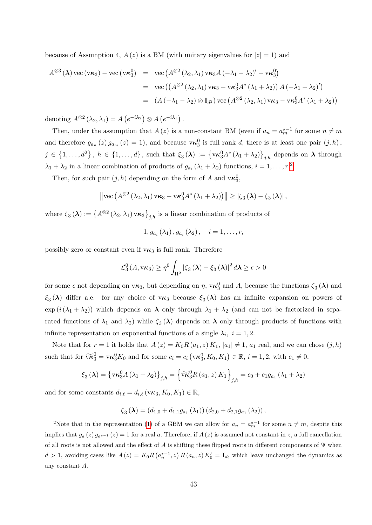because of Assumption 4,  $A(z)$  is a BM (with unitary eigenvalues for  $|z|=1$ ) and

$$
A^{\otimes 3}(\lambda) \text{ vec}(v\kappa_3) - \text{ vec}(v\kappa_3^0) = \text{ vec}(A^{\otimes 2}(\lambda_2, \lambda_1) v\kappa_3 A(-\lambda_1 - \lambda_2)' - v\kappa_3^0)
$$
  
= 
$$
\text{ vec}((A^{\otimes 2}(\lambda_2, \lambda_1) v\kappa_3 - v\kappa_3^0 A^*(\lambda_1 + \lambda_2)) A(-\lambda_1 - \lambda_2)')
$$
  
= 
$$
(A(-\lambda_1 - \lambda_2) \otimes I_{d^2}) \text{ vec}(A^{\otimes 2}(\lambda_2, \lambda_1) v\kappa_3 - v\kappa_3^0 A^*(\lambda_1 + \lambda_2))
$$

denoting  $A^{\otimes 2}(\lambda_2, \lambda_1) = A(e^{-i\lambda_2}) \otimes A(e^{-i\lambda_1}).$ 

Then, under the assumption that  $A(z)$  is a non-constant BM (even if  $a_n = a_m^{\star -1}$  for some  $n \neq m$ and therefore  $g_{a_n}(z) g_{a_m}(z) = 1$ , and because  $\mathbf{v} \kappa_3^0$  is full rank d, there is at least one pair  $(j, h)$ ,  $j \in \{1,\ldots,d^2\}$ ,  $h \in \{1,\ldots,d\}$ , such that  $\xi_3(\lambda) := \left\{ \nu \kappa_3^0 A^* \left( \lambda_1 + \lambda_2 \right) \right\}_{j,h}$  depends on  $\lambda$  through  $\lambda_1 + \lambda_2$  $\lambda_1 + \lambda_2$  in a linear combination of products of  $g_{a_i}(\lambda_1 + \lambda_2)$  functions,  $i = 1, \ldots, r$ <sup>2</sup>

Then, for such pair  $(j, h)$  depending on the form of A and  $\mathbf{v}\boldsymbol{\kappa}_3^0$ ,

$$
\left\|\text{vec}\left(A^{\otimes 2}\left(\lambda_2,\lambda_1\right)\mathsf{v}\kappa_3-\mathsf{v}\kappa_3^0A^*\left(\lambda_1+\lambda_2\right)\right)\right\|\geq \left|\zeta_3\left(\boldsymbol{\lambda}\right)-\xi_3\left(\boldsymbol{\lambda}\right)\right|,
$$

where  $\zeta_3(\lambda) := \left\{A^{\otimes 2}(\lambda_2, \lambda_1) \,\mathrm{v\kappa_3}\right\}_{j,h}$  is a linear combination of products of

$$
1, g_{a_i}(\lambda_1), g_{a_i}(\lambda_2), \quad i = 1, ..., r,
$$

possibly zero or constant even if  $v\kappa_3$  is full rank. Therefore

$$
\mathcal{L}_3^0(A, v\kappa_3) \ge \eta^6 \int_{\Pi^2} |\zeta_3(\lambda) - \xi_3(\lambda)|^2 d\lambda \ge \epsilon > 0
$$

for some  $\epsilon$  not depending on  $v\kappa_3$ , but depending on  $\eta$ ,  $v\kappa_3^0$  and A, because the functions  $\zeta_3(\lambda)$  and  $\xi_3(\lambda)$  differ a.e. for any choice of  $v\kappa_3$  because  $\xi_3(\lambda)$  has an infinite expansion on powers of  $\exp(i(\lambda_1 + \lambda_2))$  which depends on  $\lambda$  only through  $\lambda_1 + \lambda_2$  (and can not be factorized in separated functions of  $\lambda_1$  and  $\lambda_2$ ) while  $\zeta_3(\lambda)$  depends on  $\lambda$  only through products of functions with infinite representation on exponential functions of a single  $\lambda_i$ ,  $i = 1, 2$ .

Note that for  $r = 1$  it holds that  $A(z) = K_0R(a_1, z) K_1$ ,  $|a_1| \neq 1$ ,  $a_1$  real, and we can chose  $(j, h)$ such that for  $\widetilde{\mathbf{v}}_3^0 = \mathbf{v} \kappa_3^0 K_0$  and for some  $c_i = c_i \left(\mathbf{v} \kappa_3^0, K_0, K_1\right) \in \mathbb{R}, i = 1, 2$ , with  $c_1 \neq 0$ ,

$$
\xi_3(\lambda) = \left\{ \mathbf{v} \kappa_3^0 A \left( \lambda_1 + \lambda_2 \right) \right\}_{j,h} = \left\{ \widetilde{\mathbf{v}} \kappa_3^0 R \left( a_1, z \right) K_1 \right\}_{j,h} = c_0 + c_1 g_{a_1} \left( \lambda_1 + \lambda_2 \right)
$$

and for some constants  $d_{i,\ell} = d_{i,\ell} (\mathbf{v}\kappa_3, K_0, K_1) \in \mathbb{R}$ ,

$$
\zeta_3(\lambda) = (d_{1,0} + d_{1,1}g_{a_1}(\lambda_1)) (d_{2,0} + d_{2,1}g_{a_1}(\lambda_2)),
$$

<span id="page-42-0"></span><sup>&</sup>lt;sup>2</sup>Note that in the representation [\(1\)](#page-5-2) of a GBM we can allow for  $a_n = a_m^{\star -1}$  for some  $n \neq m$ , despite this implies that  $g_a(z) g_{a^{x-1}}(z) = 1$  for a real a. Therefore, if  $A(z)$  is assumed not constant in z, a full cancellation of all roots is not allowed and the effect of A is shifting these flipped roots in different components of  $\Psi$  when  $d > 1$ , avoiding cases like  $A(z) = K_0 R(a_n^{\star - 1}, z) R(a_n, z) K_0' = I_d$ , which leave unchanged the dynamics as any constant A.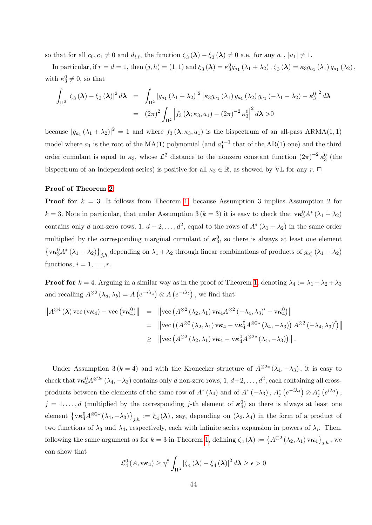so that for all  $c_0, c_1 \neq 0$  and  $d_{i,\ell}$ , the function  $\zeta_3(\lambda) - \xi_3(\lambda) \neq 0$  a.e. for any  $a_1, |a_1| \neq 1$ .

In particular, if  $r = d = 1$ , then  $(j, h) = (1, 1)$  and  $\xi_3(\lambda) = \kappa_3^0 g_{a_1}(\lambda_1 + \lambda_2)$ ,  $\zeta_3(\lambda) = \kappa_3 g_{a_1}(\lambda_1) g_{a_1}(\lambda_2)$ , with  $\kappa_3^0 \neq 0$ , so that

$$
\int_{\Pi^2} |\zeta_3(\lambda) - \xi_3(\lambda)|^2 d\lambda = \int_{\Pi^2} |g_{a_1}(\lambda_1 + \lambda_2)|^2 |\kappa_3 g_{a_1}(\lambda_1) g_{a_1}(\lambda_2) g_{a_1}(-\lambda_1 - \lambda_2) - \kappa_3^0|^2 d\lambda
$$
  
=  $(2\pi)^2 \int_{\Pi^2} |f_3(\lambda; \kappa_3, a_1) - (2\pi)^{-2} \kappa_3^0|^2 d\lambda > 0$ 

because  $|g_{a_1}(\lambda_1 + \lambda_2)|^2 = 1$  and where  $f_3(\lambda; \kappa_3, a_1)$  is the bispectrum of an all-pass ARMA $(1, 1)$ model where  $a_1$  is the root of the MA(1) polynomial (and  $a_1^{\star-1}$  that of the AR(1) one) and the third order cumulant is equal to  $\kappa_3$ , whose  $\mathcal{L}^2$  distance to the nonzero constant function  $(2\pi)^{-2} \kappa_3^0$  (the bispectrum of an independent series) is positive for all  $\kappa_3 \in \mathbb{R}$ , as showed by VL for any r.  $\Box$ 

#### Proof of Theorem [2.](#page-11-0)

**Proof for**  $k = 3$ . It follows from Theorem [1,](#page-10-0) because Assumption 3 implies Assumption 2 for  $k = 3$ . Note in particular, that under Assumption 3 ( $k = 3$ ) it is easy to check that  $\mathbf{v}\kappa_3^0 A^* (\lambda_1 + \lambda_2)$ contains only d non-zero rows, 1,  $d+2,\ldots,d^2$ , equal to the rows of  $A^*(\lambda_1+\lambda_2)$  in the same order multiplied by the corresponding marginal cumulant of  $\kappa_3^0$ , so there is always at least one element  $\left\{ \mathbf{v}\boldsymbol{\kappa}_{3}^{0}A^{*}\left(\lambda_{1}+\lambda_{2}\right)\right\} _{j,h}$  depending on  $\lambda_{1}+\lambda_{2}$  through linear combinations of products of  $g_{a_{i}}^{*}\left(\lambda_{1}+\lambda_{2}\right)$ functions,  $i = 1, \ldots, r$ .

**Proof for**  $k = 4$ . Arguing in a similar way as in the proof of Theorem [1,](#page-10-0) denoting  $\lambda_4 := \lambda_1 + \lambda_2 + \lambda_3$ and recalling  $A^{\otimes 2}(\lambda_a, \lambda_b) = A(e^{-i\lambda_a}) \otimes A(e^{-i\lambda_b})$ , we find that

$$
\|A^{\otimes 4}(\lambda) \operatorname{vec}(\mathbf{v}\kappa_4) - \operatorname{vec}(\mathbf{v}\kappa_4^0) \| = \| \operatorname{vec} (A^{\otimes 2}(\lambda_2, \lambda_1) \operatorname{vec}_4 A^{\otimes 2}(-\lambda_4, \lambda_3)' - \operatorname{vec}_4^0) \|
$$
  
\n
$$
= \| \operatorname{vec} ((A^{\otimes 2}(\lambda_2, \lambda_1) \operatorname{vec}_4 - \operatorname{vec}_4^0 A^{\otimes 2*}(\lambda_4, -\lambda_3)) A^{\otimes 2}(-\lambda_4, \lambda_3)'] \|
$$
  
\n
$$
\geq \| \operatorname{vec} (A^{\otimes 2}(\lambda_2, \lambda_1) \operatorname{vec}_4 - \operatorname{vec}_4^0 A^{\otimes 2*}(\lambda_4, -\lambda_3)) \|.
$$

Under Assumption 3 ( $k = 4$ ) and with the Kronecker structure of  $A^{\otimes 2*}(\lambda_4, -\lambda_3)$ , it is easy to check that  $\mathsf{vx}_4^0A^{\otimes 2*}(\lambda_4, -\lambda_3)$  contains only d non-zero rows,  $1, d+2, \ldots, d^2$ , each containing all crossproducts between the elements of the same row of  $A^*(\lambda_4)$  and of  $A^*(-\lambda_3)$ ,  $A_j^*(e^{-i\lambda_4}) \otimes A_j^*(e^{i\lambda_3})$ ,  $j = 1, \ldots, d$  (multiplied by the corresponding j-th element of  $\kappa_4^0$ ) so there is always at least one element  $\left\{ \mathsf{v}\kappa_4^0 A^{\otimes 2*}(\lambda_4, -\lambda_3) \right\}_{j,h} := \xi_4(\lambda)$ , say, depending on  $(\lambda_3, \lambda_4)$  in the form of a product of two functions of  $\lambda_3$  and  $\lambda_4$ , respectively, each with infinite series expansion in powers of  $\lambda_i$ . Then, following the same argument as for  $k = 3$  in Theorem [1,](#page-10-0) defining  $\zeta_4(\lambda) := \{A^{\otimes 2}(\lambda_2, \lambda_1) \text{ v} \kappa_4\}_{j,h}$ , we can show that

$$
\mathcal{L}_4^0(A, v\kappa_4) \geq \eta^8 \int_{\Pi^3} |\zeta_4(\lambda) - \xi_4(\lambda)|^2 d\lambda \geq \epsilon > 0
$$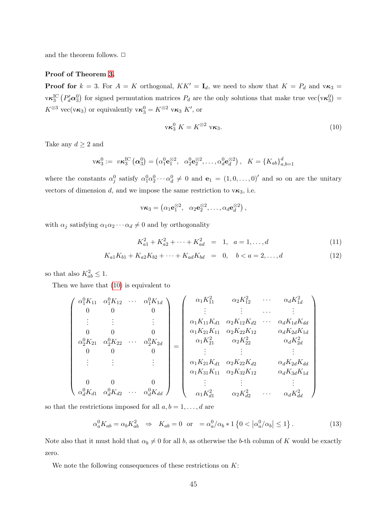and the theorem follows.  $\Box$ 

#### Proof of Theorem [3.](#page-11-1)

**Proof for**  $k = 3$ . For  $A = K$  orthogonal,  $KK' = I_d$ , we need to show that  $K = P_d$  and  $\nu \kappa_3 =$  $\mathbf{v}\kappa_3^{\text{IC}}\left(P_d^{\prime}\alpha_3^0\right)$  for signed permutation matrices  $P_d$  are the only solutions that make true  $\text{vec}(\mathbf{v}\kappa_3^0)$  =  $K^{\otimes 3}$  vec(v $\kappa_3$ ) or equivalently v $\kappa_3^0 = K^{\otimes 2}$  v $\kappa_3$  K', or

$$
\mathbf{v}\boldsymbol{\kappa}_3^0 \boldsymbol{K} = \boldsymbol{K}^{\otimes 2} \mathbf{v}\boldsymbol{\kappa}_3. \tag{10}
$$

Take any  $d \geq 2$  and

$$
v\kappa_3^0 := v\kappa_3^{IC}(\boldsymbol{\alpha}_3^0) = (\alpha_1^0 \mathbf{e}_1^{\otimes 2}, \ \ \alpha_2^0 \mathbf{e}_2^{\otimes 2}, \dots, \alpha_d^0 \mathbf{e}_d^{\otimes 2}), \ \ K = \{K_{ab}\}_{a,b=1}^d
$$

where the constants  $\alpha_j^0$  satisfy  $\alpha_1^0 \alpha_2^0 \cdots \alpha_d^0 \neq 0$  and  $\mathbf{e}_1 = (1, 0, \ldots, 0)'$  and so on are the unitary vectors of dimension d, and we impose the same restriction to  $v\kappa_3$ , i.e.

$$
v\kappa_3 = \left(\alpha_1 \mathbf{e}_1^{\otimes 2}, \ \ \alpha_2 \mathbf{e}_2^{\otimes 2}, \ldots, \alpha_d \mathbf{e}_d^{\otimes 2}\right),
$$

with  $\alpha_j$  satisfying  $\alpha_1 \alpha_2 \cdots \alpha_d \neq 0$  and by orthogonality

<span id="page-44-1"></span>
$$
K_{a1}^2 + K_{a2}^2 + \dots + K_{ad}^2 = 1, \quad a = 1, \dots, d \tag{11}
$$

$$
K_{a1}K_{b1} + K_{a2}K_{b2} + \dots + K_{ad}K_{bd} = 0, \quad b < a = 2, \dots, d
$$
 (12)

so that also  $K_{ab}^2 \leq 1$ .

Then we have that [\(10\)](#page-40-0) is equivalent to

$$
\begin{pmatrix}\n\alpha_1^0 K_{11} & \alpha_1^0 K_{12} & \cdots & \alpha_1^0 K_{1d} \\
0 & 0 & 0 & 0 \\
\vdots & \vdots & \vdots & \vdots \\
0 & 0 & 0 & 0 \\
\alpha_2^0 K_{21} & \alpha_2^0 K_{22} & \cdots & \alpha_2^0 K_{2d} \\
0 & 0 & 0 & 0 \\
\vdots & \vdots & \vdots & \vdots \\
0 & 0 & 0 & 0 \\
\vdots & \vdots & \vdots & \vdots \\
\alpha_1^0 K_{21} K_{d1} & \alpha_2 K_{d2} K_{d2} & \cdots & \alpha_d K_{d} K_{d2} \\
\vdots & \vdots & \vdots & \vdots \\
\alpha_1 K_{21} K_{d1} & \alpha_2 K_{22} K_{d2} & \alpha_d K_{2d} K_{d3} \\
\vdots & \vdots & \vdots & \vdots \\
\alpha_1 K_{31} K_{41} & \alpha_2 K_{32} K_{12} & \alpha_d K_{3d} K_{1d} \\
\alpha_1 K_{31} K_{11} & \alpha_2 K_{32} K_{12} & \alpha_d K_{3d} K_{1d} \\
\vdots & \vdots & \vdots & \vdots \\
\alpha_1 K_{d1} & \alpha_2 K_{d2} & \cdots & \alpha_d K_{3d} K_{1d} \\
\vdots & \vdots & \vdots & \vdots \\
\alpha_1 K_{d1}^2 & \alpha_2 K_{d2}^2 & \cdots & \alpha_d K_{d}^2\n\end{pmatrix}
$$

so that the restrictions imposed for all  $a, b = 1, \ldots, d$  are

<span id="page-44-0"></span>
$$
\alpha_a^0 K_{ab} = \alpha_b K_{ab}^2 \Rightarrow K_{ab} = 0 \text{ or } = \alpha_a^0 / \alpha_b * 1 \left\{ 0 < |\alpha_a^0 / \alpha_b| \le 1 \right\}. \tag{13}
$$

Note also that it must hold that  $\alpha_b \neq 0$  for all b, as otherwise the b-th column of K would be exactly zero.

We note the following consequences of these restrictions on  $K$ :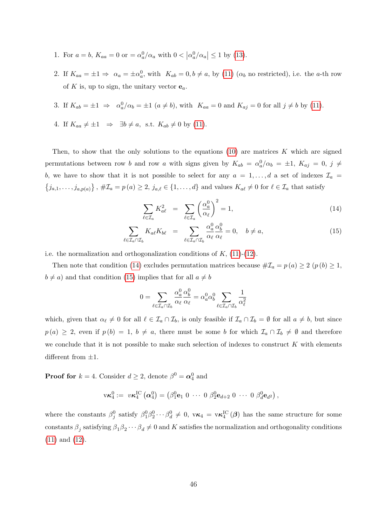- 1. For  $a = b$ ,  $K_{aa} = 0$  or  $= \alpha_a^0/\alpha_a$  with  $0 < |\alpha_a^0/\alpha_a| \le 1$  by [\(13\)](#page-44-0).
- 2. If  $K_{aa} = \pm 1 \Rightarrow \alpha_a = \pm \alpha_a^0$ , with  $K_{ab} = 0, b \neq a$ , by [\(11\)](#page-44-1)  $(\alpha_b$  no restricted), i.e. the *a*-th row of K is, up to sign, the unitary vector  $\mathbf{e}_a$ .
- 3. If  $K_{ab} = \pm 1 \Rightarrow \alpha_a^0/\alpha_b = \pm 1 \ (a \neq b)$ , with  $K_{aa} = 0$  and  $K_{aj} = 0$  for all  $j \neq b$  by [\(11\)](#page-44-1).
- 4. If  $K_{aa} \neq \pm 1 \Rightarrow \exists b \neq a$ , s.t.  $K_{ab} \neq 0$  by [\(11\)](#page-44-1).

Then, to show that the only solutions to the equations  $(10)$  are matrices K which are signed permutations between row b and row a with signs given by  $K_{ab} = \alpha_a^0/\alpha_b = \pm 1$ ,  $K_{aj} = 0$ ,  $j \neq$ b, we have to show that it is not possible to select for any  $a = 1, \ldots, d$  a set of indexes  $\mathcal{I}_a$  $\{j_{a,1},\ldots,j_{a,p(a)}\},\,\#\mathcal{I}_a=p(a)\geq 2,\,j_{a,\ell}\in\{1,\ldots,d\}$  and values  $K_{a\ell}\neq 0$  for  $\ell\in\mathcal{I}_a$  that satisfy

<span id="page-45-0"></span>
$$
\sum_{\ell \in \mathcal{I}_a} K_{a\ell}^2 = \sum_{\ell \in \mathcal{I}_a} \left(\frac{\alpha_a^0}{\alpha_\ell}\right)^2 = 1,\tag{14}
$$

$$
\sum_{\ell \in \mathcal{I}_a \cap \mathcal{I}_b} K_{a\ell} K_{b\ell} = \sum_{\ell \in \mathcal{I}_a \cap \mathcal{I}_b} \frac{\alpha_a^0}{\alpha_\ell} \frac{\alpha_b^0}{\alpha_\ell} = 0, \quad b \neq a,
$$
\n(15)

i.e. the normalization and orthogonalization conditions of  $K$ , [\(11\)](#page-44-1)-[\(12\)](#page-44-1).

Then note that condition [\(14\)](#page-45-0) excludes permutation matrices because  $\#\mathcal{I}_a = p(a) \geq 2$   $(p(b) \geq 1,$  $b \neq a$ ) and that condition [\(15\)](#page-45-0) implies that for all  $a \neq b$ 

$$
0=\sum_{\ell\in\mathcal{I}_a\cap\mathcal{I}_b}\frac{\alpha_a^0}{\alpha_\ell}\frac{\alpha_b^0}{\alpha_\ell}=\alpha_a^0\alpha_b^0\sum_{\ell\in\mathcal{I}_a\cap\mathcal{I}_b}\frac{1}{\alpha_\ell^2}
$$

which, given that  $\alpha_{\ell} \neq 0$  for all  $\ell \in \mathcal{I}_a \cap \mathcal{I}_b$ , is only feasible if  $\mathcal{I}_a \cap \mathcal{I}_b = \emptyset$  for all  $a \neq b$ , but since  $p(a) \geq 2$ , even if  $p(b) = 1$ ,  $b \neq a$ , there must be some b for which  $\mathcal{I}_a \cap \mathcal{I}_b \neq \emptyset$  and therefore we conclude that it is not possible to make such selection of indexes to construct  $K$  with elements different from  $\pm 1$ .

**Proof for**  $k = 4$ . Consider  $d \geq 2$ , denote  $\beta^0 = \alpha_4^0$  and

$$
\mathbf{v}\boldsymbol{\kappa}_4^0 := v\boldsymbol{\kappa}_4^{\rm IC}\left(\boldsymbol{\alpha}_4^0\right) = \left(\beta_1^0\mathbf{e}_1 \; 0 \; \cdots \; 0 \; \beta_2^0\mathbf{e}_{d+2} \; 0 \; \cdots \; 0 \; \beta_d^0\mathbf{e}_{d^2}\right),
$$

where the constants  $\beta_j^0$  satisfy  $\beta_1^0 \beta_2^0 \cdots \beta_d^0 \neq 0$ ,  $\nu \kappa_4 = \nu \kappa_4^{\text{IC}}(\beta)$  has the same structure for some constants  $\beta_j$  satisfying  $\beta_1\beta_2\cdots\beta_d\neq 0$  and K satisfies the normalization and orthogonality conditions [\(11\)](#page-44-1) and [\(12\)](#page-44-1).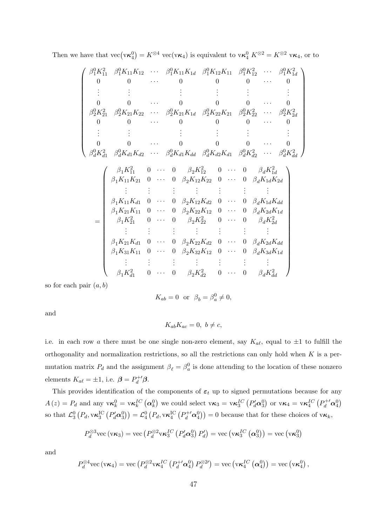|   | $\beta_1^0 K_{11}^2 \quad \beta_1^0 K_{11} K_{12} \quad \cdots \quad \beta_1^0 K_{11} K_{1d} \quad \beta_1^0 K_{12} K_{11} \quad \beta_1^0 K_{12}^2 \quad \cdots \quad \beta_1^0 K_{1d}^2$ |  | $\Omega$                         | $\Omega$ |          | $0 \qquad \cdots$ |  |  |
|---|--------------------------------------------------------------------------------------------------------------------------------------------------------------------------------------------|--|----------------------------------|----------|----------|-------------------|--|--|
|   |                                                                                                                                                                                            |  |                                  |          |          |                   |  |  |
|   |                                                                                                                                                                                            |  |                                  |          |          |                   |  |  |
|   | $\beta_2^0 K_{21}^2 \quad \beta_2^0 K_{21} K_{22} \quad \cdots \quad \beta_2^0 K_{21} K_{1d} \quad \beta_2^0 K_{22} K_{21} \quad \beta_2^0 K_{22}^2 \quad \cdots \quad \beta_2^0 K_{2d}^2$ |  |                                  |          |          |                   |  |  |
| 0 |                                                                                                                                                                                            |  | 0                                | $\Omega$ | $\Omega$ |                   |  |  |
|   |                                                                                                                                                                                            |  |                                  |          |          |                   |  |  |
|   |                                                                                                                                                                                            |  |                                  |          |          |                   |  |  |
|   | $\beta_d^0 K_{d1}^2 \quad \beta_d^0 K_{d1} K_{d2} \quad \cdots \quad \beta_d^0 K_{d1} K_{dd} \quad \beta_d^0 K_{d2} K_{d1} \quad \beta_d^0 K_{d2}^2 \quad \cdots \quad \beta_d^0 K_{dd}^2$ |  |                                  |          |          |                   |  |  |
|   | $\beta_1 K_{11}^2$ 0 $\cdots$ 0 $\beta_2 K_{12}^2$ 0 $\cdots$ 0 $\beta_d K_{1d}^2$                                                                                                         |  |                                  |          |          |                   |  |  |
|   | $\beta_1 K_{11} K_{21} \quad 0 \quad \cdots \quad 0 \quad \beta_2 K_{12} K_{22} \quad 0 \quad \cdots \quad 0 \quad \beta_d K_{1d} K_{2d}$                                                  |  |                                  |          |          |                   |  |  |
|   | $\mathbb{R}^n \times \mathbb{R}^n \times \mathbb{R}^n \times \mathbb{R}^n$                                                                                                                 |  |                                  |          |          |                   |  |  |
|   | $\beta_1 K_{11} K_{d1}$ 0 $\cdots$ 0 $\beta_2 K_{12} K_{d2}$ 0 $\cdots$ 0 $\beta_d K_{1d} K_{dd}$                                                                                          |  |                                  |          |          |                   |  |  |
|   | $\beta_1 K_{21} K_{11}$ 0 $\cdots$ 0 $\beta_2 K_{22} K_{12}$ 0 $\cdots$ 0 $\beta_d K_{2d} K_{1d}$                                                                                          |  |                                  |          |          |                   |  |  |
|   | $\beta_1 K_{21}^2$ 0 $\cdots$ 0 $\beta_2 K_{22}^2$ 0 $\cdots$ 0 $\beta_d K_{2d}^2$                                                                                                         |  |                                  |          |          |                   |  |  |
|   |                                                                                                                                                                                            |  | 2008년 - 대한민국의 대한민국의 <del>대</del> |          |          |                   |  |  |
|   | $\beta_1 K_{21} K_{d1}$ 0 $\cdots$ 0 $\beta_2 K_{22} K_{d2}$ 0 $\cdots$ 0 $\beta_d K_{2d} K_{dd}$                                                                                          |  |                                  |          |          |                   |  |  |
|   | $\beta_1 K_{31} K_{11}$ 0 $\cdots$ 0 $\beta_2 K_{32} K_{12}$ 0 $\cdots$ 0 $\beta_d K_{3d} K_{1d}$                                                                                          |  |                                  |          |          |                   |  |  |
|   |                                                                                                                                                                                            |  |                                  |          |          |                   |  |  |
|   | $\beta_1 K_{d1}^2$ 0 $\cdots$ 0 $\beta_2 K_{d2}^2$ 0 $\cdots$ 0 $\beta_d K_{dd}^2$                                                                                                         |  |                                  |          |          |                   |  |  |

Then we have that  $\text{vec}(\mathbf{v}\kappa_4^0) = K^{\otimes 4} \text{vec}(\mathbf{v}\kappa_4)$  is equivalent to  $\text{vec}_4^0 K^{\otimes 2} = K^{\otimes 2} \text{vec}_4$ , or to

so for each pair  $(a, b)$ 

$$
K_{ab}=0 \ \ \text{or} \ \ \beta_b=\beta_a^0\neq 0,
$$

and

$$
K_{ab}K_{ac}=0, b\neq c,
$$

i.e. in each row a there must be one single non-zero element, say  $K_{a\ell}$ , equal to  $\pm 1$  to fulfill the orthogonality and normalization restrictions, so all the restrictions can only hold when  $K$  is a permutation matrix  $P_d$  and the assignment  $\beta_\ell = \beta_a^0$  is done attending to the location of these nonzero elements  $K_{a\ell} = \pm 1$ , i.e.  $\boldsymbol{\beta} = P_d^{+'}\boldsymbol{\beta}$ .

This provides identification of the components of  $\varepsilon_t$  up to signed permutations because for any  $A(z) = P_d$  and any  $\mathbf{v}\kappa_k^0 = \mathbf{v}\kappa_k^{IC} (\alpha_k^0)$  we could select  $\mathbf{v}\kappa_3 = \mathbf{v}\kappa_3^{IC} (P_d^{\prime} \alpha_3^0)$  or  $\mathbf{v}\kappa_4 = \mathbf{v}\kappa_4^{IC} (P_d^{\prime\prime} \alpha_4^0)$ so that  $\mathcal{L}_3^0(P_d, v\kappa_3^{\text{IC}}(P_d^{\prime} \alpha_3^0)) = \mathcal{L}_4^0(P_d, v\kappa_4^{\text{IC}}(P_d^{+^{\prime}} \alpha_4^0)) = 0$  because that for these choices of  $v\kappa_k$ ,

$$
P_d^{\otimes 3}\text{vec}\left(\mathbf{v}\boldsymbol{\kappa}_3\right) = \text{vec}\left(P_d^{\otimes 2}\mathbf{v}\boldsymbol{\kappa}_3^{IC}\left(P_d^{\prime}\boldsymbol{\alpha}_3^{0}\right)P_d^{\prime}\right) = \text{vec}\left(\mathbf{v}\boldsymbol{\kappa}_3^{IC}\left(\boldsymbol{\alpha}_3^{0}\right)\right) = \text{vec}\left(\mathbf{v}\boldsymbol{\kappa}_3^{0}\right)
$$

and

$$
P_d^{\otimes 4}\text{vec}\left(\nu\kappa_4\right)=\text{vec}\left(P_d^{\otimes 2}\nu\kappa_4^{IC}\left(P_d^{+\prime}\alpha_4^0\right)P_d^{\otimes 2\prime}\right)=\text{vec}\left(\nu\kappa_4^{IC}\left(\alpha_4^0\right)\right)=\text{vec}\left(\nu\kappa_4^0\right),\,
$$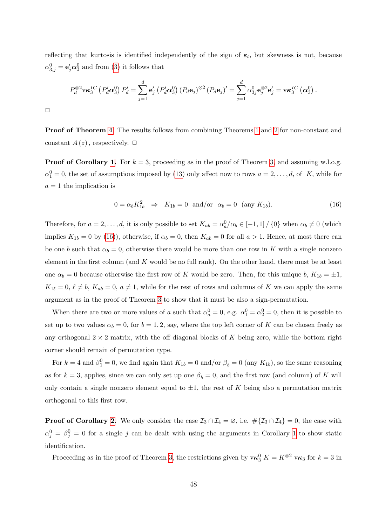reflecting that kurtosis is identified independently of the sign of  $\varepsilon_t$ , but skewness is not, because  $\alpha_{3,j}^0 = \mathbf{e}_j' \boldsymbol{\alpha}_3^0$  and from [\(3\)](#page-9-0) it follows that

$$
P_d^{\otimes 2} \mathbf{v} \kappa_3^{IC} \left( P_d^{\prime} \alpha_3^0 \right) P_d^{\prime} = \sum_{j=1}^d \mathbf{e}_j^{\prime} \left( P_d^{\prime} \alpha_3^0 \right) \left( P_d \mathbf{e}_j \right)^{\otimes 2} \left( P_d \mathbf{e}_j \right)^{\prime} = \sum_{j=1}^d \alpha_{3j}^0 \mathbf{e}_j^{\otimes 2} \mathbf{e}_j^{\prime} = \mathbf{v} \kappa_3^{IC} \left( \alpha_3^0 \right).
$$

 $\Box$ 

Proof of Theorem [4](#page-12-0). The results follows from combining Theorems [1](#page-10-0) and [2](#page-11-0) for non-constant and constant  $A(z)$ , respectively.  $\Box$ 

**Proof of Corollary [1.](#page-12-1)** For  $k = 3$ , proceeding as in the proof of Theorem [3,](#page-11-1) and assuming w.l.o.g.  $\alpha_1^0 = 0$ , the set of assumptions imposed by [\(13\)](#page-44-0) only affect now to rows  $a = 2, \ldots, d$ , of K, while for  $a = 1$  the implication is

<span id="page-47-0"></span>
$$
0 = \alpha_b K_{1b}^2 \Rightarrow K_{1b} = 0 \quad \text{and/or} \quad \alpha_b = 0 \quad (\text{any } K_{1b}). \tag{16}
$$

Therefore, for  $a = 2, \ldots, d$ , it is only possible to set  $K_{ab} = \alpha_a^0/\alpha_b \in [-1, 1] / \{0\}$  when  $\alpha_b \neq 0$  (which implies  $K_{1b} = 0$  by [\(16\)](#page-47-0)), otherwise, if  $\alpha_b = 0$ , then  $K_{ab} = 0$  for all  $a > 1$ . Hence, at most there can be one b such that  $\alpha_b = 0$ , otherwise there would be more than one row in K with a single nonzero element in the first column (and  $K$  would be no full rank). On the other hand, there must be at least one  $\alpha_b = 0$  because otherwise the first row of K would be zero. Then, for this unique b,  $K_{1b} = \pm 1$ ,  $K_{1\ell} = 0, \ell \neq b, K_{ab} = 0, a \neq 1$ , while for the rest of rows and columns of K we can apply the same argument as in the proof of Theorem [3](#page-11-1) to show that it must be also a sign-permutation.

When there are two or more values of a such that  $\alpha_a^0 = 0$ , e.g.  $\alpha_1^0 = \alpha_2^0 = 0$ , then it is possible to set up to two values  $\alpha_b = 0$ , for  $b = 1, 2$ , say, where the top left corner of K can be chosen freely as any orthogonal  $2 \times 2$  matrix, with the off diagonal blocks of K being zero, while the bottom right corner should remain of permutation type.

For  $k = 4$  and  $\beta_1^0 = 0$ , we find again that  $K_{1b} = 0$  and/or  $\beta_b = 0$  (any  $K_{1b}$ ), so the same reasoning as for  $k = 3$ , applies, since we can only set up one  $\beta_b = 0$ , and the first row (and column) of K will only contain a single nonzero element equal to  $\pm 1$ , the rest of K being also a permutation matrix orthogonal to this first row.

**Proof of Corollary [2.](#page-13-2)** We only consider the case  $\mathcal{I}_3 \cap \mathcal{I}_4 = \emptyset$ , i.e.  $\#\{\mathcal{I}_3 \cap \mathcal{I}_4\} = 0$ , the case with  $\alpha_j^0 = \beta_j^0 = 0$  for a single j can be dealt with using the arguments in Corollary [1](#page-12-1) to show static identification.

Proceeding as in the proof of Theorem [3,](#page-11-1) the restrictions given by  $v\kappa_3^0 K = K^{\otimes 2} v\kappa_3$  for  $k = 3$  in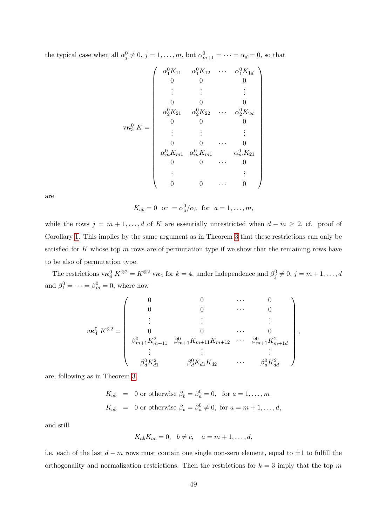the typical case when all  $\alpha_j^0 \neq 0, j = 1, \ldots, m$ , but  $\alpha_{m+1}^0 = \cdots = \alpha_d = 0$ , so that

$$
\mathbf{v}\kappa_3^0 K = \begin{pmatrix}\n\alpha_1^0 K_{11} & \alpha_1^0 K_{12} & \cdots & \alpha_1^0 K_{1d} \\
0 & 0 & 0 & 0 \\
\vdots & \vdots & \ddots & \vdots \\
0 & 0 & 0 & 0 \\
\alpha_2^0 K_{21} & \alpha_2^0 K_{22} & \cdots & \alpha_2^0 K_{2d} \\
0 & 0 & 0 & 0 \\
\vdots & \vdots & \vdots & \vdots \\
0 & 0 & \cdots & 0 \\
\alpha_m^0 K_{m1} & \alpha_m^0 K_{m1} & \alpha_m^0 K_{21} \\
0 & 0 & \cdots & 0 \\
\vdots & \vdots & \vdots \\
0 & 0 & \cdots & 0\n\end{pmatrix}
$$

are

 $K_{ab} = 0$  or  $= \alpha_a^0/\alpha_b$  for  $a = 1, \ldots, m$ ,

while the rows  $j = m + 1, \ldots, d$  of K are essentially unrestricted when  $d - m \geq 2$ , cf. proof of Corollary [1.](#page-12-1) This implies by the same argument as in Theorem [3](#page-11-1) that these restrictions can only be satisfied for K whose top  $m$  rows are of permutation type if we show that the remaining rows have to be also of permutation type.

The restrictions  $\mathbf{v}\kappa_4^0 K^{\otimes 2} = K^{\otimes 2} \mathbf{v}\kappa_4$  for  $k = 4$ , under independence and  $\beta_j^0 \neq 0, j = m+1, \ldots, d$ and  $\beta_1^0 = \cdots = \beta_m^0 = 0$ , where now

$$
v\kappa_4^0 K^{\otimes 2} = \begin{pmatrix} 0 & 0 & \cdots & 0 \\ 0 & 0 & \cdots & 0 \\ \vdots & \vdots & & \vdots \\ 0 & 0 & \cdots & 0 \\ \beta_{m+1}^0 K_{m+11}^2 & \beta_{m+1}^0 K_{m+11} K_{m+12} & \cdots & \beta_{m+1}^0 K_{m+1d}^2 \\ \vdots & \vdots & & \vdots \\ \beta_d^0 K_{d1}^2 & \beta_d^0 K_{d1} K_{d2} & \cdots & \beta_d^0 K_{dd}^2 \end{pmatrix},
$$

are, following as in Theorem [3,](#page-11-1)

$$
K_{ab} = 0 \text{ or otherwise } \beta_b = \beta_a^0 = 0, \text{ for } a = 1, ..., m
$$
  

$$
K_{ab} = 0 \text{ or otherwise } \beta_b = \beta_a^0 \neq 0, \text{ for } a = m+1, ..., d,
$$

and still

$$
K_{ab}K_{ac}=0, \quad b \neq c, \quad a=m+1,\ldots,d,
$$

i.e. each of the last  $d - m$  rows must contain one single non-zero element, equal to  $\pm 1$  to fulfill the orthogonality and normalization restrictions. Then the restrictions for  $k = 3$  imply that the top m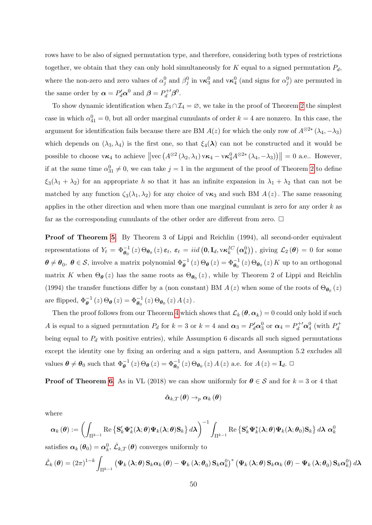rows have to be also of signed permutation type, and therefore, considering both types of restrictions together, we obtain that they can only hold simultaneously for  $K$  equal to a signed permutation  $P_d$ , where the non-zero and zero values of  $\alpha_j^0$  and  $\beta_j^0$  in  $v\kappa_3^0$  and  $v\kappa_4^0$  (and signs for  $\alpha_j^0$ ) are permuted in the same order by  $\boldsymbol{\alpha} = P_d^{\prime} \boldsymbol{\alpha}^0$  and  $\boldsymbol{\beta} = P_d^{+ \prime} \boldsymbol{\beta}^0$ .

To show dynamic identification when  $\mathcal{I}_3 \cap \mathcal{I}_4 = \varnothing$ , we take in the proof of Theorem [2](#page-11-0) the simplest case in which  $\alpha_{41}^0 = 0$ , but all order marginal cumulants of order  $k = 4$  are nonzero. In this case, the argument for identification fails because there are BM  $A(z)$  for which the only row of  $A^{\otimes 2*}(\lambda_4, -\lambda_3)$ which depends on  $(\lambda_3, \lambda_4)$  is the first one, so that  $\xi_4(\lambda)$  can not be constructed and it would be possible to choose  $v\kappa_4$  to achieve  $\left\| \text{vec}\left( A^{\otimes 2}(\lambda_2, \lambda_1) v \kappa_4 - v \kappa_4^0 A^{\otimes 2*}(\lambda_4, -\lambda_3) \right) \right\| = 0$  a.e.. However, if at the same time  $\alpha_{31}^0 \neq 0$ , we can take  $j = 1$  in the argument of the proof of Theorem [2](#page-11-0) to define  $\xi_3(\lambda_1 + \lambda_2)$  for an appropriate h so that it has an infinite expansion in  $\lambda_1 + \lambda_2$  that can not be matched by any function  $\zeta_3(\lambda_1, \lambda_2)$  for any choice of  $v\kappa_3$  and such BM  $A(z)$ . The same reasoning applies in the other direction and when more than one marginal cumulant is zero for any order  $k$  as far as the corresponding cumulants of the other order are different from zero.  $\Box$ 

Proof of Theorem [5](#page-17-0). By Theorem 3 of Lippi and Reichlin (1994), all second-order equivalent representations of  $Y_t = \Phi_{\theta_0}^{-1}(z) \Theta_{\theta_0}(z) \epsilon_t$ ,  $\epsilon_t = iid \left(0, I_d, \text{v\'et}_{k}^C(\boldsymbol{\alpha}_k^0)\right)$ , giving  $\mathcal{L}_2(\boldsymbol{\theta}) = 0$  for some  $\theta \neq \theta_0$ ,  $\theta \in S$ , involve a matrix polynomial  $\Phi_{\theta}^{-1}(z) \Theta_{\theta}(z) = \Phi_{\theta_0}^{-1}(z) \Theta_{\theta_0}(z) K$  up to an orthogonal matrix K when  $\Theta_{\theta}(z)$  has the same roots as  $\Theta_{\theta_0}(z)$ , while by Theorem 2 of Lippi and Reichlin (1994) the transfer functions differ by a (non constant) BM  $A(z)$  when some of the roots of  $\Theta_{\theta_0}(z)$ are flipped,  $\Phi_{\theta}^{-1}(z) \Theta_{\theta}(z) = \Phi_{\theta_0}^{-1}(z) \Theta_{\theta_0}(z) A(z)$ .

Then the proof follows from our Theorem [4](#page-12-0) which shows that  $\mathcal{L}_k(\theta, \alpha_k) = 0$  could only hold if such A is equal to a signed permutation  $P_d$  for  $k = 3$  or  $k = 4$  and  $\alpha_3 = P'_d \alpha_3^0$  or  $\alpha_4 = P_d^{+\prime} \alpha_4^0$  (with  $P_d^{+}$ d being equal to  $P_d$  with positive entries), while Assumption 6 discards all such signed permutations except the identity one by fixing an ordering and a sign pattern, and Assumption 5.2 excludes all values  $\boldsymbol{\theta} \neq \boldsymbol{\theta}_0$  such that  $\Phi_{\boldsymbol{\theta}}^{-1}(z) \Theta_{\boldsymbol{\theta}}(z) = \Phi_{\boldsymbol{\theta}_0}^{-1}(z) \Theta_{\boldsymbol{\theta}_0}(z) A(z)$  a.e. for  $A(z) = \mathbf{I}_d$ .

**Proof of Theorem [6](#page-19-0).** As in VL (2018) we can show uniformly for  $\theta \in S$  and for  $k = 3$  or 4 that

$$
\hat{\boldsymbol{\alpha}}_{k,T}\left(\boldsymbol{\theta}\right)\rightarrow_{p}\boldsymbol{\alpha}_{k}\left(\boldsymbol{\theta}\right)
$$

where

$$
\boldsymbol{\alpha}_{k}\left(\boldsymbol{\theta}\right):=\left(\int_{\Pi^{k-1}}\mathrm{Re}\left\{\mathbf{S}_{k}'\boldsymbol{\Psi}_{k}^{*}(\boldsymbol{\lambda};\boldsymbol{\theta})\boldsymbol{\Psi}_{k}(\boldsymbol{\lambda};\boldsymbol{\theta})\mathbf{S}_{k}\right\}d\boldsymbol{\lambda}\right)^{-1}\int_{\Pi^{k-1}}\mathrm{Re}\left\{\mathbf{S}_{k}'\boldsymbol{\Psi}_{k}^{*}(\boldsymbol{\lambda};\boldsymbol{\theta})\boldsymbol{\Psi}_{k}(\boldsymbol{\lambda};\boldsymbol{\theta}_{0})\mathbf{S}_{k}\right\}d\boldsymbol{\lambda}\;\boldsymbol{\alpha}_{k}^{0}
$$

satisfies  $\boldsymbol{\alpha}_k (\boldsymbol{\theta}_0) = \boldsymbol{\alpha}^0_k$ ,  $\hat{\mathcal{L}}_{k,T} (\boldsymbol{\theta})$  converges uniformly to

$$
\hat{\mathcal{L}}_{k}(\boldsymbol{\theta}) = (2\pi)^{1-k} \int_{\Pi^{k-1}} \left( \mathbf{\Psi}_{k} \left( \boldsymbol{\lambda}; \boldsymbol{\theta} \right) \mathbf{S}_{k} \boldsymbol{\alpha}_{k} \left( \boldsymbol{\theta} \right) - \mathbf{\Psi}_{k} \left( \boldsymbol{\lambda}; \boldsymbol{\theta}_{0} \right) \mathbf{S}_{k} \boldsymbol{\alpha}_{k}^{0} \right)^{*} \left( \mathbf{\Psi}_{k} \left( \boldsymbol{\lambda}; \boldsymbol{\theta} \right) \mathbf{S}_{k} \boldsymbol{\alpha}_{k} \left( \boldsymbol{\theta} \right) - \mathbf{\Psi}_{k} \left( \boldsymbol{\lambda}; \boldsymbol{\theta}_{0} \right) \mathbf{S}_{k} \boldsymbol{\alpha}_{k}^{0} \right) d \boldsymbol{\lambda}
$$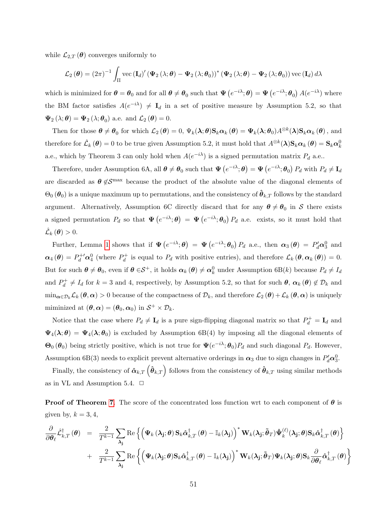while  $\mathcal{L}_{2,T}(\boldsymbol{\theta})$  converges uniformly to

$$
\mathcal{L}_2(\boldsymbol{\theta}) = (2\pi)^{-1} \int_{\Pi} \text{vec}(\mathbf{I}_d)' (\boldsymbol{\Psi}_2(\lambda;\boldsymbol{\theta}) - \boldsymbol{\Psi}_2(\lambda;\boldsymbol{\theta}_0))^* (\boldsymbol{\Psi}_2(\lambda;\boldsymbol{\theta}) - \boldsymbol{\Psi}_2(\lambda;\boldsymbol{\theta}_0)) \text{vec}(\mathbf{I}_d) d\lambda
$$

which is minimized for  $\theta = \theta_0$  and for all  $\theta \neq \theta_0$  such that  $\Psi(e^{-i\lambda}; \theta) = \Psi(e^{-i\lambda}; \theta_0) A(e^{-i\lambda})$  where the BM factor satisfies  $A(e^{-i\lambda}) \neq I_d$  in a set of positive measure by Assumption 5.2, so that  $\Psi_2(\lambda;\boldsymbol{\theta}) = \Psi_2(\lambda;\boldsymbol{\theta}_0)$  a.e. and  $\mathcal{L}_2(\boldsymbol{\theta}) = 0$ .

Then for those  $\boldsymbol{\theta} \neq \boldsymbol{\theta}_0$  for which  $\mathcal{L}_2(\boldsymbol{\theta}) = 0$ ,  $\Psi_k(\boldsymbol{\lambda}; \boldsymbol{\theta}) \mathbf{S}_k \boldsymbol{\alpha}_k (\boldsymbol{\theta}) = \Psi_k(\boldsymbol{\lambda}; \boldsymbol{\theta}_0) A^{\otimes k}(\boldsymbol{\lambda}) \mathbf{S}_k \boldsymbol{\alpha}_k (\boldsymbol{\theta})$ , and therefore for  $\hat{\mathcal{L}}_k(\theta) = 0$  to be true given Assumption 5.2, it must hold that  $A^{\otimes k}(\lambda) \mathbf{S}_k \alpha_k(\theta) = \mathbf{S}_k \alpha_k^0$ a.e., which by Theorem 3 can only hold when  $A(e^{-i\lambda})$  is a signed permutation matrix  $P_d$  a.e..

Therefore, under Assumption 6A, all  $\boldsymbol{\theta} \neq \boldsymbol{\theta}_0$  such that  $\Psi(e^{-i\lambda}; \boldsymbol{\theta}) = \Psi(e^{-i\lambda}; \boldsymbol{\theta}_0) P_d$  with  $P_d \neq I_d$ are discarded as  $\theta \notin S^{\text{max}}$  because the product of the absolute value of the diagonal elements of  $\Theta_0(\theta_0)$  is a unique maximum up to permutations, and the consistency of  $\hat{\theta}_{k,T}$  follows by the standard argument. Alternatively, Assumption 6C directly discard that for any  $\theta \neq \theta_0$  in S there exists a signed permutation  $P_d$  so that  $\Psi(e^{-i\lambda};\theta) = \Psi(e^{-i\lambda};\theta_0) P_d$  a.e. exists, so it must hold that  $\hat{\mathcal{L}}_k(\boldsymbol{\theta}) > 0.$ 

Further, Lemma [1](#page-54-0) shows that if  $\Psi(e^{-i\lambda};\theta) = \Psi(e^{-i\lambda};\theta_0) P_d$  a.e., then  $\alpha_3(\theta) = P'_d \alpha_3^0$  and  $\alpha_4(\theta) = P_d^{+\prime} \alpha_4^0$  (where  $P_d^+$  $\mathcal{L}_d^+$  is equal to  $P_d$  with positive entries), and therefore  $\mathcal{L}_k(\theta, \alpha_k(\theta)) = 0$ . But for such  $\theta \neq \theta_0$ , even if  $\theta \in S^+$ , it holds  $\alpha_k(\theta) \neq \alpha_k^0$  under Assumption 6B(k) because  $P_d \neq I_d$ and  $P_d^+$  $d_d^+ \neq I_d$  for  $k = 3$  and 4, respectively, by Assumption 5.2, so that for such  $\theta$ ,  $\alpha_k(\theta) \notin \mathcal{D}_k$  and  $\min_{\boldsymbol{\alpha} \in \mathcal{D}_k} \mathcal{L}_k (\boldsymbol{\theta}, \boldsymbol{\alpha}) > 0$  because of the compactness of  $\mathcal{D}_k$ , and therefore  $\mathcal{L}_2 (\boldsymbol{\theta}) + \mathcal{L}_k (\boldsymbol{\theta}, \boldsymbol{\alpha})$  is uniquely miminized at  $(\theta, \alpha) = (\theta_0, \alpha_0)$  in  $S^+ \times \mathcal{D}_k$ .

Notice that the case where  $P_d \neq I_d$  is a pure sign-flipping diagonal matrix so that  $P_d^+ = I_d$  and  $\Psi_4(\lambda;\theta) = \Psi_4(\lambda;\theta_0)$  is excluded by Assumption 6B(4) by imposing all the diagonal elements of  $\Theta_0(\theta_0)$  being strictly positive, which is not true for  $\Psi(e^{-i\lambda}; \theta_0)P_d$  and such diagonal  $P_d$ . However, Assumption 6B(3) needs to explicit prevent alternative orderings in  $\alpha_3$  due to sign changes in  $P'_d\alpha_3^0$ .

Finally, the consistency of  $\hat{\pmb{\alpha}}_{k,T}$   $\left(\hat{\pmb{\theta}}_{k,T}\right)$  follows from the consistency of  $\hat{\pmb{\theta}}_{k,T}$  using similar methods as in VL and Assumption 5.4.  $\Box$ 

**Proof of Theorem [7](#page-23-0).** The score of the concentrated loss function wrt to each component of  $\theta$  is given by,  $k = 3, 4$ ,

$$
\frac{\partial}{\partial \theta_{\ell}} \hat{\mathcal{L}}_{k,T}^{\dagger}(\boldsymbol{\theta}) = \frac{2}{T^{k-1}} \sum_{\boldsymbol{\lambda_j}} \text{Re} \left\{ \left( \boldsymbol{\Psi}_k \left( \boldsymbol{\lambda_j}; \boldsymbol{\theta} \right) \mathbf{S}_k \hat{\boldsymbol{\alpha}}_{k,T}^{\dagger}(\boldsymbol{\theta}) - \mathbb{I}_k(\boldsymbol{\lambda_j}) \right)^* \mathbf{W}_k(\boldsymbol{\lambda_j}; \tilde{\boldsymbol{\theta}}_T) \dot{\boldsymbol{\Psi}}_k^{(\ell)}(\boldsymbol{\lambda_j}; \boldsymbol{\theta}) \mathbf{S}_k \hat{\boldsymbol{\alpha}}_{k,T}^{\dagger}(\boldsymbol{\theta}) \right\} + \frac{2}{T^{k-1}} \sum_{\boldsymbol{\lambda_j}} \text{Re} \left\{ \left( \boldsymbol{\Psi}_k(\boldsymbol{\lambda_j}; \boldsymbol{\theta}) \mathbf{S}_k \hat{\boldsymbol{\alpha}}_{k,T}^{\dagger}(\boldsymbol{\theta}) - \mathbb{I}_k(\boldsymbol{\lambda_j}) \right)^* \mathbf{W}_k(\boldsymbol{\lambda_j}; \tilde{\boldsymbol{\theta}}_T) \boldsymbol{\Psi}_k(\boldsymbol{\lambda_j}; \boldsymbol{\theta}) \mathbf{S}_k \frac{\partial}{\partial \boldsymbol{\theta}_{\ell}} \hat{\boldsymbol{\alpha}}_{k,T}^{\dagger}(\boldsymbol{\theta}) \right\}
$$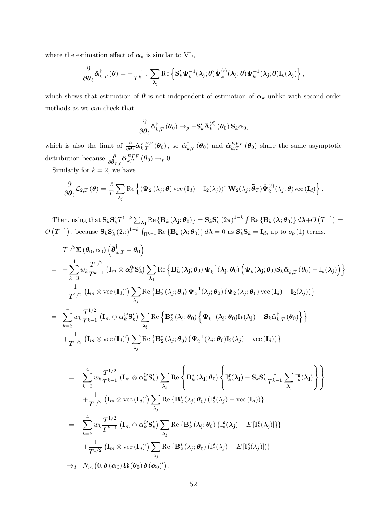where the estimation effect of  $\alpha_k$  is similar to VL,

$$
\frac{\partial}{\partial \theta_{\ell}} \hat{\boldsymbol{\alpha}}_{k,T}^{\dagger}\left(\boldsymbol{\theta}\right)=-\frac{1}{T^{k-1}} \sum_{\boldsymbol{\lambda_j}} \text{Re}\left\{\mathbf{S}_{k}^{\prime} \boldsymbol{\Psi}_{k}^{-1}(\boldsymbol{\lambda_j};\boldsymbol{\theta}) \boldsymbol{\dot{\Psi}}_{k}^{(\ell)}(\boldsymbol{\lambda_j};\boldsymbol{\theta}) \boldsymbol{\Psi}_{k}^{-1}(\boldsymbol{\lambda_j};\boldsymbol{\theta}) \mathbb{I}_{k}(\boldsymbol{\lambda_j})\right\},
$$

which shows that estimation of  $\theta$  is not independent of estimation of  $\alpha_k$  unlike with second order methods as we can check that

$$
\frac{\partial}{\partial\boldsymbol{\theta}_{\ell}}\boldsymbol{\hat{\alpha}}_{k,T}^{\dagger}\left(\boldsymbol{\theta}_{0}\right)\rightarrow_{p}-\mathbf{S}_{k}^{\prime}\bar{\boldsymbol{\Lambda}}_{k}^{(\ell)}\left(\boldsymbol{\theta}_{0}\right)\mathbf{S}_{k}\boldsymbol{\alpha}_{0},
$$

which is also the limit of  $\frac{\partial}{\partial \theta_{\ell}} \hat{\alpha}_{k,T}^{EFF} (\theta_0)$ , so  $\hat{\alpha}_{k,T}^{\dagger} (\theta_0)$  and  $\hat{\alpha}_{k,T}^{EFF} (\theta_0)$  share the same asymptotic distribution because  $\frac{\partial}{\partial \tilde{\boldsymbol{\theta}}_{T,\ell}} \hat{\boldsymbol{\alpha}}_{k,T}^{EFF} (\boldsymbol{\theta}_0) \rightarrow_p 0$ .

Similarly for  $k = 2$ , we have

$$
\frac{\partial}{\partial \theta_{\ell}} \mathcal{L}_{2,T}(\boldsymbol{\theta}) = \frac{2}{T} \sum_{\lambda_j} \text{Re} \left\{ (\boldsymbol{\Psi}_2(\lambda_j; \boldsymbol{\theta}) \text{ vec} (\mathbf{I}_d) - \mathbb{I}_2(\lambda_j))^* \mathbf{W}_2(\lambda_j; \boldsymbol{\tilde{\theta}}_T) \boldsymbol{\dot{\Psi}}_2^{(\ell)}(\lambda_j; \boldsymbol{\theta}) \text{ vec} (\mathbf{I}_d) \right\}.
$$

Then, using that  $\mathbf{S}_k \mathbf{S}_k' T^{1-k} \sum_{\boldsymbol{\lambda_j}} \mathrm{Re} \left\{ \mathbf{B}_k \left( \boldsymbol{\lambda_j}; \boldsymbol{\theta}_0 \right) \right\} = \mathbf{S}_k \mathbf{S}_k' \left( 2 \pi \right)^{1-k} \int \mathrm{Re} \left\{ \mathbf{B}_k \left( \boldsymbol{\lambda}; \boldsymbol{\theta}_0 \right) \right\} d \boldsymbol{\lambda} + O\left( T^{-1} \right) =$  $O(T^{-1})$ , because  $\mathbf{S}_k \mathbf{S}_k'(2\pi)^{1-k} \int_{\Pi^{k-1}} \text{Re} \left\{ \mathbf{B}_k(\lambda; \theta_0) \right\} d\lambda = 0$  as  $\mathbf{S}_k' \mathbf{S}_k = \mathbf{I}_d$ , up to  $o_p(1)$  terms,

$$
T^{1/2} \Sigma (\theta_0, \alpha_0) \left( \hat{\theta}_{w,T}^{\dagger} - \theta_0 \right)
$$
  
\n
$$
= - \sum_{k=3}^{4} w_k \frac{T^{1/2}}{T^{k-1}} \left( \mathbf{I}_m \otimes \alpha_k^0 \mathbf{S}_k' \right) \sum_{\lambda_j} \text{Re} \left\{ \mathbf{B}_k^*(\lambda_j; \theta_0) \Psi_k^{-1}(\lambda_j; \theta_0) \left( \Psi_k(\lambda_j; \theta_0) \mathbf{S}_k \hat{\alpha}_{k,T}^{\dagger} (\theta_0) - \mathbb{I}_k(\lambda_j) \right) \right\}
$$
  
\n
$$
- \frac{1}{T^{1/2}} \left( \mathbf{I}_m \otimes \text{vec} (\mathbf{I}_d)' \right) \sum_{\lambda_j} \text{Re} \left\{ \mathbf{B}_2^*(\lambda_j; \theta_0) \Psi_2^{-1}(\lambda_j; \theta_0) (\Psi_2(\lambda_j; \theta_0) \text{vec} (\mathbf{I}_d) - \mathbb{I}_2(\lambda_j)) \right\}
$$
  
\n
$$
= \sum_{k=3}^{4} w_k \frac{T^{1/2}}{T^{k-1}} \left( \mathbf{I}_m \otimes \alpha_k^0 \mathbf{S}_k' \right) \sum_{\lambda_j} \text{Re} \left\{ \mathbf{B}_k^*(\lambda_j; \theta_0) \left\{ \Psi_k^{-1}(\lambda_j; \theta_0) \mathbb{I}_k(\lambda_j) - \mathbf{S}_k \hat{\alpha}_{k,T}^{\dagger} (\theta_0) \right\} \right\}
$$
  
\n
$$
+ \frac{1}{T^{1/2}} \left( \mathbf{I}_m \otimes \text{vec} (\mathbf{I}_d)' \right) \sum_{\lambda_j} \text{Re} \left\{ \mathbf{B}_2^*(\lambda_j; \theta_0) \left( \Psi_2^{-1}(\lambda_j; \theta_0) \mathbb{I}_2(\lambda_j) - \text{vec} (\mathbf{I}_d) \right) \right\}
$$

$$
= \sum_{k=3}^{4} w_k \frac{T^{1/2}}{T^{k-1}} (\mathbf{I}_m \otimes \alpha_k^{0/\mathbf{S}'_k}) \sum_{\lambda_j} \text{Re} \left\{ \mathbf{B}_k^*(\lambda_j; \theta_0) \left\{ \mathbb{I}_k^{\varepsilon}(\lambda_j) - \mathbf{S}_k \mathbf{S}_k' \frac{1}{T^{k-1}} \sum_{\lambda_j} \mathbb{I}_k^{\varepsilon}(\lambda_j) \right\} \right\} + \frac{1}{T^{1/2}} (\mathbf{I}_m \otimes \text{vec} (\mathbf{I}_d)') \sum_{\lambda_j} \text{Re} \left\{ \mathbf{B}_2^*(\lambda_j; \theta_0) \left( \mathbb{I}_2^{\varepsilon}(\lambda_j) - \text{vec} (\mathbf{I}_d) \right) \right\} = \sum_{k=3}^{4} w_k \frac{T^{1/2}}{T^{k-1}} (\mathbf{I}_m \otimes \alpha_k^{0/\mathbf{S}'_k}) \sum_{\lambda_j} \text{Re} \left\{ \mathbf{B}_k^*(\lambda_j; \theta_0) \left\{ \mathbb{I}_k^{\varepsilon}(\lambda_j) - E \left[ \mathbb{I}_k^{\varepsilon}(\lambda_j) \right] \right\} \right\} + \frac{1}{T^{1/2}} (\mathbf{I}_m \otimes \text{vec} (\mathbf{I}_d)') \sum_{\lambda_j} \text{Re} \left\{ \mathbf{B}_2^*(\lambda_j; \theta_0) \left( \mathbb{I}_2^{\varepsilon}(\lambda_j) - E \left[ \mathbb{I}_2^{\varepsilon}(\lambda_j) \right] \right) \right\} + d \quad N_m (0, \delta (\alpha_0) \Omega (\theta_0) \delta (\alpha_0)'),
$$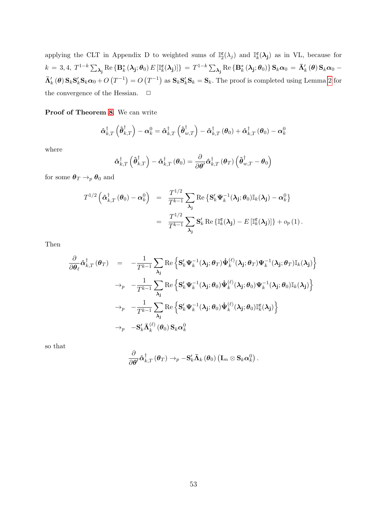applying the CLT in Appendix D to weighted sums of  $\mathbb{I}_2^{\epsilon}(\lambda_j)$  and  $\mathbb{I}_k^{\epsilon}(\lambda_j)$  as in VL, because for  $k\,=\,3,4,\ T^{1-k}\sum_{\boldsymbol{\lambda_{\bf j}}}\text{Re}\left\{\mathbf{B}_{k}^{*}\left(\boldsymbol{\lambda_{\bf j}};\boldsymbol{\theta}_0\right)E\left[\mathbb{I}_{k}^{\boldsymbol{\varepsilon}}(\boldsymbol{\lambda_{\bf j}})\right]\right\}\,=\,T^{1-k}\sum_{\boldsymbol{\lambda_{\bf j}}}\text{Re}\left\{\mathbf{B}_{k}^{*}\left(\boldsymbol{\lambda_{\bf j}};\boldsymbol{\theta}_0\right)\right\}\mathbf{S}_{k}\boldsymbol{\alpha}_0\,=\,\bar{\boldsymbol{\Lambda}}_{k}'\left(\boldsymbol{\theta}\right)\mathbf{S}_{k}\boldsymbol{\alpha}_0\, \bar{\mathbf{\Lambda}}'_k(\theta) \mathbf{S}_k \mathbf{S}'_k \mathbf{S}_k \alpha_0 + O\left(T^{-1}\right) = O\left(T^{-1}\right)$  as  $\mathbf{S}_k \mathbf{S}'_k \mathbf{S}_k = \mathbf{S}_k$ . The proof is completed using Lemma [2](#page-54-1) for the convergence of the Hessian.  $\quad \Box$ 

Proof of Theorem [8](#page-24-0). We can write

$$
\boldsymbol{\hat{\alpha}}_{k,T}^{\dagger}\left(\boldsymbol{\hat{\theta}}_{k,T}^{\dagger}\right)-\boldsymbol{\alpha}_k^{0}=\boldsymbol{\hat{\alpha}}_{k,T}^{\dagger}\left(\boldsymbol{\hat{\theta}}_{w,T}^{\dagger}\right)-\boldsymbol{\hat{\alpha}}_{k,T}^{\dagger}\left(\boldsymbol{\theta}_0\right)+\boldsymbol{\hat{\alpha}}_{k,T}^{\dagger}\left(\boldsymbol{\theta}_0\right)-\boldsymbol{\alpha}_k^{0}
$$

where

$$
\hat{\boldsymbol{\alpha}}_{k,T}^{\dagger}\left(\hat{\boldsymbol{\theta}}_{k,T}^{\dagger}\right)-\hat{\boldsymbol{\alpha}}_{k,T}^{\dagger}\left(\boldsymbol{\theta}_{0}\right)=\frac{\partial}{\partial\boldsymbol{\theta}'}\hat{\boldsymbol{\alpha}}_{k,T}^{\dagger}\left(\boldsymbol{\theta}_{T}\right)\left(\hat{\boldsymbol{\theta}}_{w,T}^{\dagger}-\boldsymbol{\theta}_{0}\right)
$$

for some  $\pmb\theta_T\to_p\pmb\theta_0$  and

$$
T^{1/2} \left( \hat{\boldsymbol{\alpha}}_{k,T}^{\dagger} \left( \boldsymbol{\theta}_0 \right) - \boldsymbol{\alpha}_k^0 \right) = \frac{T^{1/2}}{T^{k-1}} \sum_{\boldsymbol{\lambda}_j} \text{Re} \left\{ \mathbf{S}_k^{\prime} \boldsymbol{\Psi}_k^{-1} (\boldsymbol{\lambda}_j; \boldsymbol{\theta}_0) \mathbb{I}_k (\boldsymbol{\lambda}_j) - \boldsymbol{\alpha}_k^0 \right\}
$$
  

$$
= \frac{T^{1/2}}{T^{k-1}} \sum_{\boldsymbol{\lambda}_j} \mathbf{S}_k^{\prime} \text{ Re } \{ \mathbb{I}_k^{\boldsymbol{\varepsilon}} (\boldsymbol{\lambda}_j) - E \left[ \mathbb{I}_k^{\boldsymbol{\varepsilon}} (\boldsymbol{\lambda}_j) \right] \} + o_p(1) .
$$

Then

$$
\frac{\partial}{\partial \theta_{\ell}} \hat{\alpha}_{k,T}^{\dagger}(\theta_{T}) = -\frac{1}{T^{k-1}} \sum_{\lambda_{\mathbf{j}}} \text{Re}\left\{ \mathbf{S}_{k}^{\prime} \boldsymbol{\Psi}_{k}^{-1}(\lambda_{\mathbf{j}}; \theta_{T}) \boldsymbol{\dot{\Psi}}_{k}^{(\ell)}(\lambda_{\mathbf{j}}; \theta_{T}) \boldsymbol{\Psi}_{k}^{-1}(\lambda_{\mathbf{j}}; \theta_{T}) \mathbb{I}_{k}(\lambda_{\mathbf{j}}) \right\} \n\rightarrow_{p} -\frac{1}{T^{k-1}} \sum_{\lambda_{\mathbf{j}}} \text{Re}\left\{ \mathbf{S}_{k}^{\prime} \boldsymbol{\Psi}_{k}^{-1}(\lambda_{\mathbf{j}}; \theta_{0}) \boldsymbol{\dot{\Psi}}_{k}^{(\ell)}(\lambda_{\mathbf{j}}; \theta_{0}) \boldsymbol{\Psi}_{k}^{-1}(\lambda_{\mathbf{j}}; \theta_{0}) \mathbb{I}_{k}(\lambda_{\mathbf{j}}) \right\} \n\rightarrow_{p} -\frac{1}{T^{k-1}} \sum_{\lambda_{\mathbf{j}}} \text{Re}\left\{ \mathbf{S}_{k}^{\prime} \boldsymbol{\Psi}_{k}^{-1}(\lambda_{\mathbf{j}}; \theta_{0}) \boldsymbol{\dot{\Psi}}_{k}^{(\ell)}(\lambda_{\mathbf{j}}; \theta_{0}) \mathbb{I}_{k}^{\epsilon}(\lambda_{\mathbf{j}}) \right\} \n\rightarrow_{p} -\mathbf{S}_{k}^{\prime} \bar{\Lambda}_{k}^{(\ell)}(\theta_{0}) \mathbf{S}_{k} \alpha_{k}^{0}
$$

so that

$$
\frac{\partial}{\partial \boldsymbol{\theta}'} \mathbf{\hat{a}}_{k,T}^{\dagger} \left( \boldsymbol{\theta}_T \right) \rightarrow_p - \mathbf{S}_{k}^{\prime} \mathbf{\bar{\Lambda}}_{k} \left( \boldsymbol{\theta}_0 \right) \left( \mathbf{I}_{m} \otimes \mathbf{S}_{k} \boldsymbol{\alpha}_k^0 \right).
$$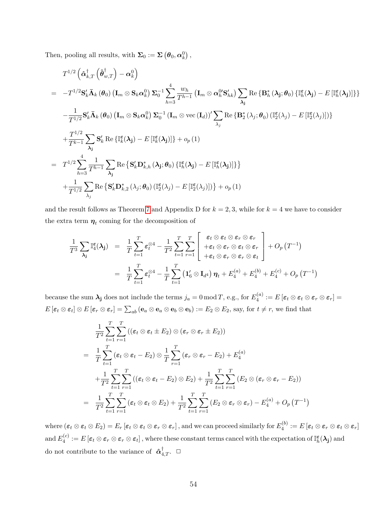Then, pooling all results, with  $\Sigma_0 := \Sigma \left( \pmb{\theta}_0, \pmb{\alpha}^0_k \right)$ ,

$$
T^{1/2} \left( \hat{\boldsymbol{\alpha}}_{k,T}^{\dagger} \left( \hat{\boldsymbol{\theta}}_{w,T}^{\dagger} \right) - \hat{\boldsymbol{\alpha}}_{k}^{0} \right)
$$
\n
$$
= -T^{1/2} \mathbf{S}_{k}' \bar{\boldsymbol{\Lambda}}_{k} (\boldsymbol{\theta}_{0}) \left( \mathbf{I}_{m} \otimes \mathbf{S}_{k} \hat{\boldsymbol{\alpha}}_{k}^{0} \right) \Sigma_{0}^{-1} \sum_{h=3}^{4} \frac{w_{h}}{T^{h-1}} \left( \mathbf{I}_{m} \otimes \hat{\boldsymbol{\alpha}}_{h}^{0} \mathbf{S}_{hk}' \right) \sum_{\lambda_{j}} \text{Re} \left\{ \mathbf{B}_{h}^{*} (\lambda_{j}; \boldsymbol{\theta}_{0}) \left\{ \mathbb{I}_{h}^{\boldsymbol{\varepsilon}} (\lambda_{j}) - E \left[ \mathbb{I}_{h}^{\boldsymbol{\varepsilon}} (\lambda_{j}) \right] \right\} \right\}
$$
\n
$$
- \frac{1}{T^{1/2}} \mathbf{S}_{k}' \bar{\boldsymbol{\Lambda}}_{k} (\boldsymbol{\theta}_{0}) \left( \mathbf{I}_{m} \otimes \mathbf{S}_{k} \hat{\boldsymbol{\alpha}}_{k}^{0} \right) \Sigma_{0}^{-1} (\mathbf{I}_{m} \otimes \text{vec} (\mathbf{I}_{d}))' \sum_{\lambda_{j}} \text{Re} \left\{ \mathbf{B}_{2}^{*} (\lambda_{j}; \boldsymbol{\theta}_{0}) \left( \mathbb{I}_{2}^{\boldsymbol{\varepsilon}} (\lambda_{j}) - E \left[ \mathbb{I}_{2}^{\boldsymbol{\varepsilon}} (\lambda_{j}) \right] \right) \right\}
$$
\n
$$
+ \frac{T^{1/2}}{T^{k-1}} \sum_{\lambda_{j}} \mathbf{S}_{k}' \text{Re} \left\{ \mathbb{I}_{k}^{\boldsymbol{\varepsilon}} (\lambda_{j}) - E \left[ \mathbb{I}_{k}^{\boldsymbol{\varepsilon}} (\lambda_{j}) \right] \right\} + o_{p} (1)
$$
\n
$$
= T^{1/2} \sum_{h=3}^{4} \frac{1}{T^{h-1}} \sum_{\lambda_{j}} \text{Re} \left\{ \mathbf{S}_{k}' \mathbf{D}_{k,h}^{*} (\lambda_{j}; \boldsymbol{\theta}_{0}) \left\{ \mathbb{I
$$

and the result follows as Theorem [7](#page-23-0) and Appendix D for  $k = 2, 3$ , while for  $k = 4$  we have to consider the extra term  $\eta_t$  coming for the decomposition of

$$
\frac{1}{T^3} \sum_{\lambda_{\mathbf{j}}} \mathbb{I}_{4}^{\varepsilon}(\lambda_{\mathbf{j}}) = \frac{1}{T} \sum_{t=1}^{T} \varepsilon_{t}^{\otimes 4} - \frac{1}{T^2} \sum_{t=1}^{T} \sum_{r=1}^{T} \left[ \begin{array}{c} \varepsilon_{t} \otimes \varepsilon_{t} \otimes \varepsilon_{r} \otimes \varepsilon_{r} \\ + \varepsilon_{t} \otimes \varepsilon_{r} \otimes \varepsilon_{t} \otimes \varepsilon_{r} \\ + \varepsilon_{t} \otimes \varepsilon_{r} \otimes \varepsilon_{r} \otimes \varepsilon_{t} \end{array} \right] + O_{p}(T^{-1})
$$
\n
$$
= \frac{1}{T} \sum_{t=1}^{T} \varepsilon_{t}^{\otimes 4} - \frac{1}{T} \sum_{t=1}^{T} \left( \mathbf{1}_{6}' \otimes \mathbf{I}_{d^{4}} \right) \boldsymbol{\eta}_{t} + E_{4}^{(a)} + E_{4}^{(b)} + E_{4}^{(c)} + O_{p}(T^{-1})
$$

because the sum  $\lambda_j$  does not include the terms  $j_a = 0 \mod T$ , e.g., for  $E_4^{(a)}$  $\mathcal{E}_4^{(a)}:=E\left[\boldsymbol{\varepsilon}_t\otimes \boldsymbol{\varepsilon}_t\otimes \boldsymbol{\varepsilon}_r\otimes \boldsymbol{\varepsilon}_r\right]=0$  $E\left[\boldsymbol{\varepsilon}_t\otimes \boldsymbol{\varepsilon}_t\right] \otimes E\left[\boldsymbol{\varepsilon}_r\otimes \boldsymbol{\varepsilon}_r\right] = \sum_{ab}\left(\mathbf{e}_a\otimes \mathbf{e}_a\otimes \mathbf{e}_b\otimes \mathbf{e}_b\right) := E_2\otimes E_2$ , say, for  $t\neq r$ , we find that

$$
\frac{1}{T^2} \sum_{t=1}^T \sum_{r=1}^T \left( (\varepsilon_t \otimes \varepsilon_t \pm E_2) \otimes (\varepsilon_r \otimes \varepsilon_r \pm E_2) \right)
$$
\n
$$
= \frac{1}{T} \sum_{t=1}^T (\varepsilon_t \otimes \varepsilon_t - E_2) \otimes \frac{1}{T} \sum_{r=1}^T (\varepsilon_r \otimes \varepsilon_r - E_2) + E_4^{(a)}
$$
\n
$$
+ \frac{1}{T^2} \sum_{t=1}^T \sum_{r=1}^T \left( (\varepsilon_t \otimes \varepsilon_t - E_2) \otimes E_2 \right) + \frac{1}{T^2} \sum_{t=1}^T \sum_{r=1}^T (E_2 \otimes (\varepsilon_r \otimes \varepsilon_r - E_2))
$$
\n
$$
= \frac{1}{T^2} \sum_{t=1}^T \sum_{r=1}^T (\varepsilon_t \otimes \varepsilon_t \otimes E_2) + \frac{1}{T^2} \sum_{t=1}^T \sum_{r=1}^T (E_2 \otimes \varepsilon_r \otimes \varepsilon_r) - E_4^{(a)} + O_p(T^{-1})
$$

where  $(\bm{\varepsilon}_t\otimes\bm{\varepsilon}_t\otimes E_2)=E_r\,[\bm{\varepsilon}_t\otimes\bm{\varepsilon}_t\otimes\bm{\varepsilon}_r\otimes\bm{\varepsilon}_r]$  , and we can proceed similarly for  $E_4^{(b)}$  $\mathcal{E}_4^{(0)}:=E\left[\boldsymbol{\varepsilon}_t\otimes \boldsymbol{\varepsilon}_r\otimes \boldsymbol{\varepsilon}_t\otimes \boldsymbol{\varepsilon}_r\right]$ and  $E_4^{(c)}$  $\mathcal{A}_4^{(c)} := E\left[\varepsilon_t \otimes \varepsilon_r \otimes \varepsilon_t\right],$  where these constant terms cancel with the expectation of  $\mathbb{I}_h^{\boldsymbol{\varepsilon}}(\boldsymbol{\lambda_j})$  and do not contribute to the variance of  $\hat{\alpha}_{4,T}^{\dagger}$ .  $\Box$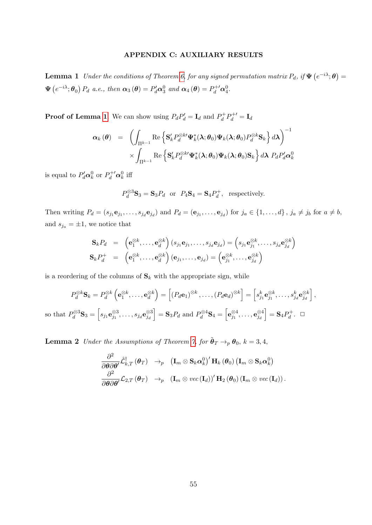# APPENDIX C: AUXILIARY RESULTS

<span id="page-54-0"></span>**Lemma 1** Under the conditions of Theorem [6,](#page-19-0) for any signed permutation matrix  $P_d$ , if  $\Psi(e^{-i\lambda};\theta) =$  $\Psi\left(e^{-i\lambda};\theta_0\right)P_d$  a.e., then  $\alpha_3(\theta)=P'_d\alpha_3^0$  and  $\alpha_4(\theta)=P_d^{+\prime}\alpha_4^0$ .

**Proof of Lemma [1](#page-54-0)**. We can show using  $P_d P'_d = I_d$  and  $P_d^+$  $P_d^+ P_d^{+\prime} = \mathbf{I}_d$ 

$$
\alpha_{k}(\theta) = \left( \int_{\Pi^{k-1}} \operatorname{Re} \left\{ \mathbf{S}_{k}^{\prime} P_{d}^{\otimes k \prime} \Psi_{k}^{*}(\lambda; \theta_{0}) \Psi_{k}(\lambda; \theta_{0}) P_{d}^{\otimes k} \mathbf{S}_{k} \right\} d\lambda \right)^{-1} \times \int_{\Pi^{k-1}} \operatorname{Re} \left\{ \mathbf{S}_{k}^{\prime} P_{d}^{\otimes k \prime} \Psi_{k}^{*}(\lambda; \theta_{0}) \Psi_{k}(\lambda; \theta_{0}) \mathbf{S}_{k} \right\} d\lambda P_{d} P_{d}^{\prime} \alpha_{k}^{0}
$$

is equal to  $P'_d \mathbf{\alpha}_k^0$  or  $P_d^{+\prime} \mathbf{\alpha}_k^0$  iff

 $SO$ 

$$
P_d^{\otimes 3} \mathbf{S}_3 = \mathbf{S}_3 P_d
$$
 or  $P_4 \mathbf{S}_4 = \mathbf{S}_4 P_d^+$ , respectively.

Then writing  $P_d = (s_{j_1} \mathbf{e}_{j_1}, \dots, s_{j_d} \mathbf{e}_{j_d})$  and  $P_d = (\mathbf{e}_{j_1}, \dots, \mathbf{e}_{j_d})$  for  $j_a \in \{1, \dots, d\}$ ,  $j_a \neq j_b$  for  $a \neq b$ , and  $s_{j_a} = \pm 1$ , we notice that

$$
\begin{array}{rcl}\n\mathbf{S}_k P_d & = & \left(\mathbf{e}_1^{\otimes k}, \dots, \mathbf{e}_d^{\otimes k}\right) (s_{j_1} \mathbf{e}_{j_1}, \dots, s_{j_d} \mathbf{e}_{j_d}) = \left(s_{j_1} \mathbf{e}_{j_1}^{\otimes k}, \dots, s_{j_d} \mathbf{e}_{j_d}^{\otimes k}\right) \\
\mathbf{S}_k P_d^+ & = & \left(\mathbf{e}_1^{\otimes k}, \dots, \mathbf{e}_d^{\otimes k}\right) (\mathbf{e}_{j_1}, \dots, \mathbf{e}_{j_d}) = \left(\mathbf{e}_{j_1}^{\otimes k}, \dots, \mathbf{e}_{j_d}^{\otimes k}\right)\n\end{array}
$$

is a reordering of the columns of  $S_k$  with the appropriate sign, while

$$
P_d^{\otimes k} \mathbf{S}_k = P_d^{\otimes k} \left( \mathbf{e}_1^{\otimes k}, \dots, \mathbf{e}_d^{\otimes k} \right) = \left[ (P_d \mathbf{e}_1)^{\otimes k}, \dots, (P_d \mathbf{e}_d)^{\otimes k} \right] = \left[ s_{j_1}^k \mathbf{e}_{j_1}^{\otimes k}, \dots, s_{j_d}^k \mathbf{e}_{j_d}^{\otimes k} \right],
$$
  
that  $P_d^{\otimes 3} \mathbf{S}_3 = \left[ s_{j_1} \mathbf{e}_{j_1}^{\otimes 3}, \dots, s_{j_d} \mathbf{e}_{j_d}^{\otimes 3} \right] = \mathbf{S}_3 P_d$  and  $P_d^{\otimes 4} \mathbf{S}_4 = \left[ \mathbf{e}_{j_1}^{\otimes 4}, \dots, \mathbf{e}_{j_d}^{\otimes 4} \right] = \mathbf{S}_4 P_d^+.$   $\Box$ 

<span id="page-54-1"></span>**Lemma 2** Under the Assumptions of Theorem [7,](#page-23-0) for  $\tilde{\boldsymbol{\theta}}_T \rightarrow_p \boldsymbol{\theta}_0$ ,  $k = 3, 4$ ,

$$
\frac{\partial^{2}}{\partial\boldsymbol{\theta}\partial\boldsymbol{\theta}'}\hat{\mathcal{L}}_{k,T}^{\dagger}\left(\boldsymbol{\theta}_{T}\right)\;\;\rightarrow_{p}\;\;\left(\mathbf{I}_{m}\otimes\mathbf{S}_{k}\boldsymbol{\alpha}_{k}^{0}\right)^{\prime}\mathbf{H}_{k}\left(\boldsymbol{\theta}_{0}\right)\left(\mathbf{I}_{m}\otimes\mathbf{S}_{k}\boldsymbol{\alpha}_{k}^{0}\right)\\ \frac{\partial^{2}}{\partial\boldsymbol{\theta}\partial\boldsymbol{\theta}'}\mathcal{L}_{2,T}\left(\boldsymbol{\theta}_{T}\right)\;\;\rightarrow_{p}\;\;\left(\mathbf{I}_{m}\otimes vec\left(\mathbf{I}_{d}\right)\right)^{\prime}\mathbf{H}_{2}\left(\boldsymbol{\theta}_{0}\right)\left(\mathbf{I}_{m}\otimes vec\left(\mathbf{I}_{d}\right)\right).
$$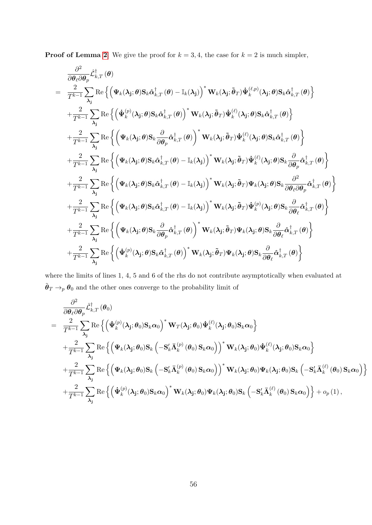**Proof of Lemma [2](#page-54-1).** We give the proof for  $k = 3, 4$ , the case for  $k = 2$  is much simpler,

$$
\frac{\partial^2}{\partial \theta_\ell \partial \theta_p} \hat{\mathcal{L}}^{\dagger}_{k,T}(\theta) \n= \frac{2}{T^{k-1}} \sum_{\lambda_j} \text{Re} \left\{ \left( \Psi_k(\lambda_j; \theta) S_k \hat{\alpha}_{k,T}^{\dagger}(\theta) - \mathbb{I}_k(\lambda_j) \right)^* \mathbf{W}_k(\lambda_j; \tilde{\theta}_T) \Psi_k^{(\ell,p)}(\lambda_j; \theta) S_k \hat{\alpha}_{k,T}^{\dagger}(\theta) \right\} \n+ \frac{2}{T^{k-1}} \sum_{\lambda_j} \text{Re} \left\{ \left( \Psi_k^{(p)}(\lambda_j; \theta) S_k \hat{\alpha}_{k,T}^{\dagger}(\theta) \right)^* \mathbf{W}_k(\lambda_j; \tilde{\theta}_T) \Psi_k^{(\ell)}(\lambda_j; \theta) S_k \hat{\alpha}_{k,T}^{\dagger}(\theta) \right\} \n+ \frac{2}{T^{k-1}} \sum_{\lambda_j} \text{Re} \left\{ \left( \Psi_k(\lambda_j; \theta) S_k \frac{\partial}{\partial \theta_p} \hat{\alpha}_{k,T}^{\dagger}(\theta) \right)^* \mathbf{W}_k(\lambda_j; \tilde{\theta}_T) \Psi_k^{(\ell)}(\lambda_j; \theta) S_k \hat{\alpha}_{k,T}^{\dagger}(\theta) \right\} \n+ \frac{2}{T^{k-1}} \sum_{\lambda_j} \text{Re} \left\{ \left( \Psi_k(\lambda_j; \theta) S_k \hat{\alpha}_{k,T}^{\dagger}(\theta) - \mathbb{I}_k(\lambda_j) \right)^* \mathbf{W}_k(\lambda_j; \tilde{\theta}_T) \Psi_k^{(\ell)}(\lambda_j; \theta) S_k \frac{\partial}{\partial \theta_p} \hat{\alpha}_{k,T}^{\dagger}(\theta) \right\} \n+ \frac{2}{T^{k-1}} \sum_{\lambda_j} \text{Re} \left\{ \left( \Psi_k(\lambda_j; \theta) S_k \hat{\alpha}_{k,T}^{\dagger}(\theta) - \mathbb{I}_k(\lambda_j) \right)^* \mathbf{W}_k(\lambda_j; \tilde{\theta}_T) \Psi_k(\lambda_j; \theta) S_k \frac{\partial}{\partial \theta_p} \hat{\alpha}_{k,T}^{\dagger}(\theta) \right\} \n+ \frac{2}{T^{k-1}} \sum_{\lambda_j} \text{Re} \left\{ \left( \Psi_k(\lambda_j;
$$

where the limits of lines 1, 4, 5 and 6 of the rhs do not contribute asymptotically when evaluated at  $\tilde{\boldsymbol{\theta}}_T \rightarrow_p \boldsymbol{\theta}_0$  and the other ones converge to the probability limit of

$$
\frac{\partial^2}{\partial \theta_\ell \partial \theta_p} \hat{\mathcal{L}}^{\dagger}_{k,T} (\theta_0) \n= \frac{2}{T^{k-1}} \sum_{\lambda_j} \text{Re} \left\{ \left( \dot{\Psi}_k^{(p)}(\lambda_j; \theta_0) \mathbf{S}_k \alpha_0 \right)^* \mathbf{W}_T(\lambda_j; \theta_0) \dot{\Psi}_k^{(\ell)}(\lambda_j; \theta_0) \mathbf{S}_k \alpha_0 \right\} \n+ \frac{2}{T^{k-1}} \sum_{\lambda_j} \text{Re} \left\{ \left( \Psi_k(\lambda_j; \theta_0) \mathbf{S}_k \left( -\mathbf{S}_k' \bar{\mathbf{\Lambda}}_k^{(p)}(\theta_0) \mathbf{S}_k \alpha_0 \right) \right)^* \mathbf{W}_k(\lambda_j; \theta_0) \dot{\Psi}_k^{(\ell)}(\lambda_j; \theta_0) \mathbf{S}_k \alpha_0 \right\} \n+ \frac{2}{T^{k-1}} \sum_{\lambda_j} \text{Re} \left\{ \left( \Psi_k(\lambda_j; \theta_0) \mathbf{S}_k \left( -\mathbf{S}_k' \bar{\mathbf{\Lambda}}_k^{(p)}(\theta_0) \mathbf{S}_k \alpha_0 \right) \right)^* \mathbf{W}_k(\lambda_j; \theta_0) \Psi_k(\lambda_j; \theta_0) \mathbf{S}_k \left( -\mathbf{S}_k' \bar{\mathbf{\Lambda}}_k^{(\ell)}(\theta_0) \mathbf{S}_k \alpha_0 \right) \right\} \n+ \frac{2}{T^{k-1}} \sum_{\lambda_j} \text{Re} \left\{ \left( \dot{\Psi}_k^{(p)}(\lambda_j; \theta_0) \mathbf{S}_k \alpha_0 \right)^* \mathbf{W}_k(\lambda_j; \theta_0) \Psi_k(\lambda_j; \theta_0) \mathbf{S}_k \left( -\mathbf{S}_k' \bar{\mathbf{\Lambda}}_k^{(\ell)}(\theta_0) \mathbf{S}_k \alpha_0 \right) \right\} + o_p(1),
$$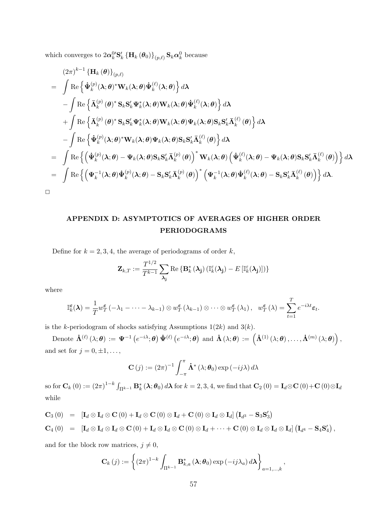which converges to  $2\alpha_k^0$ 'S'<sub>k</sub>  $\left\{\mathbf{H}_k(\theta_0)\right\}_{(p,\ell)}$  S<sub>k</sub> $\alpha_k^0$  because

$$
(2\pi)^{k-1} {\mathbf{H}_{k}(\boldsymbol{\theta})}_{\{p,\ell\}} \n= \int \mathrm{Re}\left\{\dot{\Psi}_{k}^{(p)}(\boldsymbol{\lambda};\boldsymbol{\theta})^{*}\mathbf{W}_{k}(\boldsymbol{\lambda};\boldsymbol{\theta})\dot{\Psi}_{k}^{(\ell)}(\boldsymbol{\lambda};\boldsymbol{\theta})\right\} d\boldsymbol{\lambda} \n- \int \mathrm{Re}\left\{\bar{\mathbf{\Lambda}}_{k}^{(p)}(\boldsymbol{\theta})^{*} \mathbf{S}_{k} \mathbf{S}_{k}^{\prime} \Psi_{k}^{*}(\boldsymbol{\lambda};\boldsymbol{\theta}) \mathbf{W}_{k}(\boldsymbol{\lambda};\boldsymbol{\theta})\dot{\Psi}_{k}^{(\ell)}(\boldsymbol{\lambda};\boldsymbol{\theta})\right\} d\boldsymbol{\lambda} \n+ \int \mathrm{Re}\left\{\bar{\mathbf{\Lambda}}_{k}^{(p)}(\boldsymbol{\theta})^{*} \mathbf{S}_{k} \mathbf{S}_{k}^{\prime} \Psi_{k}^{*}(\boldsymbol{\lambda};\boldsymbol{\theta}) \mathbf{W}_{k}(\boldsymbol{\lambda};\boldsymbol{\theta}) \Psi_{k}(\boldsymbol{\lambda};\boldsymbol{\theta}) \mathbf{S}_{k} \mathbf{S}_{k}^{\prime} \bar{\mathbf{\Lambda}}_{k}^{(\ell)}(\boldsymbol{\theta})\right\} d\boldsymbol{\lambda} \n- \int \mathrm{Re}\left\{\dot{\Psi}_{k}^{(p)}(\boldsymbol{\lambda};\boldsymbol{\theta})^{*} \mathbf{W}_{k}(\boldsymbol{\lambda};\boldsymbol{\theta}) \Psi_{k}(\boldsymbol{\lambda};\boldsymbol{\theta}) \mathbf{S}_{k} \mathbf{S}_{k}^{\prime} \bar{\mathbf{\Lambda}}_{k}^{(\ell)}(\boldsymbol{\theta})\right\} d\boldsymbol{\lambda} \n= \int \mathrm{Re}\left\{\left(\dot{\Psi}_{k}^{(p)}(\boldsymbol{\lambda};\boldsymbol{\theta}) - \Psi_{k}(\boldsymbol{\lambda};\boldsymbol{\theta}) \mathbf{S}_{k} \mathbf{S}_{k}^{\prime} \bar{\mathbf{\Lambda}}_{k}^{(\ell)}(\boldsymbol{\theta})\right)^{*} \mathbf{W}_{k}(\boldsymbol{\lambda};\boldsymbol{\theta}) \left(\dot{\Psi}_{k}^{(\ell)}(\boldsymbol{\lambda};\boldsymbol{\theta}) - \Psi_{k}(\boldsymbol{\lambda};\boldsymbol{\theta}) \mathbf{S}_{k} \mathbf{S}_{k}^{\prime} \bar{\mathbf{\Lambda}}_{k}^{(\ell)}(\boldsymbol{\theta})
$$

# APPENDIX D: ASYMPTOTICS OF AVERAGES OF HIGHER ORDER PERIODOGRAMS

Define for  $k = 2, 3, 4$ , the average of periodograms of order k,

$$
\mathbf{Z}_{k,T} := \frac{T^{1/2}}{T^{k-1}} \sum_{\mathbf{\lambda_j}} \text{Re} \left\{ \mathbf{B}_k^*(\mathbf{\lambda_j}) \left( \mathbb{I}_k^{\varepsilon}(\mathbf{\lambda_j}) - E\left[ \mathbb{I}_k^{\varepsilon}(\mathbf{\lambda_j}) \right] \right) \right\}
$$

where

$$
\mathbb{I}_{k}^{\varepsilon}(\lambda) = \frac{1}{T} w_{T}^{\varepsilon}(-\lambda_{1} - \cdots - \lambda_{k-1}) \otimes w_{T}^{\varepsilon}(\lambda_{k-1}) \otimes \cdots \otimes w_{T}^{\varepsilon}(\lambda_{1}), \quad w_{T}^{\varepsilon}(\lambda) = \sum_{t=1}^{T} e^{-i\lambda t} \varepsilon_{t}.
$$

is the k-periodogram of shocks satisfying Assumptions  $1(2k)$  and  $3(k)$ .

Denote  $\dot{\mathbf{\Lambda}}^{(\ell)}\left(\lambda;\boldsymbol{\theta}\right):=\boldsymbol{\Psi}^{-1}\left(e^{-i\lambda};\boldsymbol{\theta}\right)\dot{\boldsymbol{\Psi}}^{(\ell)}\left(e^{-i\lambda};\boldsymbol{\theta}\right)\;\text{and}\;\dot{\mathbf{\Lambda}}\left(\lambda;\boldsymbol{\theta}\right):=\left(\dot{\mathbf{\Lambda}}^{(1)}\left(\lambda;\boldsymbol{\theta}\right),\ldots,\dot{\mathbf{\Lambda}}^{(m)}\left(\lambda;\boldsymbol{\theta}\right)\right),$ and set for  $j = 0, \pm 1, \ldots$ ,

$$
\mathbf{C}(j) := (2\pi)^{-1} \int_{-\pi}^{\pi} \dot{\mathbf{\Lambda}}^* (\lambda; \boldsymbol{\theta}_0) \exp(-ij\lambda) d\lambda
$$

so for  $\mathbf{C}_k(0) := (2\pi)^{1-k} \int_{\Pi^{k-1}} \mathbf{B}_k^* (\lambda; \theta_0) d\lambda$  for  $k = 2, 3, 4$ , we find that  $\mathbf{C}_2(0) = \mathbf{I}_d \otimes \mathbf{C}(0) + \mathbf{C}(0) \otimes \mathbf{I}_d$ while

$$
\mathbf{C}_3(0) = [\mathbf{I}_d \otimes \mathbf{I}_d \otimes \mathbf{C}(0) + \mathbf{I}_d \otimes \mathbf{C}(0) \otimes \mathbf{I}_d + \mathbf{C}(0) \otimes \mathbf{I}_d \otimes \mathbf{I}_d] (\mathbf{I}_{d^3} - \mathbf{S}_3 \mathbf{S}'_3)
$$
  
\n
$$
\mathbf{C}_4(0) = [\mathbf{I}_d \otimes \mathbf{I}_d \otimes \mathbf{I}_d \otimes \mathbf{C}(0) + \mathbf{I}_d \otimes \mathbf{I}_d \otimes \mathbf{C}(0) \otimes \mathbf{I}_d + \cdots + \mathbf{C}(0) \otimes \mathbf{I}_d \otimes \mathbf{I}_d] (\mathbf{I}_{d^4} - \mathbf{S}_4 \mathbf{S}'_4),
$$

and for the block row matrices,  $j \neq 0$ ,

$$
\mathbf{C}_{k}(j) := \left\{ (2\pi)^{1-k} \int_{\Pi^{k-1}} \mathbf{B}_{k,a}^{*} \left( \boldsymbol{\lambda}; \boldsymbol{\theta}_{0} \right) \exp\left( -ij \lambda_{a} \right) d\boldsymbol{\lambda} \right\}_{a=1,\dots,k},
$$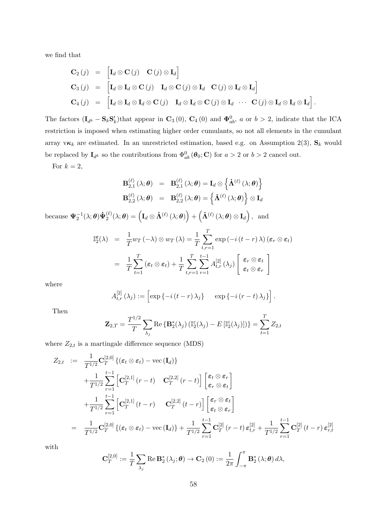we find that

$$
\begin{array}{rcl}\n\mathbf{C}_2(j) & = & \left[\mathbf{I}_d \otimes \mathbf{C}(j) \quad \mathbf{C}(j) \otimes \mathbf{I}_d\right] \\
\mathbf{C}_3(j) & = & \left[\mathbf{I}_d \otimes \mathbf{I}_d \otimes \mathbf{C}(j) \quad \mathbf{I}_d \otimes \mathbf{C}(j) \otimes \mathbf{I}_d \quad \mathbf{C}(j) \otimes \mathbf{I}_d \otimes \mathbf{I}_d\right] \\
\mathbf{C}_4(j) & = & \left[\mathbf{I}_d \otimes \mathbf{I}_d \otimes \mathbf{I}_d \otimes \mathbf{C}(j) \quad \mathbf{I}_d \otimes \mathbf{I}_d \otimes \mathbf{C}(j) \otimes \mathbf{I}_d \quad \cdots \quad \mathbf{C}(j) \otimes \mathbf{I}_d \otimes \mathbf{I}_d\right].\n\end{array}
$$

The factors  $(\mathbf{I}_{d^k} - \mathbf{S}_k \mathbf{S}'_k)$  that appear in  $\mathbf{C}_3(0)$ ,  $\mathbf{C}_4(0)$  and  $\mathbf{\Phi}_{ab}^0$ , a or  $b > 2$ , indicate that the ICA restriction is imposed when estimating higher order cumulants, so not all elements in the cumulant array  $v\kappa_k$  are estimated. In an unrestricted estimation, based e.g. on Assumption 2(3),  $\mathbf{S}_k$  would be replaced by  $I_{d^k}$  so the contributions from  $\Phi_{ab}^0(\theta_0; \mathbf{C})$  for  $a > 2$  or  $b > 2$  cancel out.

For  $k = 2$ ,

$$
\mathbf{B}_{2,1}^{(\ell)}(\lambda;\boldsymbol{\theta}) = \mathbf{B}_{2,1}^{(\ell)}(\lambda;\boldsymbol{\theta}) = \mathbf{I}_d \otimes \left\{ \dot{\mathbf{\Lambda}}^{(\ell)}(\lambda;\boldsymbol{\theta}) \right\}
$$

$$
\mathbf{B}_{2,2}^{(\ell)}(\lambda;\boldsymbol{\theta}) = \mathbf{B}_{2,2}^{(\ell)}(\lambda;\boldsymbol{\theta}) = \left\{ \dot{\mathbf{\Lambda}}^{(\ell)}(\lambda;\boldsymbol{\theta}) \right\} \otimes \mathbf{I}_d
$$

because  $\mathbf{\Psi}^{-1}_{2}(\lambda;\boldsymbol{\theta})\mathbf{\dot{\Psi}}^{(\ell)}_{2}$  $\mathcal{L}^{(\ell)}_2(\lambda;\boldsymbol{\theta}) = \left(\mathbf{I}_d \otimes \dot{\boldsymbol{\Lambda}}^{(\ell)}\left(\lambda;\boldsymbol{\theta}\right)\right) + \left(\dot{\boldsymbol{\Lambda}}^{(\ell)}\left(\lambda;\boldsymbol{\theta}\right) \otimes \mathbf{I}_d\right), \ \ \text{and}$ 

$$
\mathbb{I}_{2}^{\varepsilon}(\lambda) = \frac{1}{T} w_{T}(-\lambda) \otimes w_{T}(\lambda) = \frac{1}{T} \sum_{t,r=1}^{T} \exp(-i(t-r)\lambda) (\varepsilon_{r} \otimes \varepsilon_{t})
$$

$$
= \frac{1}{T} \sum_{t=1}^{T} (\varepsilon_{t} \otimes \varepsilon_{t}) + \frac{1}{T} \sum_{t,r=1}^{T} \sum_{r=1}^{t-1} A_{t,r}^{[2]}(\lambda_{j}) \left[ \varepsilon_{r} \otimes \varepsilon_{t} \atop \varepsilon_{t} \otimes \varepsilon_{r} \right]
$$

where

$$
A_{t,r}^{[2]}(\lambda_j) := \left[\exp\left\{-i(t-r)\lambda_j\right\} \quad \exp\left\{-i(r-t)\lambda_j\right\}\right].
$$

Then

$$
\mathbf{Z}_{2,T} = \frac{T^{1/2}}{T} \sum_{\lambda_j} \text{Re} \left\{ \mathbf{B}_2^*(\lambda_j) \left( \mathbb{I}_2^{\varepsilon}(\lambda_j) - E\left[ \mathbb{I}_2^{\varepsilon}(\lambda_j) \right] \right) \right\} = \sum_{t=1}^T Z_{2,t}
$$

where  $Z_{2,t}$  is a martingale difference sequence (MDS)

$$
Z_{2,t} := \frac{1}{T^{1/2}} \mathbf{C}_{T}^{[2,0]} \{ (\epsilon_t \otimes \epsilon_t) - \text{vec}(\mathbf{I}_d) \}+ \frac{1}{T^{1/2}} \sum_{r=1}^{t-1} \left[ \mathbf{C}_{T}^{[2,1]}(r-t) - \mathbf{C}_{T}^{[2,2]}(r-t) \right] \left[ \begin{matrix} \epsilon_t \otimes \epsilon_r \\ \epsilon_r \otimes \epsilon_t \end{matrix} \right] + \frac{1}{T^{1/2}} \sum_{r=1}^{t-1} \left[ \mathbf{C}_{T}^{[2,1]}(t-r) - \mathbf{C}_{T}^{[2,2]}(t-r) \right] \left[ \begin{matrix} \epsilon_r \otimes \epsilon_t \\ \epsilon_t \otimes \epsilon_r \end{matrix} \right] = \frac{1}{T^{1/2}} \mathbf{C}_{T}^{[2,0]} \{ (\epsilon_t \otimes \epsilon_t) - \text{vec}(\mathbf{I}_d) \} + \frac{1}{T^{1/2}} \sum_{r=1}^{t-1} \mathbf{C}_{T}^{[2]}(r-t) \epsilon_{t,r}^{[2]} + \frac{1}{T^{1/2}} \sum_{r=1}^{t-1} \mathbf{C}_{T}^{[2]}(t-r) \epsilon_{r,t}^{[2]}
$$

with

$$
\mathbf{C}_{T}^{[2,0]} := \frac{1}{T} \sum_{\lambda_j} \operatorname{Re} \mathbf{B}_{2}^{*}(\lambda_j; \boldsymbol{\theta}) \to \mathbf{C}_{2}(0) := \frac{1}{2\pi} \int_{-\pi}^{\pi} \mathbf{B}_{2}^{*}(\lambda; \boldsymbol{\theta}) d\lambda,
$$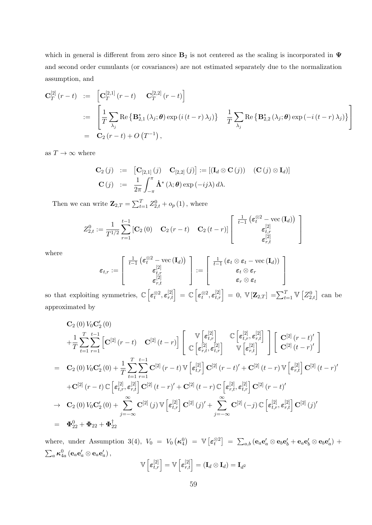which in general is different from zero since  $B_2$  is not centered as the scaling is incorporated in  $\Psi$ and second order cumulants (or covariances) are not estimated separately due to the normalization assumption, and

$$
\mathbf{C}_{T}^{[2]}(r-t) := \begin{bmatrix} \mathbf{C}_{T}^{[2,1]}(r-t) & \mathbf{C}_{T}^{[2,2]}(r-t) \end{bmatrix}
$$
  
 := 
$$
\begin{bmatrix} \frac{1}{T} \sum_{\lambda_{j}} \text{Re} \{ \mathbf{B}_{2,1}^{*}(\lambda_{j}; \boldsymbol{\theta}) \exp(i(t-r) \lambda_{j}) \} & \frac{1}{T} \sum_{\lambda_{j}} \text{Re} \{ \mathbf{B}_{2,2}^{*}(\lambda_{j}; \boldsymbol{\theta}) \exp(-i(t-r) \lambda_{j}) \} \end{bmatrix}
$$
  
 = 
$$
\mathbf{C}_{2}(r-t) + O(T^{-1}),
$$

as  $T\to\infty$  where

$$
\mathbf{C}_{2}(j) := [\mathbf{C}_{[2,1]}(j) \quad \mathbf{C}_{[2,2]}(j)] := [(\mathbf{I}_{d} \otimes \mathbf{C}(j)) \quad (\mathbf{C}(j) \otimes \mathbf{I}_{d})]
$$

$$
\mathbf{C}(j) := \frac{1}{2\pi} \int_{-\pi}^{\pi} \dot{\mathbf{\Lambda}}^{*}(\lambda; \theta) \exp(-ij\lambda) d\lambda.
$$

Then we can write  $\mathbf{Z}_{2,T} = \sum_{t=1}^{T} Z_{2,t}^{0} + o_p(1)$ , where

$$
Z_{2,t}^0 := \frac{1}{T^{1/2}} \sum_{r=1}^{t-1} \left[ \mathbf{C}_2(0) \quad \mathbf{C}_2(r-t) \quad \mathbf{C}_2(t-r) \right] \begin{bmatrix} \frac{1}{t-1} \left( \varepsilon_t^{\otimes 2} - \text{vec} \left( \mathbf{I}_d \right) \right) \\ \varepsilon_{t,r}^{[2]} \\ \varepsilon_{r,t}^{[2]} \end{bmatrix}
$$

where

$$
\varepsilon_{t,r} := \left[\begin{array}{c} \frac{1}{t-1}\left(\boldsymbol{\varepsilon}_{t}^{\otimes2} - \text{vec}\left(\mathbf{I}_{d}\right)\right) \\ \boldsymbol{\varepsilon}_{t,r}^{[2]} \\ \boldsymbol{\varepsilon}_{r,t}^{[2]} \end{array}\right] := \left[\begin{array}{c} \frac{1}{t-1}\left(\boldsymbol{\varepsilon}_{t} \otimes \boldsymbol{\varepsilon}_{t} - \text{vec}\left(\mathbf{I}_{d}\right)\right) \\ \boldsymbol{\varepsilon}_{t} \otimes \boldsymbol{\varepsilon}_{r} \\ \boldsymbol{\varepsilon}_{r} \otimes \boldsymbol{\varepsilon}_{t} \end{array}\right]
$$

1  $\overline{1}$  $\overline{1}$ 

so that exploiting symmetries,  $\mathbb{C}\left[\epsilon_t^{\otimes 2}, \epsilon_{r,t}^{[2]}\right] = \mathbb{C}\left[\epsilon_t^{\otimes 2}, \epsilon_{t,r}^{[2]}\right] = 0, \ \mathbb{V}\left[\mathbf{Z}_{2,T}\right] = \sum_{t=1}^T \mathbb{V}\left[Z_{2,t}^0\right]$  can be approximated by

$$
C_{2}(0) V_{0}C'_{2}(0)
$$
\n
$$
+ \frac{1}{T} \sum_{t=1}^{T} \sum_{r=1}^{t-1} \left[ C^{[2]}(r-t) \right] C^{[2]}(t-r) \right] \left[ \begin{array}{cc} \mathbb{V}\left[\epsilon_{t,r}^{[2]}\right] & \mathbb{C}\left[\epsilon_{t,r}^{[2]},\epsilon_{r,t}^{[2]}\right] \\ \mathbb{C}\left[\epsilon_{r,t}^{[2]},\epsilon_{t,r}^{[2]}\right] & \mathbb{V}\left[\epsilon_{r,t}^{[2]}\right] \end{array} \right] \left[ \begin{array}{c} \mathbf{C}^{[2]}(r-t)' \\ \mathbf{C}^{[2]}(t-r)' \end{array} \right]
$$
\n
$$
= C_{2}(0) V_{0}C'_{2}(0) + \frac{1}{T} \sum_{t=1}^{T} \sum_{r=1}^{t-1} C^{[2]}(r-t) \mathbb{V}\left[\epsilon_{t,r}^{[2]}\right] C^{[2]}(r-t)' + C^{[2]}(t-r) \mathbb{V}\left[\epsilon_{r,t}^{[2]}\right] C^{[2]}(t-r)'
$$
\n
$$
+ C^{[2]}(r-t) \mathbb{C}\left[\epsilon_{t,r}^{[2]},\epsilon_{r,t}^{[2]}\right] C^{[2]}(t-r)' + C^{[2]}(t-r) \mathbb{C}\left[\epsilon_{r,t}^{[2]},\epsilon_{t,r}^{[2]}\right] C^{[2]}(r-t)'
$$
\n
$$
\rightarrow C_{2}(0) V_{0}C'_{2}(0) + \sum_{j=-\infty}^{\infty} C^{[2]}(j) \mathbb{V}\left[\epsilon_{t,r}^{[2]}\right] C^{[2]}(j)' + \sum_{j=-\infty}^{\infty} C^{[2]}(-j) \mathbb{C}\left[\epsilon_{t,r}^{[2]},\epsilon_{r,t}^{[2]}\right] C^{[2]}(j)'
$$
\n
$$
= \Phi_{22}^{0} + \Phi_{22} + \Phi_{22}^{+}
$$

where, under Assumption 3(4),  $V_0 = V_0(\kappa_4^0) = \mathbb{V} \left[ \varepsilon_t^{\otimes 2} \right] = \sum_{a,b} (\mathbf{e}_a \mathbf{e}_a' \otimes \mathbf{e}_b \mathbf{e}_b' + \mathbf{e}_a \mathbf{e}_b' \otimes \mathbf{e}_b \mathbf{e}_a') +$  $\sum_a \boldsymbol{\kappa}^0_{4a}\left(\mathbf{e}_a\mathbf{e}_a'\otimes \mathbf{e}_a\mathbf{e}_a'\right),$ V [2] [2] 2

$$
\mathbb{V}\left[\boldsymbol{\varepsilon}_{t,r}^{[2]}\right]=\mathbb{V}\left[\boldsymbol{\varepsilon}_{r,t}^{[2]}\right]=(\mathbf{I}_d\otimes\mathbf{I}_d)=\mathbf{I}_{d'}
$$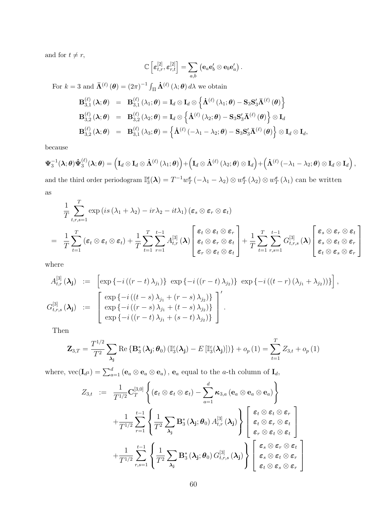and for  $t \neq r$ ,

$$
\mathbb{C}\left[\varepsilon_{t,r}^{[2]},\varepsilon_{r,t}^{[2]}\right]=\sum_{a,b}\left(\mathbf{e}_a\mathbf{e}_b'\otimes\mathbf{e}_b\mathbf{e}_a'\right).
$$

For  $k = 3$  and  $\bar{\mathbf{\Lambda}}^{(\ell)}(\boldsymbol{\theta}) = (2\pi)^{-1} \int_{\Pi} \dot{\mathbf{\Lambda}}^{(\ell)}(\lambda; \boldsymbol{\theta}) d\lambda$  we obtain  $\mathbf{B}_{3,1}^{(\ell)}$  $\overset{(\ell)}{3,1}(\boldsymbol{\lambda};\boldsymbol{\theta})$  =  $\mathbf{B}_{3,1}^{(\ell)}$  $\mathbf{I}_{3,1}^{(\ell)}\left(\lambda_{1};\boldsymbol{\theta}\right)=\mathbf{I}_{d}\otimes\mathbf{I}_{d}\otimes\left\{ \dot{\mathbf{\Lambda}}^{(\ell)}\left(\lambda_{1};\boldsymbol{\theta}\right)-\mathbf{S}_{3}\mathbf{S}_{3}'\mathbf{\bar{\Lambda}}^{(\ell)}\left(\boldsymbol{\theta}\right)\right\}$  $\mathbf{B}_3^{(\ell)}$  $\overset{(\ell)}{3,2}(\boldsymbol{\lambda};\boldsymbol{\theta})$  =  $\mathbf{B}_{3,2}^{(\ell)}$  $\mathbf{I}_{3,2}^{(\ell)}\left(\lambda_{2};\boldsymbol{\theta}\right)=\mathbf{I}_{d}\otimes\left\{ \boldsymbol{\dot{\Lambda}}^{(\ell)}\left(\lambda_{2};\boldsymbol{\theta}\right)-\mathbf{S}_{3}\mathbf{S}_{3}'\bar{\mathbf{\Lambda}}^{(\ell)}\left(\boldsymbol{\theta}\right)\right\} \otimes\mathbf{I}_{d}$  $\mathbf{B}_3^{(\ell)}$  $\overset{(\ell)}{3,2}(\boldsymbol{\lambda};\boldsymbol{\theta})$  =  $\mathbf{B}_{3,1}^{(\ell)}$  $\mathbf{S}_{3,1}^{(\ell)}\left(\lambda_{3};\boldsymbol{\theta}\right)=\left\{ \mathbf{\dot{\Lambda}}^{(\ell)}\left(-\lambda_{1}-\lambda_{2};\boldsymbol{\theta}\right)-\mathbf{S}_{3}\mathbf{S}_{3}'\mathbf{\bar{\Lambda}}^{(\ell)}\left(\boldsymbol{\theta}\right)\right\} \otimes\mathbf{I}_{d}\otimes\mathbf{I}_{d},$ 

because

$$
\boldsymbol{\Psi}_{3}^{-1}(\boldsymbol{\lambda};\boldsymbol{\theta})\dot{\boldsymbol{\Psi}}_{3}^{(\ell)}(\boldsymbol{\lambda};\boldsymbol{\theta})=\left(\mathbf{I}_{d}\otimes\mathbf{I}_{d}\otimes\dot{\boldsymbol{\Lambda}}^{(\ell)}\left(\lambda_{1};\boldsymbol{\theta}\right)\right)+\left(\mathbf{I}_{d}\otimes\dot{\boldsymbol{\Lambda}}^{(\ell)}\left(\lambda_{2};\boldsymbol{\theta}\right)\otimes\mathbf{I}_{d}\right)+\left(\dot{\boldsymbol{\Lambda}}^{(\ell)}\left(-\lambda_{1}-\lambda_{2};\boldsymbol{\theta}\right)\otimes\mathbf{I}_{d}\otimes\mathbf{I}_{d}\right),
$$

and the third order periodogram  $\mathbb{I}_{3}^{\epsilon}(\lambda) = T^{-1}w_{T}^{\epsilon}(-\lambda_{1}-\lambda_{2}) \otimes w_{T}^{\epsilon}(\lambda_{2}) \otimes w_{T}^{\epsilon}(\lambda_{1})$  can be written as

$$
\frac{1}{T} \sum_{t,r,s=1}^{T} \exp\left(is\left(\lambda_1 + \lambda_2\right) - ir\lambda_2 - it\lambda_1\right) \left(\varepsilon_s \otimes \varepsilon_r \otimes \varepsilon_t\right)
$$
\n
$$
= \frac{1}{T} \sum_{t=1}^{T} \left(\varepsilon_t \otimes \varepsilon_t \otimes \varepsilon_t\right) + \frac{1}{T} \sum_{t=1}^{T} \sum_{r=1}^{t-1} A_{t,r}^{[3]} \left(\lambda\right) \left[\begin{array}{c} \varepsilon_t \otimes \varepsilon_t \otimes \varepsilon_r \\ \varepsilon_t \otimes \varepsilon_r \otimes \varepsilon_t \\ \varepsilon_r \otimes \varepsilon_t \otimes \varepsilon_t \end{array}\right] + \frac{1}{T} \sum_{t=1}^{T} \sum_{r,s=1}^{t-1} G_{t,r,s}^{[3]} \left(\lambda\right) \left[\begin{array}{c} \varepsilon_s \otimes \varepsilon_r \otimes \varepsilon_t \\ \varepsilon_s \otimes \varepsilon_t \otimes \varepsilon_r \\ \varepsilon_t \otimes \varepsilon_s \otimes \varepsilon_r \end{array}\right]
$$

where

$$
A_{t,r}^{[3]} (\lambda_j) := \left[ \exp \{-i \left( (r-t) \lambda_{j_1} \right) \} \exp \{-i \left( (r-t) \lambda_{j_2} \right) \} \exp \{-i \left( (t-r) \left( \lambda_{j_1} + \lambda_{j_2} \right) \right) \} \right],
$$
  
\n
$$
G_{t,r,s}^{[3]} (\lambda_j) := \left[ \exp \{-i \left( (r-s) \lambda_{j_1} + (r-s) \lambda_{j_2} \right) \} \right]'
$$
  
\n
$$
\exp \{-i \left( (r-s) \lambda_{j_1} + (t-s) \lambda_{j_2} \right) \} \right].
$$

Then

$$
\mathbf{Z}_{3,T} = \frac{T^{1/2}}{T^2} \sum_{\lambda_j} \text{Re} \left\{ \mathbf{B}_3^* \left( \lambda_j; \boldsymbol{\theta}_0 \right) \left( \mathbb{I}_3^{\varepsilon}(\lambda_j) - E \left[ \mathbb{I}_3^{\varepsilon}(\lambda_j) \right] \right) \right\} + o_p(1) = \sum_{t=1}^T Z_{3,t} + o_p(1)
$$

where,  $\text{vec}(\mathbf{I}_{d^3}) = \sum_{a=1}^d (\mathbf{e}_a \otimes \mathbf{e}_a \otimes \mathbf{e}_a)$ ,  $\mathbf{e}_a$  equal to the *a*-th column of  $\mathbf{I}_d$ ,

$$
Z_{3,t} := \frac{1}{T^{1/2}} \mathbf{C}_{T}^{[3,0]} \left\{ (\boldsymbol{\varepsilon}_{t} \otimes \boldsymbol{\varepsilon}_{t} \otimes \boldsymbol{\varepsilon}_{t}) - \sum_{a=1}^{d} \boldsymbol{\kappa}_{3,a} (\mathbf{e}_{a} \otimes \mathbf{e}_{a} \otimes \mathbf{e}_{a}) \right\}
$$
  
+ 
$$
\frac{1}{T^{1/2}} \sum_{r=1}^{t-1} \left\{ \frac{1}{T^{2}} \sum_{\lambda_{\mathbf{j}}} \mathbf{B}_{3}^{*} (\lambda_{\mathbf{j}}; \boldsymbol{\theta}_{0}) A_{t,r}^{[3]} (\lambda_{\mathbf{j}}) \right\} \left[ \begin{array}{c} \boldsymbol{\varepsilon}_{t} \otimes \boldsymbol{\varepsilon}_{t} \otimes \boldsymbol{\varepsilon}_{r} \\ \boldsymbol{\varepsilon}_{t} \otimes \boldsymbol{\varepsilon}_{r} \otimes \boldsymbol{\varepsilon}_{t} \\ \boldsymbol{\varepsilon}_{r} \otimes \boldsymbol{\varepsilon}_{t} \otimes \boldsymbol{\varepsilon}_{t} \\ \boldsymbol{\varepsilon}_{r} \otimes \boldsymbol{\varepsilon}_{t} \otimes \boldsymbol{\varepsilon}_{t} \end{array} \right]
$$
  
+ 
$$
\frac{1}{T^{1/2}} \sum_{r,s=1}^{t-1} \left\{ \frac{1}{T^{2}} \sum_{\lambda_{\mathbf{j}}} \mathbf{B}_{3}^{*} (\lambda_{\mathbf{j}}; \boldsymbol{\theta}_{0}) G_{t,r,s}^{[3]} (\lambda_{\mathbf{j}}) \right\} \left[ \begin{array}{c} \boldsymbol{\varepsilon}_{s} \otimes \boldsymbol{\varepsilon}_{r} \otimes \boldsymbol{\varepsilon}_{t} \\ \boldsymbol{\varepsilon}_{s} \otimes \boldsymbol{\varepsilon}_{r} \otimes \boldsymbol{\varepsilon}_{r} \\ \boldsymbol{\varepsilon}_{s} \otimes \boldsymbol{\varepsilon}_{t} \otimes \boldsymbol{\varepsilon}_{r} \end{array} \right]
$$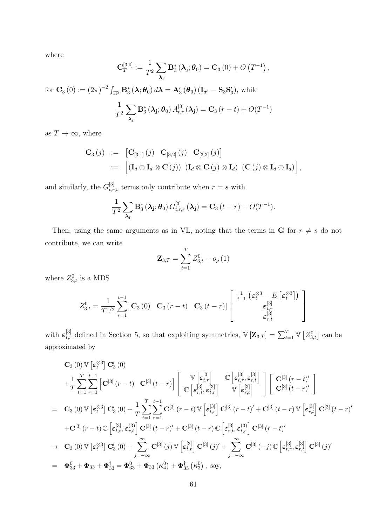where

$$
\mathbf{C}_{T}^{[3,0]} := \frac{1}{T^2} \sum_{\boldsymbol{\lambda}_{\mathbf{j}}} \mathbf{B}_{3}^{*}(\boldsymbol{\lambda}_{\mathbf{j}}; \boldsymbol{\theta}_{0}) = \mathbf{C}_{3}(0) + O\left(T^{-1}\right),
$$

for  $\mathbf{C}_3(0) := (2\pi)^{-2} \int_{\Pi^2} \mathbf{B}_3^* (\lambda; \theta_0) d\lambda = \mathbf{A}_3' (\theta_0) (\mathbf{I}_{d^3} - \mathbf{S}_3 \mathbf{S}_3'),$  while

$$
\frac{1}{T^2} \sum_{\lambda_{\mathbf{j}}} \mathbf{B}_{3}^{*}(\lambda_{\mathbf{j}}; \boldsymbol{\theta}_{0}) A_{t,r}^{[3]}(\lambda_{\mathbf{j}}) = \mathbf{C}_{3}(r-t) + O(T^{-1})
$$

as  $T \to \infty$ , where

$$
\mathbf{C}_{3}(j) := [\mathbf{C}_{[3,1]}(j) \ \mathbf{C}_{[3,2]}(j) \ \mathbf{C}_{[3,3]}(j)]
$$
  
 := 
$$
[(\mathbf{I}_{d} \otimes \mathbf{I}_{d} \otimes \mathbf{C}(j)) \ (\mathbf{I}_{d} \otimes \mathbf{C}(j) \otimes \mathbf{I}_{d}) \ (\mathbf{C}(j) \otimes \mathbf{I}_{d} \otimes \mathbf{I}_{d})],
$$

and similarly, the  $G_{t,r,s}^{[3]}$  terms only contribute when  $r = s$  with

$$
\frac{1}{T^2} \sum_{\lambda_{\mathbf{j}}} \mathbf{B}_{3}^{*}(\lambda_{\mathbf{j}}; \boldsymbol{\theta}_{0}) G_{t,r,r}^{[3]}(\lambda_{\mathbf{j}}) = \mathbf{C}_{3} (t-r) + O(T^{-1}).
$$

Then, using the same arguments as in VL, noting that the terms in **G** for  $r \neq s$  do not contribute, we can write

$$
\mathbf{Z}_{3,T} = \sum_{t=1}^{T} Z_{3,t}^{0} + o_{p}(1)
$$

where  $Z_{3,t}^0$  is a MDS

$$
Z_{3,t}^{0} = \frac{1}{T^{1/2}} \sum_{r=1}^{t-1} \left[ \mathbf{C}_{3} \left( 0 \right) \quad \mathbf{C}_{3} \left( r-t \right) \quad \mathbf{C}_{3} \left( t-r \right) \right] \left[ \begin{array}{c} \frac{1}{t-1} \left( \boldsymbol{\varepsilon}_{t}^{\otimes 3} - E \left[ \boldsymbol{\varepsilon}_{t}^{\otimes 3} \right] \right) \\ \boldsymbol{\varepsilon}_{t,r}^{[3]} \\ \boldsymbol{\varepsilon}_{r,t}^{[3]} \end{array} \right]
$$

with  $\varepsilon_{t,r}^{[3]}$  defined in Section 5, so that exploiting symmetries,  $\mathbb{V}[\mathbf{Z}_{3,T}] = \sum_{t=1}^{T} \mathbb{V}[Z_{3,t}^0]$  can be approximated by

$$
C_{3}(0) \mathbb{V} \left[\epsilon_{t}^{\otimes 3}\right] C'_{3}(0)
$$
\n
$$
+ \frac{1}{T} \sum_{t=1}^{T} \sum_{r=1}^{t-1} \left[C^{[3]}(r-t) \ C^{[3]}(t-r)\right] \left[\begin{array}{cc} \mathbb{V} \left[\epsilon_{t,r}^{[3]}\right] & \mathbb{C} \left[\epsilon_{t,r}^{[3]}, \epsilon_{r,t}^{[3]}\right] \\ \mathbb{C} \left[\epsilon_{r,t}^{[3]}, \epsilon_{t,r}^{[3]}\right] & \mathbb{V} \left[\epsilon_{r,t}^{[3]}\right] \end{array}\right] \left[\begin{array}{c} C^{[3]}(r-t)' \\ C^{[3]}(t-r)' \end{array}\right]
$$
\n
$$
= C_{3}(0) \mathbb{V} \left[\epsilon_{t}^{\otimes 3}\right] C'_{3}(0) + \frac{1}{T} \sum_{t=1}^{T} \sum_{r=1}^{t-1} C^{[3]}(r-t) \mathbb{V} \left[\epsilon_{t,r}^{[3]}\right] C^{[3]}(r-t)' + C^{[3]}(t-r) \mathbb{V} \left[\epsilon_{r,t}^{[3]}\right] C^{[3]}(t-r)'
$$
\n
$$
+ C^{[3]}(r-t) \mathbb{C} \left[\epsilon_{t,r}^{[3]}, \epsilon_{r,t}^{(3)}\right] C^{[3]}(t-r)' + C^{[3]}(t-r) \mathbb{C} \left[\epsilon_{r,t}^{[3]}, \epsilon_{t,r}^{(3)}\right] C^{[3]}(r-t)'
$$
\n
$$
\rightarrow C_{3}(0) \mathbb{V} \left[\epsilon_{t}^{\otimes 3}\right] C'_{3}(0) + \sum_{j=-\infty}^{\infty} C^{[3]}(j) \mathbb{V} \left[\epsilon_{t,r}^{[3]}\right] C^{[3]}(j)' + \sum_{j=-\infty}^{\infty} C^{[3]}(-j) \mathbb{C} \left[\epsilon_{t,r}^{[3]}, \epsilon_{r,t}^{[3]}\right] C^{[3]}(j)'
$$
\n
$$
= \Phi_{33}^{0} + \Phi_{33} + \Phi_{33}^{+} = \Phi_{33}^{0} + \Phi_{33}(K_{4}^{0}) + \Phi_{33}^{+}(K_{3}^{0}), \text
$$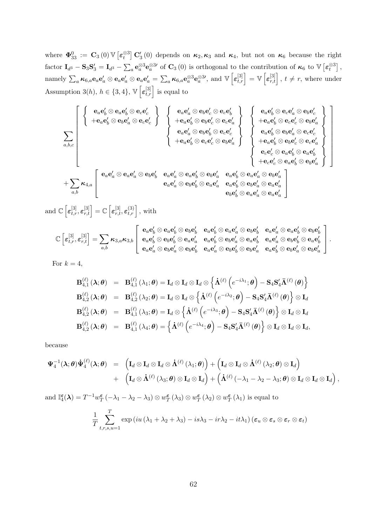where  $\mathbf{\Phi}^0_{33} := \mathbf{C}_3(0) \mathbb{V} \left[ \boldsymbol{\varepsilon}_t^{\otimes 3} \right] \mathbf{C}'_3(0)$  depends on  $\boldsymbol{\kappa}_2, \boldsymbol{\kappa}_3$  and  $\boldsymbol{\kappa}_4$ , but not on  $\boldsymbol{\kappa}_6$  because the right factor  $I_{d^3} - S_3 S'_3 = I_{d^3} - \sum_a e_a^{\otimes 3} e_a^{\otimes 3}$  of  $C_3(0)$  is orthogonal to the contribution of  $\kappa_6$  to  $\mathbb{V}\left[\varepsilon_t^{\otimes 3}\right]$ , namely  $\sum_a \kappa_{6,a} \mathbf{e}_a \mathbf{e}_a' \otimes \mathbf{e}_a \mathbf{e}_a' = \sum_a \kappa_{6,a} \mathbf{e}_a^{\otimes 3} \mathbf{e}_a^{\otimes 3}$ , and  $\mathbb{V} \left[ \varepsilon_{t,r}^{[3]} \right] = \mathbb{V} \left[ \varepsilon_{r,t}^{[3]} \right], t \neq r$ , where under Assumption 3(h),  $h \in \{3, 4\}$ ,  $\mathbb{V}\left[\varepsilon_{t,r}^{[3]}\right]$  is equal to

$$
\sum_{a,b,c} \left[\begin{array}{c} \left\{\begin{array}{c} {\bf e}_a{\bf e}_b'\otimes {\bf e}_a{\bf e}_c' \\\ \left\{\begin{array}{c} +{\bf e}_a{\bf e}_b'\otimes {\bf e}_b{\bf e}_c' \\\ \end{array}\right\}\end{array}\right\}\right. \left\{\begin{array}{c} {\bf e}_a{\bf e}_a'\otimes {\bf e}_b{\bf e}_c' \otimes {\bf e}_c{\bf e}_a' \\\ \left\{\begin{array}{c} +{\bf e}_a{\bf e}_b'\otimes {\bf e}_b{\bf e}_c' \\\ \end{array}\right\}\end{array}\right\}\right. \left\{\begin{array}{c} {\bf e}_a{\bf e}_a'\otimes {\bf e}_b{\bf e}_c' \\\ \left\{\begin{array}{c} +{\bf e}_a{\bf e}_b'\otimes {\bf e}_c{\bf e}_c' \\\ \end{array}\right\}\end{array}\right\}\right. \left\{\begin{array}{c} {\bf e}_a{\bf e}_b'\otimes {\bf e}_c{\bf e}_a' \\\ \left\{\begin{array}{c} +{\bf e}_a{\bf e}_b'\otimes {\bf e}_c{\bf e}_c' \\\ \end{array}\right\}\end{array}\right\}}_{\left\{\begin{array}{c} {\bf e}_a{\bf e}_b'\otimes {\bf e}_c{\bf e}_c' \\\ \end{array}\right\}\end{array}\right.
$$

1  $\overline{1}$  $\overline{1}$  $\overline{1}$  $\overline{1}$  $\overline{1}$  $\overline{1}$  $\overline{1}$  $\overline{1}$  $\overline{1}$  $\overline{\phantom{a}}$ 

and  $\mathbb{C}\left[\varepsilon_{t,r}^{[3]},\varepsilon_{r,t}^{[3]}\right]=\mathbb{C}\left[\varepsilon_{r,t}^{[3]},\varepsilon_{t,r}^{(3)}\right],$  with

$$
\mathbb{C}\left[\varepsilon_{t,r}^{[3]},\varepsilon_{r,t}^{[3]}\right]=\sum_{a,b}\kappa_{3,a}\kappa_{3,b}\left[\begin{array}{ccc} \mathbf{e}_{a}\mathbf{e}'_{b}\otimes\mathbf{e}_{a}\mathbf{e}'_{b}\otimes\mathbf{e}_{b}\mathbf{e}'_{b}&\mathbf{e}_{a}\mathbf{e}'_{b}\otimes\mathbf{e}_{a}\mathbf{e}'_{a}\otimes\mathbf{e}_{b}\mathbf{e}'_{b}&\mathbf{e}_{a}\mathbf{e}'_{a}\otimes\mathbf{e}_{a}\mathbf{e}'_{b}\otimes\mathbf{e}_{b}\mathbf{e}'_{b}\\ \mathbf{e}_{a}\mathbf{e}'_{b}\otimes\mathbf{e}_{b}\mathbf{e}'_{b}\otimes\mathbf{e}_{a}\mathbf{e}'_{a}&\mathbf{e}_{a}\mathbf{e}'_{b}\otimes\mathbf{e}_{b}\mathbf{e}'_{a}\otimes\mathbf{e}_{a}\mathbf{e}'_{b}&\mathbf{e}_{a}\mathbf{e}'_{a}\otimes\mathbf{e}_{b}\mathbf{e}'_{b}\otimes\mathbf{e}_{a}\mathbf{e}'_{b}\end{array}\right].
$$

For  $k = 4$ ,

$$
\begin{array}{rcl}\mathbf{B}_{4,1}^{(\ell)}\left(\lambda;\theta\right) & = & \mathbf{B}_{4,1}^{(\ell)}\left(\lambda_{1};\theta\right)=\mathbf{I}_{d}\otimes\mathbf{I}_{d}\otimes\left\{\dot{\mathbf{\Lambda}}^{(\ell)}\left(e^{-i\lambda_{1}};\theta\right)-\mathbf{S}_{4}\mathbf{S}_{4}'\bar{\mathbf{\Lambda}}^{(\ell)}\left(\theta\right)\right\} \\
\mathbf{B}_{4,2}^{(\ell)}\left(\lambda;\theta\right) & = & \mathbf{B}_{4,2}^{(\ell)}\left(\lambda_{2};\theta\right)=\mathbf{I}_{d}\otimes\mathbf{I}_{d}\otimes\left\{\dot{\mathbf{\Lambda}}^{(\ell)}\left(e^{-i\lambda_{2}};\theta\right)-\mathbf{S}_{4}\mathbf{S}_{4}'\bar{\mathbf{\Lambda}}^{(\ell)}\left(\theta\right)\right\}\otimes\mathbf{I}_{d} \\
\mathbf{B}_{4,2}^{(\ell)}\left(\lambda;\theta\right) & = & \mathbf{B}_{4,1}^{(\ell)}\left(\lambda_{3};\theta\right)=\mathbf{I}_{d}\otimes\left\{\dot{\mathbf{\Lambda}}^{(\ell)}\left(e^{-i\lambda_{3}};\theta\right)-\mathbf{S}_{4}\mathbf{S}_{4}'\bar{\mathbf{\Lambda}}^{(\ell)}\left(\theta\right)\right\}\otimes\mathbf{I}_{d}\otimes\mathbf{I}_{d} \\
\mathbf{B}_{4,2}^{(\ell)}\left(\lambda;\theta\right) & = & \mathbf{B}_{4,1}^{(\ell)}\left(\lambda_{4};\theta\right)=\left\{\dot{\mathbf{\Lambda}}^{(\ell)}\left(e^{-i\lambda_{4}};\theta\right)-\mathbf{S}_{4}\mathbf{S}_{4}'\bar{\mathbf{\Lambda}}^{(\ell)}\left(\theta\right)\right\}\otimes\mathbf{I}_{d}\otimes\mathbf{I}_{d}, \\
\end{array}
$$

because

$$
\begin{array}{rcl}\Psi^{-1}_4(\boldsymbol{\lambda};\boldsymbol{\theta})\dot{\Psi}^{(\ell)}_4(\boldsymbol{\lambda};\boldsymbol{\theta})&=&\left(\mathbf{I}_d\otimes\mathbf{I}_d\otimes\dot{\boldsymbol{\Lambda}}^{(\ell)}\left(\lambda_1;\boldsymbol{\theta}\right)\right)+\left(\mathbf{I}_d\otimes\mathbf{I}_d\otimes\dot{\boldsymbol{\Lambda}}^{(\ell)}\left(\lambda_2;\boldsymbol{\theta}\right)\otimes\mathbf{I}_d\right)\\&+&\left(\mathbf{I}_d\otimes\dot{\boldsymbol{\Lambda}}^{(\ell)}\left(\lambda_3;\boldsymbol{\theta}\right)\otimes\mathbf{I}_d\otimes\mathbf{I}_d\right)+\left(\dot{\boldsymbol{\Lambda}}^{(\ell)}\left(-\lambda_1-\lambda_2-\lambda_3;\boldsymbol{\theta}\right)\otimes\mathbf{I}_d\otimes\mathbf{I}_d\right),\end{array}
$$

and  $\mathbb{I}_{4}^{\epsilon}(\lambda) = T^{-1}w_{T}^{\epsilon}(-\lambda_{1}-\lambda_{2}-\lambda_{3}) \otimes w_{T}^{\epsilon}(\lambda_{3}) \otimes w_{T}^{\epsilon}(\lambda_{2}) \otimes w_{T}^{\epsilon}(\lambda_{1})$  is equal to

$$
\frac{1}{T} \sum_{t,r,s,u=1}^{T} \exp\left(iu\left(\lambda_1 + \lambda_2 + \lambda_3\right) - is\lambda_3 - ir\lambda_2 - it\lambda_1\right) \left(\varepsilon_u \otimes \varepsilon_s \otimes \varepsilon_r \otimes \varepsilon_t\right)
$$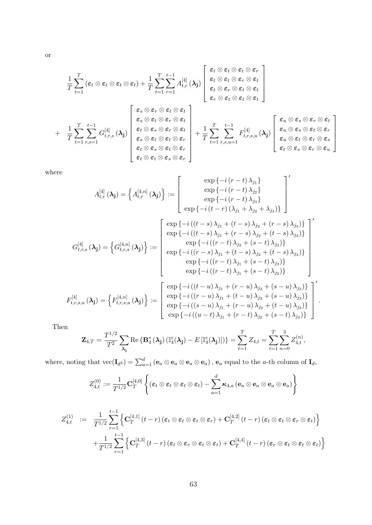$$
\frac{1}{T} \sum_{t=1}^{T} (\varepsilon_t \otimes \varepsilon_t \otimes \varepsilon_t \otimes \varepsilon_t) + \frac{1}{T} \sum_{t=1}^{T} \sum_{r=1}^{t-1} A_{t,r}^{[4]} (\lambda_j) \begin{bmatrix} \varepsilon_t \otimes \varepsilon_t \otimes \varepsilon_t \otimes \varepsilon_r \\ \varepsilon_t \otimes \varepsilon_t \otimes \varepsilon_r \otimes \varepsilon_t \\ \varepsilon_t \otimes \varepsilon_r \otimes \varepsilon_t \otimes \varepsilon_t \\ \varepsilon_r \otimes \varepsilon_t \otimes \varepsilon_t \otimes \varepsilon_t \end{bmatrix}
$$
\n
$$
+ \frac{1}{T} \sum_{t=1}^{T} \sum_{r,s=1}^{t-1} G_{t,r,s}^{[4]} (\lambda_j) \begin{bmatrix} \varepsilon_s \otimes \varepsilon_r \otimes \varepsilon_t \\ \varepsilon_s \otimes \varepsilon_t \otimes \varepsilon_r \otimes \varepsilon_t \\ \varepsilon_t \otimes \varepsilon_s \otimes \varepsilon_r \otimes \varepsilon_t \\ \varepsilon_t \otimes \varepsilon_s \otimes \varepsilon_t \otimes \varepsilon_r \\ \varepsilon_t \otimes \varepsilon_t \otimes \varepsilon_t \otimes \varepsilon_r \end{bmatrix} + \frac{1}{T} \sum_{t=1}^{T} \sum_{r,s,u=1}^{t-1} F_{t,r,s,u}^{[4]} (\lambda_j) \begin{bmatrix} \varepsilon_u \otimes \varepsilon_s \otimes \varepsilon_r \otimes \varepsilon_t \\ \varepsilon_u \otimes \varepsilon_s \otimes \varepsilon_t \otimes \varepsilon_r \\ \varepsilon_u \otimes \varepsilon_t \otimes \varepsilon_r \otimes \varepsilon_s \\ \varepsilon_t \otimes \varepsilon_t \otimes \varepsilon_r \otimes \varepsilon_s \\ \varepsilon_t \otimes \varepsilon_s \otimes \varepsilon_r \otimes \varepsilon_r \end{bmatrix}
$$

where

$$
A_{t,r}^{[4]} (\lambda_{\mathbf{j}}) = \begin{Bmatrix} A_{t,r}^{[4,n]} (\lambda_{\mathbf{j}}) \end{Bmatrix} := \begin{bmatrix} \exp \{-i (r - t) \lambda_{j_1}\} \\ \exp \{-i (r - t) \lambda_{j_2}\} \\ \exp \{-i (r - t) \lambda_{j_3}\} \end{bmatrix} \end{bmatrix}
$$

$$
G_{t,r,s}^{[4]} (\lambda_{\mathbf{j}}) = \begin{Bmatrix} \exp \{-i (r - t) \lambda_{j_1}\} \\ \exp \{-i (r - t) \lambda_{j_1} + \lambda_{j_2} + \lambda_{j_3}\} \end{Bmatrix} \end{bmatrix}
$$

$$
G_{t,r,s}^{[4]} (\lambda_{\mathbf{j}}) = \begin{Bmatrix} \exp \{-i ((t - s) \lambda_{j_1} + (t - s) \lambda_{j_2} + (r - s) \lambda_{j_3})\} \\ \exp \{-i ((t - s) \lambda_{j_1} + (r - s) \lambda_{j_2} + (t - s) \lambda_{j_3})\} \\ \exp \{-i ((r - t) \lambda_{j_2} + (s - t) \lambda_{j_3})\} \\ \exp \{-i ((r - t) \lambda_{j_1} + (s - t) \lambda_{j_3})\} \\ \exp \{-i ((r - t) \lambda_{j_1} + (s - t) \lambda_{j_2})\} \end{Bmatrix}
$$

$$
F_{t,r,s,u}^{[4]} (\lambda_{\mathbf{j}}) = \begin{Bmatrix} \exp \{-i ((t - u) \lambda_{j_1} + (r - u) \lambda_{j_2} + (s - u) \lambda_{j_3})\} \\ \exp \{-i ((r - u) \lambda_{j_1} + (r - u) \lambda_{j_2} + (s - u) \lambda_{j_3})\} \\ \exp \{-i ((s - u) \lambda_{j_1} + (r - u) \lambda_{j_2} + (s - u) \lambda_{j_3})\} \\ \exp \{-i ((u - t) \lambda_{j_1} + (r - t) \lambda_{j_2} + (s - t) \lambda_{j_3})\} \\ \exp \{-i ((u - t) \lambda_{j_1} + (r - t) \lambda_{j_2} + (s - t) \lambda_{j_3})\} \end{Bmatrix}.
$$

Then

$$
\mathbf{Z}_{4,T} = \frac{T^{1/2}}{T^2} \sum_{\lambda_{\mathbf{j}}} \mathrm{Re}\left\{ \mathbf{B}_4^*(\lambda_{\mathbf{j}}) \left( \mathbb{I}_4^{\varepsilon}(\lambda_{\mathbf{j}}) - E\left[ \mathbb{I}_4^{\varepsilon}(\lambda_{\mathbf{j}}) \right] \right) \right\} = \sum_{t=1}^T Z_{4,t} = \sum_{t=1}^T \sum_{n=0}^3 Z_{4,t}^{(n)},
$$

where, noting that  $\text{vec}(\mathbf{I}_{d^4}) = \sum_{a=1}^d (\mathbf{e}_a \otimes \mathbf{e}_a \otimes \mathbf{e}_a \otimes \mathbf{e}_a)$ ,  $\mathbf{e}_a$  equal to the *a*-th column of  $\mathbf{I}_d$ ,

$$
Z_{4,t}^{(0)}:=\frac{1}{T^{1/2}}\mathbf{C}_{T}^{[4,0]}\left\{(\boldsymbol{\varepsilon}_t\otimes\boldsymbol{\varepsilon}_t\otimes\boldsymbol{\varepsilon}_t\otimes\boldsymbol{\varepsilon}_t)-\sum_{a=1}^d\boldsymbol{\kappa}_{4,a}\left(\mathbf{e}_a\otimes\mathbf{e}_a\otimes\mathbf{e}_a\otimes\mathbf{e}_a\right)\right\}
$$

$$
Z_{4,t}^{(1)} := \frac{1}{T^{1/2}} \sum_{r=1}^{t-1} \left\{ \mathbf{C}_{T}^{[4,1]}(t-r) \left( \boldsymbol{\varepsilon}_{t} \otimes \boldsymbol{\varepsilon}_{t} \otimes \boldsymbol{\varepsilon}_{t} \otimes \boldsymbol{\varepsilon}_{r} \right) + \mathbf{C}_{T}^{[4,2]}(t-r) \left( \boldsymbol{\varepsilon}_{t} \otimes \boldsymbol{\varepsilon}_{t} \otimes \boldsymbol{\varepsilon}_{r} \otimes \boldsymbol{\varepsilon}_{t} \right) \right\} + \frac{1}{T^{1/2}} \sum_{r=1}^{t-1} \left\{ \mathbf{C}_{T}^{[4,3]}(t-r) \left( \boldsymbol{\varepsilon}_{t} \otimes \boldsymbol{\varepsilon}_{r} \otimes \boldsymbol{\varepsilon}_{t} \otimes \boldsymbol{\varepsilon}_{t} \right) + \mathbf{C}_{T}^{[4,4]}(t-r) \left( \boldsymbol{\varepsilon}_{r} \otimes \boldsymbol{\varepsilon}_{t} \otimes \boldsymbol{\varepsilon}_{t} \otimes \boldsymbol{\varepsilon}_{t} \right) \right\}
$$

or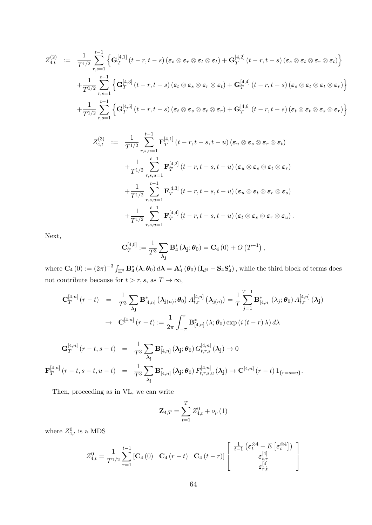$$
Z_{4,t}^{(2)} := \frac{1}{T^{1/2}} \sum_{r,s=1}^{t-1} \left\{ \mathbf{G}_T^{[4,1]}(t-r,t-s) \left( \varepsilon_s \otimes \varepsilon_r \otimes \varepsilon_t \otimes \varepsilon_t \right) + \mathbf{G}_T^{[4,2]}(t-r,t-s) \left( \varepsilon_s \otimes \varepsilon_t \otimes \varepsilon_t \otimes \varepsilon_t \right) \right\}
$$
  
+ 
$$
\frac{1}{T^{1/2}} \sum_{r,s=1}^{t-1} \left\{ \mathbf{G}_T^{[4,3]}(t-r,t-s) \left( \varepsilon_t \otimes \varepsilon_s \otimes \varepsilon_r \otimes \varepsilon_t \right) + \mathbf{G}_T^{[4,4]}(t-r,t-s) \left( \varepsilon_s \otimes \varepsilon_t \otimes \varepsilon_t \otimes \varepsilon_r \right) \right\}
$$
  
+ 
$$
\frac{1}{T^{1/2}} \sum_{r,s=1}^{t-1} \left\{ \mathbf{G}_T^{[4,5]}(t-r,t-s) \left( \varepsilon_t \otimes \varepsilon_s \otimes \varepsilon_t \otimes \varepsilon_r \right) + \mathbf{G}_T^{[4,6]}(t-r,t-s) \left( \varepsilon_t \otimes \varepsilon_t \otimes \varepsilon_s \otimes \varepsilon_r \right) \right\}
$$

$$
Z_{4,t}^{(3)} := \frac{1}{T^{1/2}} \sum_{r,s,u=1}^{t-1} \mathbf{F}_T^{[4,1]}(t-r,t-s,t-u) \left(\varepsilon_u \otimes \varepsilon_s \otimes \varepsilon_r \otimes \varepsilon_t\right)
$$
  
+ 
$$
\frac{1}{T^{1/2}} \sum_{r,s,u=1}^{t-1} \mathbf{F}_T^{[4,2]}(t-r,t-s,t-u) \left(\varepsilon_u \otimes \varepsilon_s \otimes \varepsilon_t \otimes \varepsilon_r\right)
$$
  
+ 
$$
\frac{1}{T^{1/2}} \sum_{r,s,u=1}^{t-1} \mathbf{F}_T^{[4,3]}(t-r,t-s,t-u) \left(\varepsilon_u \otimes \varepsilon_t \otimes \varepsilon_r \otimes \varepsilon_s\right)
$$
  
+ 
$$
\frac{1}{T^{1/2}} \sum_{r,s,u=1}^{t-1} \mathbf{F}_T^{[4,4]}(t-r,t-s,t-u) \left(\varepsilon_t \otimes \varepsilon_s \otimes \varepsilon_r \otimes \varepsilon_u\right).
$$

Next,

$$
\mathbf{C}_{T}^{[4,0]} := \frac{1}{T^3} \sum_{\lambda_{\mathbf{j}}} \mathbf{B}_{4}^{*}(\lambda_{\mathbf{j}}; \theta_{0}) = \mathbf{C}_{4}(0) + O\left(T^{-1}\right),
$$

where  $\mathbf{C}_4(0) := (2\pi)^{-3} \int_{\Pi^3} \mathbf{B}_4^* (\lambda; \theta_0) d\lambda = \mathbf{A}_4' (\theta_0) (\mathbf{I}_{d^4} - \mathbf{S}_4 \mathbf{S}_4')$ , while the third block of terms does not contribute because for  $t > r, s$ , as  $T \to \infty$ ,

$$
\mathbf{C}_{T}^{[4,n]}(r-t) = \frac{1}{T^{3}} \sum_{\lambda_{\mathbf{j}}} \mathbf{B}_{[4,n]}^{*}(\lambda_{\mathbf{j}(n)}; \theta_{0}) A_{t,r}^{[4,n]}(\lambda_{\mathbf{j}(n)}) = \frac{1}{T} \sum_{j=1}^{T-1} \mathbf{B}_{[4,n]}^{*}(\lambda_{j}; \theta_{0}) A_{t,r}^{[4,n]}(\lambda_{\mathbf{j}})
$$
  
\n
$$
\rightarrow \mathbf{C}^{[4,n]}(r-t) := \frac{1}{2\pi} \int_{-\pi}^{\pi} \mathbf{B}_{[4,n]}^{*}(\lambda; \theta_{0}) \exp(i(t-r)\lambda) d\lambda
$$
  
\n
$$
\mathbf{G}_{T}^{[4,n]}(r-t,s-t) = \frac{1}{T^{3}} \sum_{\lambda_{\mathbf{j}}} \mathbf{B}_{[4,n]}^{*}(\lambda_{\mathbf{j}}; \theta_{0}) G_{t,r,s}^{[4,n]}(\lambda_{\mathbf{j}}) \rightarrow 0
$$
  
\n
$$
\mathbf{F}_{T}^{[4,n]}(r-t,s-t,u-t) = \frac{1}{T^{3}} \sum_{\lambda_{\mathbf{j}}} \mathbf{B}_{[4,n]}^{*}(\lambda_{\mathbf{j}}; \theta_{0}) F_{t,r,s,u}^{[4,n]}(\lambda_{\mathbf{j}}) \rightarrow \mathbf{C}^{[4,n]}(r-t) 1_{\{r=s-u\}}.
$$

Then, proceeding as in VL, we can write

 $\lambda_{\rm j}$ 

$$
\mathbf{Z}_{4,T} = \sum_{t=1}^{T} Z_{4,t}^{0} + o_{p}(1)
$$

where  $Z_{4,t}^0$  is a MDS

$$
Z_{4,t}^{0} = \frac{1}{T^{1/2}} \sum_{r=1}^{t-1} \begin{bmatrix} \mathbf{C}_4(0) & \mathbf{C}_4(r-t) & \mathbf{C}_4(t-r) \end{bmatrix} \begin{bmatrix} \frac{1}{t-1} \left( \boldsymbol{\varepsilon}_t^{\otimes 4} - E\left[ \boldsymbol{\varepsilon}_t^{\otimes 4} \right] \right) \\ \boldsymbol{\varepsilon}_{t,r}^{[4]} \\ \boldsymbol{\varepsilon}_{r,t}^{[4]} \end{bmatrix}
$$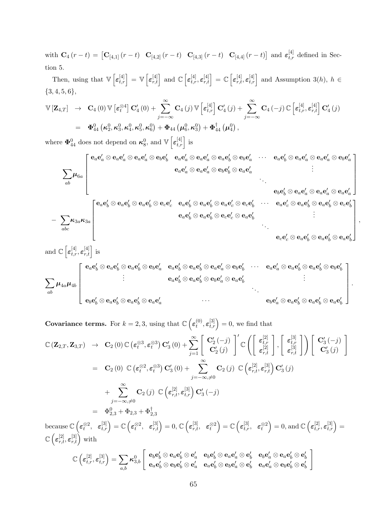with  $\mathbf{C}_4(r-t) = \begin{bmatrix} \mathbf{C}_{[4,1]}(r-t) & \mathbf{C}_{[4,2]}(r-t) & \mathbf{C}_{[4,3]}(r-t) & \mathbf{C}_{[4,4]}(r-t) \end{bmatrix}$  and  $\varepsilon_{t,r}^{[4]}$  defined in Section 5.

Then, using that  $\mathbb{V}\left[\varepsilon_{t,r}^{[4]}\right] = \mathbb{V}\left[\varepsilon_{r,t}^{[4]}\right]$  and  $\mathbb{C}\left[\varepsilon_{t,r}^{[4]},\varepsilon_{r,t}^{[4]}\right] = \mathbb{C}\left[\varepsilon_{r,t}^{[4]},\varepsilon_{t,r}^{[4]}\right]$  and Assumption 3(h),  $h \in$  ${3, 4, 5, 6},$ 

$$
\mathbb{V}\left[\mathbf{Z}_{4,T}\right] \rightarrow \mathbf{C}_{4}(0) \mathbb{V}\left[\boldsymbol{\varepsilon}_{t}^{\otimes 4}\right] \mathbf{C}'_{4}(0) + \sum_{j=-\infty}^{\infty} \mathbf{C}_{4}(j) \mathbb{V}\left[\boldsymbol{\varepsilon}_{t,r}^{[4]}\right] \mathbf{C}'_{4}(j) + \sum_{j=-\infty}^{\infty} \mathbf{C}_{4}(-j) \mathbb{C}\left[\boldsymbol{\varepsilon}_{t,r}^{[4]}, \boldsymbol{\varepsilon}_{r,t}^{[4]}\right] \mathbf{C}'_{4}(j) \n= \boldsymbol{\Phi}_{44}^{0} \left(\boldsymbol{\kappa}_{2}^{0}, \boldsymbol{\kappa}_{3}^{0}, \boldsymbol{\kappa}_{4}^{0}, \boldsymbol{\kappa}_{5}^{0}\right) + \boldsymbol{\Phi}_{44} \left(\boldsymbol{\mu}_{6}^{0}, \boldsymbol{\kappa}_{3}^{0}\right) + \boldsymbol{\Phi}_{44}^{\dagger} \left(\boldsymbol{\mu}_{4}^{0}\right),
$$

where  $\mathbf{\Phi}_{44}^0$  does not depend on  $\kappa_8^0$ , and  $\mathbb{V}\left[\varepsilon_{t,r}^{[4]}\right]$  is

0 0 0 0 0 0 0 0 0 0 0 0 eae <sup>a</sup> ⊗ eae <sup>a</sup> ⊗ eae <sup>a</sup> ⊗ ebe eae <sup>a</sup> ⊗ eae <sup>a</sup> ⊗ eae <sup>b</sup> ⊗ ebe · · · eae <sup>b</sup> ⊗ eae <sup>a</sup> ⊗ eae <sup>a</sup> ⊗ ebe b a a . . 0 0 0 0 eae <sup>a</sup> ⊗ eae <sup>a</sup> ⊗ ebe <sup>b</sup> ⊗ eae . X a µ6<sup>a</sup> . . . ab 0 0 0 0 ebe <sup>b</sup> ⊗ eae <sup>a</sup> ⊗ eae <sup>a</sup> ⊗ eae a 0 0 0 0 0 0 0 0 0 0 0 0 eae <sup>b</sup> ⊗ eae <sup>b</sup> ⊗ eae <sup>b</sup> ⊗ ece <sup>c</sup> eae <sup>b</sup> ⊗ eae <sup>b</sup> ⊗ eae <sup>c</sup> ⊗ ece · · · eae <sup>c</sup> ⊗ eae <sup>b</sup> ⊗ eae <sup>b</sup> ⊗ ece b b . . 0 0 0 0 eae <sup>b</sup> ⊗ eae <sup>b</sup> ⊗ ece <sup>c</sup> ⊗ eae . X b − κ3aκ3<sup>a</sup> . . . abc ece 0 <sup>c</sup> ⊗ eae 0 <sup>b</sup> ⊗ eae 0 <sup>b</sup> ⊗ eae 0 b 

,

.

$$
\sum_{ab} \mu_{4a} \mu_{4b} \begin{bmatrix} \mathbf{e}_a[\mathbf{e}_b^{[4]}, \mathbf{e}_{r,t}^{[4]}] \text{ is} \\ \begin{bmatrix} \mathbf{e}_a\mathbf{e}_b^{l} \otimes \mathbf{e}_a\mathbf{e}_b^{l} \otimes \mathbf{e}_a\mathbf{e}_b^{l} \otimes \mathbf{e}_b\mathbf{e}_a^{l} & \mathbf{e}_a\mathbf{e}_b^{l} \otimes \mathbf{e}_a\mathbf{e}_b^{l} \otimes \mathbf{e}_a\mathbf{e}_a^{l} \otimes \mathbf{e}_b\mathbf{e}_b^{l} & \cdots & \mathbf{e}_a\mathbf{e}_a^{l} \otimes \mathbf{e}_a\mathbf{e}_b^{l} \otimes \mathbf{e}_a\mathbf{e}_b^{l} \otimes \mathbf{e}_b\mathbf{e}_b^{l} \\ \vdots & \vdots & \vdots & \ddots & \vdots \\ \mathbf{e}_b\mathbf{e}_b^{l} \otimes \mathbf{e}_a\mathbf{e}_b^{l} \otimes \mathbf{e}_a\mathbf{e}_b^{l} \otimes \mathbf{e}_a\mathbf{e}_a^{l} & \cdots & \mathbf{e}_b\mathbf{e}_a^{l} \otimes \mathbf{e}_a\mathbf{e}_b^{l} \otimes \mathbf{e}_a\mathbf{e}_b^{l} \otimes \mathbf{e}_a\mathbf{e}_b^{l} \end{bmatrix} \end{bmatrix}
$$

**Covariance terms.** For  $k = 2, 3$ , using that  $\mathbb{C} \left( \epsilon_t^{(0)} \right)$  $t^{(0)}_t, \varepsilon^{[3]}_{t,r}$  = 0, we find that

$$
\mathbb{C}(\mathbf{Z}_{2,T}, \mathbf{Z}_{3,T}) \rightarrow \mathbf{C}_2(0) \mathbb{C}(\epsilon_t^{\otimes 3}, \epsilon_t^{\otimes 3}) \mathbf{C}'_3(0) + \sum_{j=1}^{\infty} \left[ \begin{array}{c} \mathbf{C}'_2(-j) \\ \mathbf{C}'_2(j) \end{array} \right]' \mathbb{C} \left( \left[ \begin{array}{c} \epsilon_{t,r}^{[2]} \\ \epsilon_{r,t}^{[2]} \end{array} \right], \left[ \begin{array}{c} \epsilon_{t,r}^{[3]} \\ \epsilon_{r,t}^{[3]} \end{array} \right] \right) \left[ \begin{array}{c} \mathbf{C}'_3(-j) \\ \mathbf{C}'_3(j) \end{array} \right]
$$
  
\n
$$
= \mathbf{C}_2(0) \mathbb{C}(\epsilon_t^{\otimes 2}, \epsilon_t^{\otimes 3}) \mathbf{C}'_3(0) + \sum_{j=-\infty, \neq 0}^{\infty} \mathbf{C}_2(j) \mathbb{C}(\epsilon_{r,t}^{[2]}, \epsilon_{r,t}^{[3]}) \mathbf{C}'_3(j)
$$
  
\n
$$
+ \sum_{j=-\infty, \neq 0}^{\infty} \mathbf{C}_2(j) \mathbb{C}(\epsilon_{r,t}^{[2]}, \epsilon_{t,r}^{[3]}) \mathbf{C}'_3(-j)
$$
  
\n
$$
= \Phi_{2,3}^0 + \Phi_{2,3} + \Phi_{2,3}^{\dagger}
$$
  
\nbecause  $\mathbb{C}(\epsilon_t^{\otimes 2}, \epsilon_{t,r}^{[3]}) = \mathbb{C}(\epsilon_t^{\otimes 2}, \epsilon_{r,t}^{[3]}) = 0, \mathbb{C}(\epsilon_{r,t}^{[3]}, \epsilon_t^{\otimes 2}) = \mathbb{C}(\epsilon_{t,r}^{[3]}, \epsilon_t^{\otimes 2}) = 0, \text{ and } \mathbb{C}(\epsilon_{t,r}^{[2]}, \epsilon_{t,r}^{[3]}) = 0$ 

 $\text{because } \mathbb{C}\left(\varepsilon_t^{\otimes 2}, \varepsilon_{t,r}^{[3]}\right) = \mathbb{C}\left(\varepsilon_t^{\otimes 2}, \varepsilon_{r,t}^{[3]}\right) = 0, \mathbb{C}\left(\varepsilon_{r,t}^{[3]}, \varepsilon_t^{\otimes 2}\right) = \mathbb{C}\left(\varepsilon_{t,r}^{[3]}, \varepsilon_t^{\otimes 2}\right) = 0, \text{and } \mathbb{C}\left(\varepsilon_{t,r}^{[2]}, \varepsilon_{t,r}^{[3]}\right) = 0$ =  $\mathbb{C}\left(\boldsymbol{\varepsilon}_{r,t}^{[2]}, \boldsymbol{\varepsilon}_{r,t}^{[3]}\right)$  with 1

$$
\mathbb{C}\left(\varepsilon_{t,r}^{[2]},\varepsilon_{t,r}^{[3]}\right)=\sum_{a,b}\kappa_{3,b}^{0}\left[\begin{array}{cc}\mathbf{e}_{b}\mathbf{e}'_{b}\otimes\mathbf{e}_{a}\mathbf{e}'_{b}\otimes\mathbf{e}'_{a}&\mathbf{e}_{b}\mathbf{e}'_{b}\otimes\mathbf{e}_{a}\mathbf{e}'_{a}\otimes\mathbf{e}'_{b}&\mathbf{e}_{b}\mathbf{e}'_{a}\otimes\mathbf{e}_{a}\mathbf{e}'_{b}\otimes\mathbf{e}'_{b}\\ \mathbf{e}_{a}\mathbf{e}'_{b}\otimes\mathbf{e}_{b}\mathbf{e}'_{b}\otimes\mathbf{e}'_{a}&\mathbf{e}_{a}\mathbf{e}'_{b}\otimes\mathbf{e}_{b}\mathbf{e}'_{a}\otimes\mathbf{e}'_{b}&\mathbf{e}_{a}\mathbf{e}'_{a}\otimes\mathbf{e}_{b}\mathbf{e}'_{b}\otimes\mathbf{e}'_{b}\end{array}\right],
$$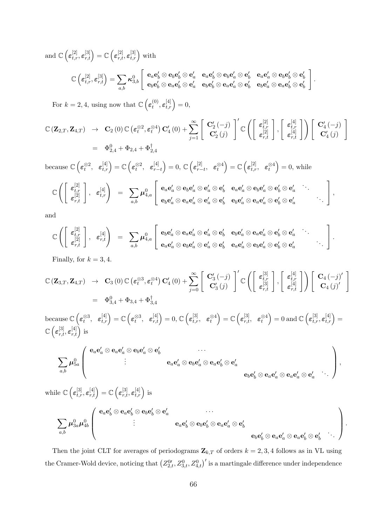and  $\mathbb{C}\left(\varepsilon_{t,r}^{[2]},\varepsilon_{r,t}^{[3]}\right)=\mathbb{C}\left(\varepsilon_{r,t}^{[2]},\varepsilon_{t,r}^{[3]}\right)$  with

$$
\mathbb{C}\left(\varepsilon_{t,r}^{[2]},\varepsilon_{r,t}^{[3]}\right)=\sum_{a,b}\kappa_{3,b}^{0}\left[\begin{array}{cc}\mathbf{e}_{a}\mathbf{e}_{b}^{\prime}\otimes\mathbf{e}_{b}\mathbf{e}_{b}^{\prime}\otimes\mathbf{e}_{a}^{\prime}&\mathbf{e}_{a}\mathbf{e}_{b}^{\prime}\otimes\mathbf{e}_{b}\mathbf{e}_{a}^{\prime}\otimes\mathbf{e}_{b}^{\prime}&\mathbf{e}_{a}\mathbf{e}_{a}^{\prime}\otimes\mathbf{e}_{b}\mathbf{e}_{b}^{\prime}\otimes\mathbf{e}_{b}^{\prime}\\ \mathbf{e}_{b}\mathbf{e}_{b}^{\prime}\otimes\mathbf{e}_{a}\mathbf{e}_{b}^{\prime}\otimes\mathbf{e}_{a}^{\prime}&\mathbf{e}_{b}\mathbf{e}_{b}^{\prime}\otimes\mathbf{e}_{a}\mathbf{e}_{a}^{\prime}\otimes\mathbf{e}_{b}^{\prime}&\mathbf{e}_{b}\mathbf{e}_{a}^{\prime}\otimes\mathbf{e}_{a}\mathbf{e}_{b}^{\prime}\otimes\mathbf{e}_{b}\end{array}\right]
$$

.

For  $k = 2, 4$ , using now that  $\mathbb{C} \left( \epsilon_t^{(0)} \right)$  $t^{(0)}, \varepsilon_{t,r}^{[4]}\Big) = 0,$ 

$$
\begin{array}{rcl}\n\mathbb{C}\left(\mathbf{Z}_{2,T},\mathbf{Z}_{4,T}\right) & \rightarrow & \mathbf{C}_{2}\left(0\right) \mathbb{C}\left(\boldsymbol{\varepsilon}_{t}^{\otimes2},\boldsymbol{\varepsilon}_{t}^{\otimes4}\right) \mathbf{C}_{4}^{\prime}\left(0\right) + \sum_{j=1}^{\infty} \left[\begin{array}{c} \mathbf{C}_{2}^{\prime}\left(-j\right) \\ \mathbf{C}_{2}^{\prime}\left(j\right) \end{array}\right]^{\prime} \mathbb{C}\left(\left[\begin{array}{c} \boldsymbol{\varepsilon}_{t,r}^{[2]} \\ \boldsymbol{\varepsilon}_{r,t}^{[2]} \end{array}\right],\left[\begin{array}{c} \boldsymbol{\varepsilon}_{t,r}^{[4]} \\ \boldsymbol{\varepsilon}_{r,t}^{[4]} \end{array}\right]\right) \left[\begin{array}{c} \mathbf{C}_{4}^{\prime}\left(-j\right) \\ \mathbf{C}_{4}^{\prime}\left(j\right) \end{array}\right] \\
& = & \Phi_{2,4}^{0} + \Phi_{2,4} + \Phi_{2,4}^{\dagger}\n\end{array}
$$

because  $\mathbb{C}\left(\boldsymbol{\varepsilon}_{t}^{\otimes2}, \ \ \boldsymbol{\varepsilon}_{t,r}^{[4]}\right)=\mathbb{C}\left(\boldsymbol{\varepsilon}_{t}^{\otimes2}, \ \ \boldsymbol{\varepsilon}_{r-}^{[4]}\right)$  $\left[\begin{smallmatrix} [4] \ r-t \end{smallmatrix}\right]=0, \, \mathbb{C}\left(\boldsymbol{\varepsilon}_{r-1}^{[2]}\right)$  $\begin{pmatrix} [2]_t, & \varepsilon_t^{\otimes 4} \end{pmatrix} = \mathbb{C} \left( \varepsilon_{t,r}^{[2]}, \varepsilon_t^{\otimes 4} \right) = 0$ , while

$$
\mathbb{C}\left(\left[\begin{array}{c}\varepsilon_{t,r}^{[2]}\\\varepsilon_{r,t}^{[2]}\end{array}\right],\hspace{0.2cm}\varepsilon_{t,r}^{[4]}\right) \hspace{0.2cm} = \hspace{0.2cm}\sum_{a,b}\boldsymbol{\mu}_{4,a}^{0}\left[\begin{array}{c}\mathbf{e}_{a}\mathbf{e}_{a}'\otimes\mathbf{e}_{b}\mathbf{e}_{a}'\otimes\mathbf{e}_{b}'\otimes\mathbf{e}_{a}'\otimes\mathbf{e}_{b}'\otimes\mathbf{e}_{b}'\otimes\mathbf{e}_{b}'\otimes\mathbf{e}_{b}'\otimes\mathbf{e}_{a}'\otimes\mathbf{e}_{b}'\otimes\mathbf{e}_{a}'\otimes\mathbf{e}_{b}'\otimes\mathbf{e}_{a}'\otimes\mathbf{e}_{b}'\otimes\mathbf{e}_{a}'\otimes\mathbf{e}_{a}'\otimes\mathbf{e}_{b}'\otimes\mathbf{e}_{a}'\end{array}\right],
$$

and

$$
\mathbb{C}\left(\left[\begin{array}{c}\varepsilon_{t,r}^{[2]}\\\varepsilon_{r,t}^{[2]}\end{array}\right],\hspace{0.2cm}\varepsilon_{r,t}^{[4]}\right) \hspace{0.2cm}=\hspace{0.2cm}\sum_{a,b}\boldsymbol{\mu}_{4,a}^{0}\left[\begin{array}{ccc}\mathbf{e}_{b}\mathbf{e}_{a}'\otimes\mathbf{e}_{a}\mathbf{e}_{a}'\otimes\mathbf{e}_{a}'\otimes\mathbf{e}_{b}' & \mathbf{e}_{b}\mathbf{e}_{a}'\otimes\mathbf{e}_{a}'\otimes\mathbf{e}_{b}'\otimes\mathbf{e}_{a}'\\\mathbf{e}_{a}\mathbf{e}_{a}'\otimes\mathbf{e}_{b}\mathbf{e}_{a}'\otimes\mathbf{e}_{b}'\otimes\mathbf{e}_{b}' & \mathbf{e}_{a}\mathbf{e}_{a}'\otimes\mathbf{e}_{b}\mathbf{e}_{a}'\otimes\mathbf{e}_{b}'\otimes\mathbf{e}_{a}'\end{array}\right].
$$

Finally, for  $k = 3, 4$ .

$$
\mathbb{C}\left(\mathbf{Z}_{3,T},\mathbf{Z}_{4,T}\right) \rightarrow \mathbf{C}_{3}\left(0\right) \mathbb{C}\left(\varepsilon_{t}^{\otimes 3},\varepsilon_{t}^{\otimes 4}\right) \mathbf{C}_{4}'\left(0\right) + \sum_{j=0}^{\infty} \left[\begin{array}{c} \mathbf{C}_{3}'\left(-j\right) \\ \mathbf{C}_{3}'\left(j\right) \end{array}\right]^{\prime} \mathbb{C}\left(\left[\begin{array}{c} \varepsilon_{t,r}^{[3]} \\ \varepsilon_{r,t}^{[3]} \end{array}\right],\left[\begin{array}{c} \varepsilon_{t,r}^{[4]} \\ \varepsilon_{r,t}^{[4]} \end{array}\right]\right) \left[\begin{array}{c} \mathbf{C}_{4}\left(-j\right)^{\prime} \\ \mathbf{C}_{4}\left(j\right)^{\prime} \end{array}\right]
$$

$$
= \Phi_{3,4}^{0} + \Phi_{3,4} + \Phi_{3,4}^{\dagger}
$$

 $\text{because } \mathbb{C}\left(\boldsymbol{\varepsilon}_{t}^{\otimes 3}, \ \ \boldsymbol{\varepsilon}_{t,r}^{[4]}\right) = \mathbb{C}\left(\boldsymbol{\varepsilon}_{t}^{\otimes 3}, \ \ \boldsymbol{\varepsilon}_{r,t}^{[4]}\right) = 0, \mathbb{C}\left(\boldsymbol{\varepsilon}_{t,r}^{[3]}, \ \ \boldsymbol{\varepsilon}_{t}^{\otimes 4}\right) = \mathbb{C}\left(\boldsymbol{\varepsilon}_{r,t}^{[3]}, \ \ \boldsymbol{\varepsilon}_{t}^{\otimes 4}\right) = 0 \text{ and } \mathbb{C}\left(\boldsymbol{\varepsilon}_{t,r}^{[3]}, \boldsymbol{\v$  $\mathbb{C}\left(\boldsymbol{\varepsilon}_{r,t}^{[3]}, \boldsymbol{\varepsilon}_{r,t}^{[4]}\right)$  is

$$
\sum_{a,b}\boldsymbol{\mu}_{5a}^0\left(\begin{array}{c} \mathbf{e}_a\mathbf{e}_a'\otimes\mathbf{e}_a\mathbf{e}_a'\otimes\mathbf{e}_b\mathbf{e}_a'\otimes\mathbf{e}_b'\\ \vdots\\ \mathbf{e}_a\mathbf{e}_a'\otimes\mathbf{e}_b\mathbf{e}_a'\otimes\mathbf{e}_a\mathbf{e}_b'\otimes\mathbf{e}_a'\end{array}\right),\\\mathbf{e}_b\mathbf{e}_b'\otimes\mathbf{e}_a\mathbf{e}_a'\otimes\mathbf{e}_a\mathbf{e}_a'\otimes\mathbf{e}_a'\otimes\mathbf{e}_a'\end{array}\right),
$$

while  $\mathbb{C}\left(\varepsilon_{t,r}^{[3]},\varepsilon_{r,t}^{[4]}\right)=\mathbb{C}\left(\varepsilon_{r,t}^{[3]},\varepsilon_{t,r}^{[4]}\right)$  is  $\sum$ a,b  $\boldsymbol{\mu}_{3a}^0\boldsymbol{\mu}_{4b}^0$  $\sqrt{ }$  $\overline{\phantom{a}}$  $\mathbf{e}_a\mathbf{e}_b'\otimes\mathbf{e}_a\mathbf{e}_b'\otimes\mathbf{e}_b\mathbf{e}_b'\otimes\mathbf{e}_a'$  ...  $\mathbf{e}_a\mathbf{e}_b'\otimes\mathbf{e}_b\mathbf{e}_b'\otimes\mathbf{e}_a\mathbf{e}_a'\otimes\mathbf{e}_b'$  $\mathbf{e}_b\mathbf{e}_b'\otimes \mathbf{e}_a\mathbf{e}_a' \otimes \mathbf{e}_a\mathbf{e}_b' \otimes \mathbf{e}_b'$ . . .  $\setminus$  $\vert \cdot$ 

Then the joint CLT for averages of periodograms  $\mathbf{Z}_{k,T}$  of orders  $k = 2, 3, 4$  follows as in VL using the Cramer-Wold device, noticing that  $(Z_{2,t}^0, Z_{3,t}^0, Z_{4,t}^0)'$  is a martingale difference under independence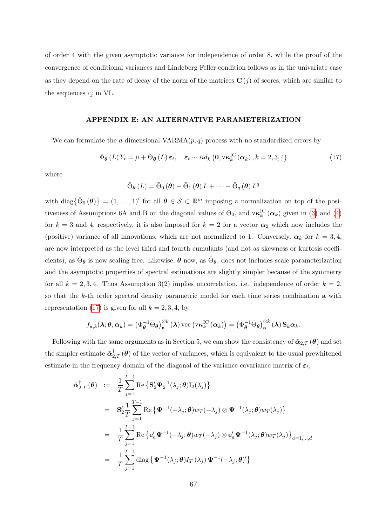of order 4 with the given asymptotic variance for independence of order 8, while the proof of the convergence of conditional variances and Lindeberg Feller condition follows as in the univariate case as they depend on the rate of decay of the norm of the matrices  $\mathbf{C}(j)$  of scores, which are similar to the sequences  $c_i$  in VL.

# APPENDIX E: AN ALTERNATIVE PARAMETERIZATION

We can formulate the d-dimensional  $VARMA(p, q)$  process with no standardized errors by

<span id="page-66-0"></span>
$$
\Phi_{\theta}(L) Y_t = \mu + \bar{\Theta}_{\theta}(L) \, \varepsilon_t, \quad \varepsilon_t \sim i i d_k \left( \mathbf{0}, \mathbf{v} \kappa_k^{\text{IC}}(\alpha_k), k = 2, 3, 4 \right) \tag{17}
$$

where

$$
\bar{\Theta}_{\theta}\left(L\right) = \bar{\Theta}_{0}\left(\theta\right) + \bar{\Theta}_{1}\left(\theta\right)L + \cdots + \bar{\Theta}_{q}\left(\theta\right)L^{q}
$$

with diag $\{\bar{\Theta}_0(\theta)\}=(1,\ldots,1)'$  for all  $\theta \in \mathcal{S} \subset \mathbb{R}^m$  imposing a normalization on top of the positiveness of Assumptions 6A and B on the diagonal values of  $\Theta_0$ , and  $\mathbf{v}\kappa_k^{\text{IC}}(\alpha_k)$  given in [\(3\)](#page-9-0) and [\(4\)](#page-10-1) for  $k = 3$  and 4, respectively, it is also imposed for  $k = 2$  for a vector  $\alpha_2$  which now includes the (positive) variance of all innovations, which are not normalized to 1. Conversely,  $\alpha_k$  for  $k = 3, 4$ , are now interpreted as the level third and fourth cumulants (and not as skewness or kurtosis coefficients), as  $\bar{\Theta}_{\theta}$  is now scaling free. Likewise,  $\theta$  now, as  $\bar{\Theta}_{\theta}$ , does not includes scale parameterization and the asymptotic properties of spectral estimations are slightly simpler because of the symmetry for all  $k = 2, 3, 4$ . Thus Assumption 3(2) implies uncorrelation, i.e. independence of order  $k = 2$ , so that the k-th order spectral density parametric model for each time series combination a with representation [\(17\)](#page-66-0) is given for all  $k = 2, 3, 4$ , by

$$
f_{\mathbf{a},k}(\lambda;\boldsymbol{\theta},\boldsymbol{\alpha}_k)=\left(\Phi_{\boldsymbol{\theta}}^{-1}\bar{\Theta}_{\boldsymbol{\theta}}\right)_{\mathbf{a}}^{\otimes k}(\lambda)\operatorname{vec}\left(\operatorname{v\kappa}_k^{\mathrm{IC}}\left(\boldsymbol{\alpha}_k\right)\right)=\left(\Phi_{\boldsymbol{\theta}}^{-1}\bar{\Theta}_{\boldsymbol{\theta}}\right)_{\mathbf{a}}^{\otimes k}(\lambda)\mathbf{S}_k\boldsymbol{\alpha}_k.
$$

Following with the same arguments as in Section 5, we can show the consistency of  $\hat{\boldsymbol{\alpha}}_{2,T}(\boldsymbol{\theta})$  and set the simpler estimate  $\hat{\bm{\alpha}}^{\dagger}_{2,T}(\bm{\theta})$  of the vector of variances, which is equivalent to the usual prewhitened estimate in the frequency domain of the diagonal of the variance covariance matrix of  $\varepsilon_t$ ,

$$
\hat{\alpha}_{2,T}^{\dagger}(\theta) := \frac{1}{T} \sum_{j=1}^{T-1} \text{Re}\left\{ \mathbf{S}_{2}^{\prime} \boldsymbol{\Psi}_{2}^{-1}(\lambda_{j}; \theta) \mathbb{I}_{2}(\lambda_{j}) \right\}
$$
\n
$$
= \mathbf{S}_{2}^{\prime} \frac{1}{T} \sum_{j=1}^{T-1} \text{Re}\left\{ \boldsymbol{\Psi}^{-1}(-\lambda_{j}; \theta) w_{T}(-\lambda_{j}) \otimes \boldsymbol{\Psi}^{-1}(\lambda_{j}; \theta) w_{T}(\lambda_{j}) \right\}
$$
\n
$$
= \frac{1}{T} \sum_{j=1}^{T-1} \text{Re}\left\{ \mathbf{e}_{a}^{\prime} \boldsymbol{\Psi}^{-1}(-\lambda_{j}; \theta) w_{T}(-\lambda_{j}) \otimes \mathbf{e}_{a}^{\prime} \boldsymbol{\Psi}^{-1}(\lambda_{j}; \theta) w_{T}(\lambda_{j}) \right\}_{a=1,\dots,d}
$$
\n
$$
= \frac{1}{T} \sum_{j=1}^{T-1} \text{diag}\left\{ \boldsymbol{\Psi}^{-1}(\lambda_{j}; \theta) I_{T}(\lambda_{j}) \boldsymbol{\Psi}^{-1}(-\lambda_{j}; \theta)^{\prime} \right\}
$$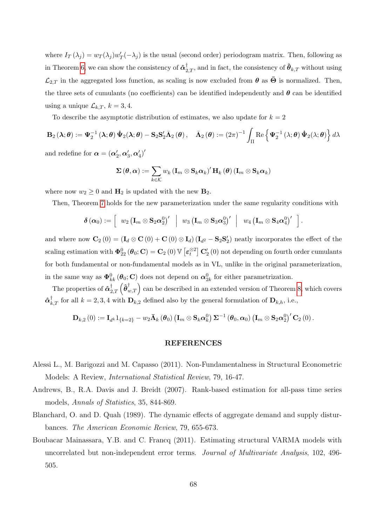where  $I_T(\lambda_j) = w_T(\lambda_j) w'_T(-\lambda_j)$  is the usual (second order) periodogram matrix. Then, following as in Theorem [6](#page-19-0), we can show the consistency of  $\hat{\bm{\alpha}}_{2,T}^{\dagger}$ , and in fact, the consistency of  $\hat{\bm{\theta}}_{k,T}$  without using  $\mathcal{L}_{2,T}$  in the aggregated loss function, as scaling is now excluded from  $\theta$  as  $\bar{\Theta}$  is normalized. Then, the three sets of cumulants (no coefficients) can be identified independently and  $\theta$  can be identified using a unique  $\mathcal{L}_{k,T}$ ,  $k = 3, 4$ .

To describe the asymptotic distribution of estimates, we also update for  $k = 2$ 

$$
\mathbf{B}_{2}\left(\boldsymbol{\lambda};\boldsymbol{\theta}\right):=\boldsymbol{\Psi}_{2}^{-1}\left(\boldsymbol{\lambda};\boldsymbol{\theta}\right)\boldsymbol{\dot{\Psi}}_{2}(\boldsymbol{\lambda};\boldsymbol{\theta})-\mathbf{S}_{2}\mathbf{S}_{2}'\bar{\boldsymbol{\Lambda}}_{2}\left(\boldsymbol{\theta}\right),\quad\bar{\boldsymbol{\Lambda}}_{2}\left(\boldsymbol{\theta}\right):=\left(2\pi\right)^{-1}\int_{\Pi}\operatorname{Re}\left\{\boldsymbol{\Psi}_{2}^{-1}\left(\boldsymbol{\lambda};\boldsymbol{\theta}\right)\boldsymbol{\dot{\Psi}}_{2}(\boldsymbol{\lambda};\boldsymbol{\theta})\right\}d\boldsymbol{\lambda}
$$

and redefine for  $\boldsymbol{\alpha} = (\boldsymbol{\alpha}_2', \boldsymbol{\alpha}_3', \boldsymbol{\alpha}_4')'$ 

$$
\mathbf{\Sigma}\left(\boldsymbol{\theta},\boldsymbol{\alpha}\right):=\sum_{k\in\mathcal{K}}w_{k}\left(\mathbf{I}_{m}\otimes\mathbf{S}_{k}\boldsymbol{\alpha}_{k}\right)^{\prime}\mathbf{H}_{k}\left(\boldsymbol{\theta}\right)\left(\mathbf{I}_{m}\otimes\mathbf{S}_{k}\boldsymbol{\alpha}_{k}\right)
$$

where now  $w_2 \geq 0$  and  $H_2$  is updated with the new  $B_2$ .

Then, Theorem [7](#page-23-0) holds for the new parameterization under the same regularity conditions with

$$
\boldsymbol{\delta}\left(\boldsymbol{\alpha}_{0}\right):=\left[\begin{array}{c|c}w_{2}\left(\mathbf{I}_{m}\otimes\mathbf{S}_{2}\boldsymbol{\alpha}_{2}^{0}\right)^{\prime}&w_{3}\left(\mathbf{I}_{m}\otimes\mathbf{S}_{3}\boldsymbol{\alpha}_{3}^{0}\right)^{\prime}&w_{4}\left(\mathbf{I}_{m}\otimes\mathbf{S}_{4}\boldsymbol{\alpha}_{4}^{0}\right)^{\prime}\end{array}\right].
$$

and where now  $\mathbf{C}_2(0) = (\mathbf{I}_d \otimes \mathbf{C}(0) + \mathbf{C}(0) \otimes \mathbf{I}_d) (\mathbf{I}_{d} - \mathbf{S}_2 \mathbf{S}'_2)$  neatly incorporates the effect of the scaling estimation with  $\pmb{\Phi}^0_{22} (\pmb{\theta}_0; \mathbf{C}) = \mathbf{C}_2(0) \, \mathbb{V} \left[ \pmb{\varepsilon}_t^{\otimes 2} \right] \mathbf{C}'_2(0)$  not depending on fourth order cumulants for both fundamental or non-fundamental models as in VL, unlike in the original parameterization, in the same way as  $\Phi_{kk}^0(\theta_0; \mathbf{C})$  does not depend on  $\alpha_{2k}^0$  for either parametrization.

The properties of  $\hat{\bm{a}}_{2,T}^{\dagger}\left(\hat{\bm{\theta}}_{w,T}^{\dagger}\right)$  can be described in an extended version of Theorem [8](#page-24-0), which covers  $\hat{\boldsymbol{\alpha}}_{k,T}^{\dagger}$  for all  $k = 2, 3, 4$  with  $\boldsymbol{\mathrm{D}}_{k,2}$  defined also by the general formulation of  $\boldsymbol{\mathrm{D}}_{k,h}$ , i.e.,

 $\mathbf{D}_{k,2}\left(0\right):=\mathbf{I}_{d^k}1_{\{k=2\}}-w_2\bar{\mathbf{\Lambda}}_k\left(\bm{\theta}_0\right)\left(\mathbf{I}_m\otimes\mathbf{S}_k\bm{\alpha}^0_k\right)\bm{\Sigma}^{-1}\left(\bm{\theta}_0,\bm{\alpha}_0\right)\left(\mathbf{I}_m\otimes\mathbf{S}_2\bm{\alpha}^0_2\right)'\mathbf{C}_2\left(0\right).$ 

### REFERENCES

- Alessi L., M. Barigozzi and M. Capasso (2011). Non-Fundamentalness in Structural Econometric Models: A Review, International Statistical Review, 79, 16-47.
- Andrews, B., R.A. Davis and J. Breidt (2007). Rank-based estimation for all-pass time series models, Annals of Statistics, 35, 844-869.
- Blanchard, O. and D. Quah (1989). The dynamic effects of aggregate demand and supply disturbances. The American Economic Review, 79, 655-673.
- Boubacar Mainassara, Y.B. and C. Francq (2011). Estimating structural VARMA models with uncorrelated but non-independent error terms. Journal of Multivariate Analysis, 102, 496- 505.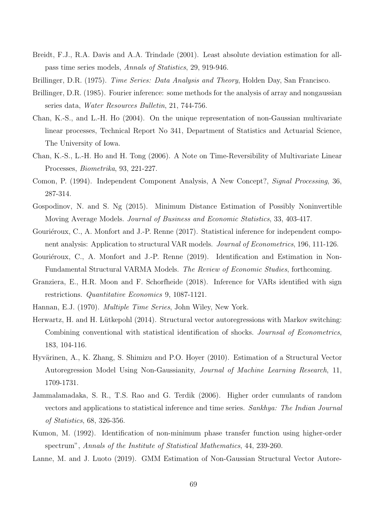- Breidt, F.J., R.A. Davis and A.A. Trindade (2001). Least absolute deviation estimation for allpass time series models, Annals of Statistics, 29, 919-946.
- Brillinger, D.R. (1975). *Time Series: Data Analysis and Theory*, Holden Day, San Francisco.
- Brillinger, D.R. (1985). Fourier inference: some methods for the analysis of array and nongaussian series data, Water Resources Bulletin, 21, 744-756.
- Chan, K.-S., and L.-H. Ho (2004). On the unique representation of non-Gaussian multivariate linear processes, Technical Report No 341, Department of Statistics and Actuarial Science, The University of Iowa.
- Chan, K.-S., L.-H. Ho and H. Tong (2006). A Note on Time-Reversibility of Multivariate Linear Processes, Biometrika, 93, 221-227.
- Comon, P. (1994). Independent Component Analysis, A New Concept?, Signal Processing, 36, 287-314.
- Gospodinov, N. and S. Ng (2015). Minimum Distance Estimation of Possibly Noninvertible Moving Average Models. Journal of Business and Economic Statistics, 33, 403-417.
- Gouriéroux, C., A. Monfort and J.-P. Renne (2017). Statistical inference for independent component analysis: Application to structural VAR models. Journal of Econometrics, 196, 111-126.
- Gouriéroux, C., A. Monfort and J.-P. Renne (2019). Identification and Estimation in Non-Fundamental Structural VARMA Models. The Review of Economic Studies, forthcoming.
- Granziera, E., H.R. Moon and F. Schorfheide (2018). Inference for VARs identified with sign restrictions. Quantitative Economics 9, 1087-1121.
- Hannan, E.J. (1970). Multiple Time Series, John Wiley, New York.
- Herwartz, H. and H. Lütkepohl (2014). Structural vector autoregressions with Markov switching: Combining conventional with statistical identification of shocks. Journsal of Econometrics, 183, 104-116.
- Hyvärinen, A., K. Zhang, S. Shimizu and P.O. Hoyer (2010). Estimation of a Structural Vector Autoregression Model Using Non-Gaussianity, Journal of Machine Learning Research, 11, 1709-1731.
- Jammalamadaka, S. R., T.S. Rao and G. Terdik (2006). Higher order cumulants of random vectors and applications to statistical inference and time series. Sankhya: The Indian Journal of Statistics, 68, 326-356.
- Kumon, M. (1992). Identification of non-minimum phase transfer function using higher-order spectrum", Annals of the Institute of Statistical Mathematics, 44, 239-260.

Lanne, M. and J. Luoto (2019). GMM Estimation of Non-Gaussian Structural Vector Autore-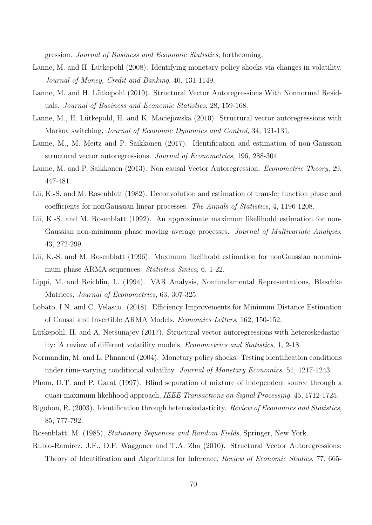gression. Journal of Business and Economic Statistics, forthcoming.

- Lanne, M. and H. Lütkepohl (2008). Identifying monetary policy shocks via changes in volatility. Journal of Money, Credit and Banking, 40, 131-1149.
- Lanne, M. and H. Lütkepohl (2010). Structural Vector Autoregressions With Nonnormal Residuals. Journal of Business and Economic Statistics, 28, 159-168.
- Lanne, M., H. Lütkepohl, H. and K. Maciejowska (2010). Structural vector autoregressions with Markov switching, Journal of Economic Dynamics and Control, 34, 121-131.
- Lanne, M., M. Meitz and P. Saikkonen (2017). Identification and estimation of non-Gaussian structural vector autoregressions. Journal of Econometrics, 196, 288-304.
- Lanne, M. and P. Saikkonen (2013). Non causal Vector Autoregression. *Econometric Theory*, 29, 447-481.
- Lii, K.-S. and M. Rosenblatt (1982). Deconvolution and estimation of transfer function phase and coefficients for nonGaussian linear processes. The Annals of Statistics, 4, 1196-1208.
- Lii, K.-S. and M. Rosenblatt (1992). An approximate maximum likelihodd estimation for non-Gaussian non-minimum phase moving average processes. *Journal of Multivariate Analysis*, 43, 272-299.
- Lii, K.-S. and M. Rosenblatt (1996). Maximum likelihodd estimation for nonGaussian nonminimum phase ARMA sequences. Statistica Sinica, 6, 1-22.
- Lippi, M. and Reichlin, L. (1994). VAR Analysis, Nonfundamental Representations, Blaschke Matrices, Journal of Econometrics, 63, 307-325.
- Lobato, I.N. and C. Velasco. (2018). Efficiency Improvements for Minimum Distance Estimation of Causal and Invertible ARMA Models, Economics Letters, 162, 150-152.
- Lütkepohl, H. and A. Netst unajev (2017). Structural vector autoregressions with heteroskedasticity: A review of different volatility models, Econometrics and Statistics, 1, 2-18.
- Normandin, M. and L. Phnaneuf (2004). Monetary policy shocks: Testing identification conditions under time-varying conditional volatility. Journal of Monetary Economics, 51, 1217-1243.
- Pham, D.T. and P. Garat (1997). Blind separation of mixture of independent source through a quasi-maximum likelihood approach, IEEE Transactions on Signal Processing, 45, 1712-1725.
- Rigobon, R. (2003). Identification through heteroskedasticity. Review of Economics and Statistics, 85, 777-792.
- Rosenblatt, M. (1985), Stationary Sequences and Random Fields, Springer, New York.
- Rubio-Ramirez, J.F., D.F. Waggoner and T.A. Zha (2010). Structural Vector Autoregressions: Theory of Identification and Algorithms for Inference, Review of Economic Studies, 77, 665-